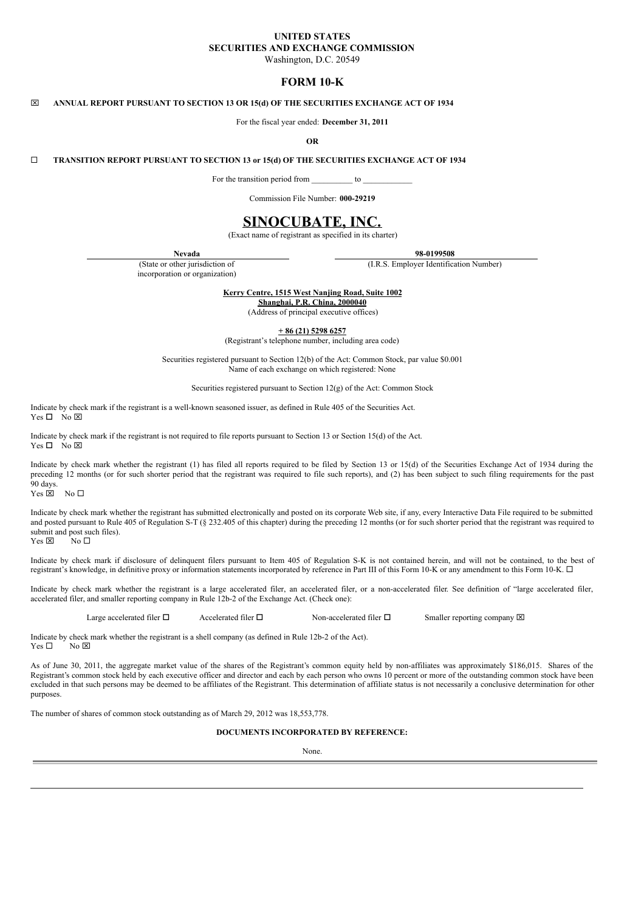# **UNITED STATES SECURITIES AND EXCHANGE COMMISSION**

Washington, D.C. 20549

# **FORM 10-K**

### x **ANNUAL REPORT PURSUANT TO SECTION 13 OR 15(d) OF THE SECURITIES EXCHANGE ACT OF 1934**

For the fiscal year ended: **December 31, 2011**

#### **OR**

## ¨ **TRANSITION REPORT PURSUANT TO SECTION 13 or 15(d) OF THE SECURITIES EXCHANGE ACT OF 1934**

For the transition period from to  $\sim$ 

Commission File Number: **000-29219**

# **SINOCUBATE, INC.**

(Exact name of registrant as specified in its charter)

(State or other jurisdiction of incorporation or organization)

**Nevada 98-0199508**

(I.R.S. Employer Identification Number)

**Kerry Centre, 1515 West Nanjing Road, Suite 1002**

**Shanghai, P.R. China, 2000040**

(Address of principal executive offices)

**+ 86 (21) 5298 6257**

(Registrant's telephone number, including area code)

Securities registered pursuant to Section 12(b) of the Act: Common Stock, par value \$0.001 Name of each exchange on which registered: None

Securities registered pursuant to Section 12(g) of the Act: Common Stock

Indicate by check mark if the registrant is a well-known seasoned issuer, as defined in Rule 405 of the Securities Act.  $Yes \Box No \boxtimes$ 

Indicate by check mark if the registrant is not required to file reports pursuant to Section 13 or Section 15(d) of the Act.  $Yes \Box No \boxtimes$ 

Indicate by check mark whether the registrant (1) has filed all reports required to be filed by Section 13 or 15(d) of the Securities Exchange Act of 1934 during the preceding 12 months (or for such shorter period that the registrant was required to file such reports), and (2) has been subject to such filing requirements for the past 90 days.

 $Yes \triangleright$  No  $\square$ 

Indicate by check mark whether the registrant has submitted electronically and posted on its corporate Web site, if any, every Interactive Data File required to be submitted and posted pursuant to Rule 405 of Regulation S-T (§ 232.405 of this chapter) during the preceding 12 months (or for such shorter period that the registrant was required to submit and post such files).<br>Yes  $\boxtimes$  No  $\square$ Yes  $\boxtimes$ 

Indicate by check mark if disclosure of delinquent filers pursuant to Item 405 of Regulation S-K is not contained herein, and will not be contained, to the best of registrant's knowledge, in definitive proxy or information statements incorporated by reference in Part III of this Form 10-K or any amendment to this Form 10-K.  $\Box$ 

Indicate by check mark whether the registrant is a large accelerated filer, an accelerated filer, or a non-accelerated filer. See definition of "large accelerated filer, accelerated filer, and smaller reporting company in Rule 12b-2 of the Exchange Act. (Check one):

Large accelerated filer  $\Box$  Accelerated filer  $\Box$  Non-accelerated filer  $\Box$  Smaller reporting company  $\boxtimes$ 

Indicate by check mark whether the registrant is a shell company (as defined in Rule 12b-2 of the Act).<br>Yes  $\Box$  No  $\boxtimes$ No  $\boxtimes$ 

As of June 30, 2011, the aggregate market value of the shares of the Registrant's common equity held by non-affiliates was approximately \$186,015. Shares of the Registrant's common stock held by each executive officer and director and each by each person who owns 10 percent or more of the outstanding common stock have been excluded in that such persons may be deemed to be affiliates of the Registrant. This determination of affiliate status is not necessarily a conclusive determination for other purposes.

The number of shares of common stock outstanding as of March 29, 2012 was 18,553,778.

## **DOCUMENTS INCORPORATED BY REFERENCE:**

None.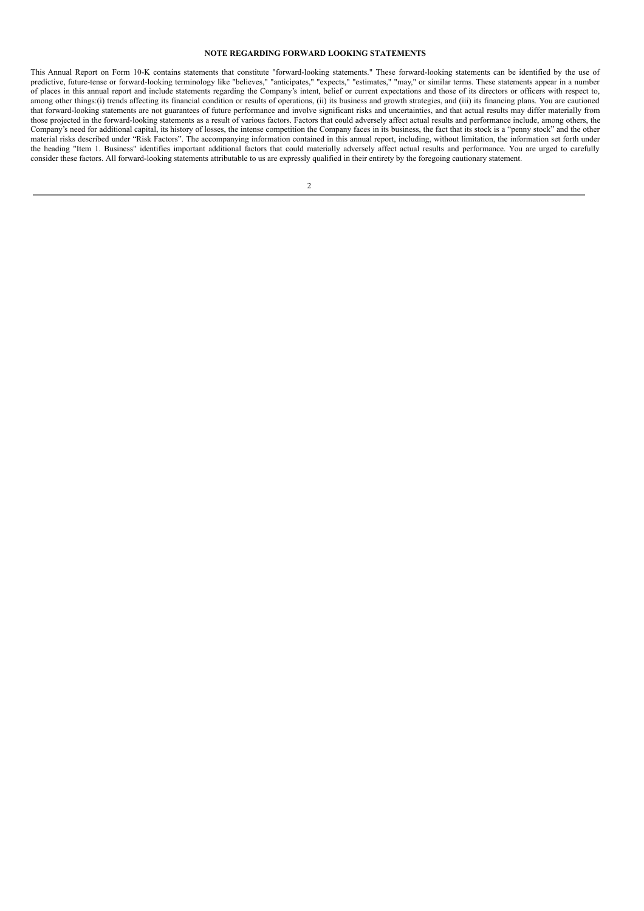## **NOTE REGARDING FORWARD LOOKING STATEMENTS**

This Annual Report on Form 10-K contains statements that constitute "forward-looking statements." These forward-looking statements can be identified by the use of predictive, future-tense or forward-looking terminology like "believes," "anticipates," "expects," "estimates," "may," or similar terms. These statements appear in a number of places in this annual report and include statements regarding the Company's intent, belief or current expectations and those of its directors or officers with respect to, among other things:(i) trends affecting its financial condition or results of operations, (ii) its business and growth strategies, and (iii) its financing plans. You are cautioned that forward-looking statements are not guarantees of future performance and involve significant risks and uncertainties, and that actual results may differ materially from those projected in the forward-looking statements as a result of various factors. Factors that could adversely affect actual results and performance include, among others, the Company's need for additional capital, its history of losses, the intense competition the Company faces in its business, the fact that its stock is a "penny stock" and the other material risks described under "Risk Factors". The accompanying information contained in this annual report, including, without limitation, the information set forth under the heading "Item 1. Business" identifies important additional factors that could materially adversely affect actual results and performance. You are urged to carefully consider these factors. All forward-looking statements attributable to us are expressly qualified in their entirety by the foregoing cautionary statement.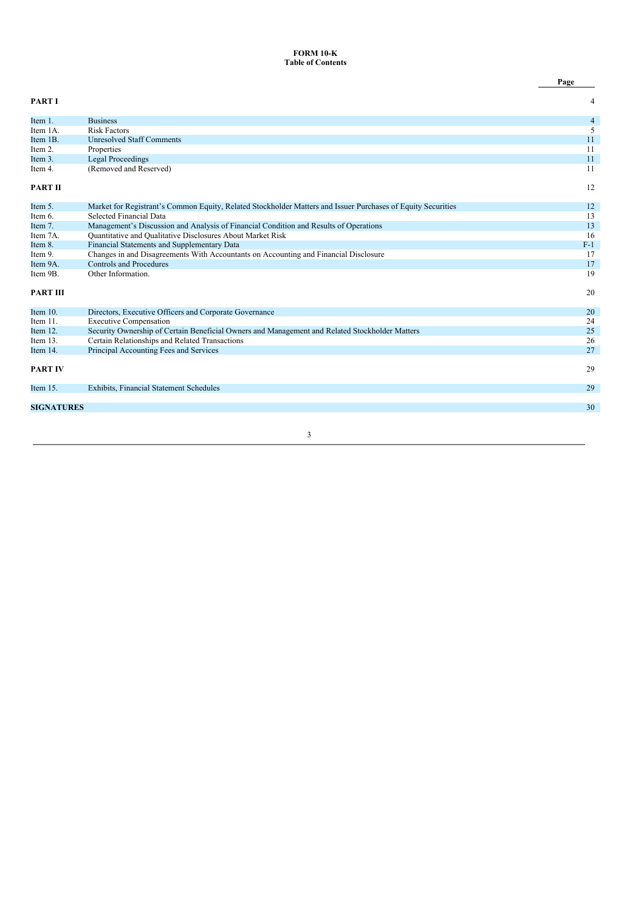## **FORM 10-K Table of Contents**

|                   |                                                                                                              | Page           |
|-------------------|--------------------------------------------------------------------------------------------------------------|----------------|
| <b>PARTI</b>      |                                                                                                              | 4              |
| Item 1.           | <b>Business</b>                                                                                              | $\overline{4}$ |
| Item 1A.          | <b>Risk Factors</b>                                                                                          | 5              |
| Item 1B.          | <b>Unresolved Staff Comments</b>                                                                             | 11             |
| Item 2.           | Properties                                                                                                   | 11             |
| Item 3.           | <b>Legal Proceedings</b>                                                                                     | 11             |
| Item 4.           | (Removed and Reserved)                                                                                       | 11             |
| <b>PART II</b>    |                                                                                                              | 12             |
| Item 5.           | Market for Registrant's Common Equity, Related Stockholder Matters and Issuer Purchases of Equity Securities | 12             |
| Item 6.           | Selected Financial Data                                                                                      | 13             |
| Item 7.           | Management's Discussion and Analysis of Financial Condition and Results of Operations                        | 13             |
| Item 7A.          | Quantitative and Qualitative Disclosures About Market Risk                                                   | 16             |
| Item 8.           | Financial Statements and Supplementary Data                                                                  | $F-1$          |
| Item 9.           | Changes in and Disagreements With Accountants on Accounting and Financial Disclosure                         | 17             |
| Item 9A.          | Controls and Procedures                                                                                      | 17             |
| Item 9B.          | Other Information.                                                                                           | 19             |
| <b>PART III</b>   |                                                                                                              | 20             |
| Item $10$ .       | Directors, Executive Officers and Corporate Governance                                                       | 20             |
| Item 11.          | <b>Executive Compensation</b>                                                                                | 24             |
| Item 12.          | Security Ownership of Certain Beneficial Owners and Management and Related Stockholder Matters               | 25             |
| Item 13.          | Certain Relationships and Related Transactions                                                               | 26             |
| Item 14.          | Principal Accounting Fees and Services                                                                       | 27             |
| <b>PART IV</b>    |                                                                                                              | 29             |
| Item $15.$        | Exhibits, Financial Statement Schedules                                                                      | 29             |
| <b>SIGNATURES</b> |                                                                                                              | 30             |
|                   |                                                                                                              |                |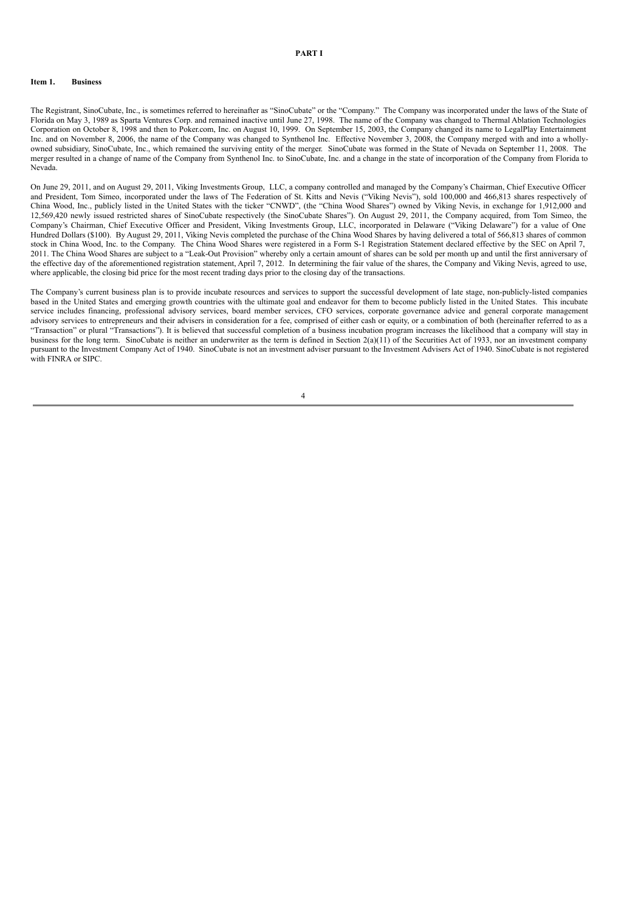## **PART I**

### **Item 1. Business**

The Registrant, SinoCubate, Inc., is sometimes referred to hereinafter as "SinoCubate" or the "Company." The Company was incorporated under the laws of the State of Florida on May 3, 1989 as Sparta Ventures Corp. and remained inactive until June 27, 1998. The name of the Company was changed to Thermal Ablation Technologies Corporation on October 8, 1998 and then to Poker.com, Inc. on August 10, 1999. On September 15, 2003, the Company changed its name to LegalPlay Entertainment Inc. and on November 8, 2006, the name of the Company was changed to Synthenol Inc. Effective November 3, 2008, the Company merged with and into a whollyowned subsidiary, SinoCubate, Inc., which remained the surviving entity of the merger. SinoCubate was formed in the State of Nevada on September 11, 2008. The merger resulted in a change of name of the Company from Synthenol Inc. to SinoCubate, Inc. and a change in the state of incorporation of the Company from Florida to Nevada.

On June 29, 2011, and on August 29, 2011, Viking Investments Group, LLC, a company controlled and managed by the Company's Chairman, Chief Executive Officer and President, Tom Simeo, incorporated under the laws of The Federation of St. Kitts and Nevis ("Viking Nevis"), sold 100,000 and 466,813 shares respectively of China Wood, Inc., publicly listed in the United States with the ticker "CNWD", (the "China Wood Shares") owned by Viking Nevis, in exchange for 1,912,000 and 12,569,420 newly issued restricted shares of SinoCubate respectively (the SinoCubate Shares"). On August 29, 2011, the Company acquired, from Tom Simeo, the Company's Chairman, Chief Executive Officer and President, Viking Investments Group, LLC, incorporated in Delaware ("Viking Delaware") for a value of One Hundred Dollars (\$100). By August 29, 2011, Viking Nevis completed the purchase of the China Wood Shares by having delivered a total of 566,813 shares of common stock in China Wood, Inc. to the Company. The China Wood Shares were registered in a Form S-1 Registration Statement declared effective by the SEC on April 7, 2011. The China Wood Shares are subject to a "Leak-Out Provision" whereby only a certain amount of shares can be sold per month up and until the first anniversary of the effective day of the aforementioned registration statement, April 7, 2012. In determining the fair value of the shares, the Company and Viking Nevis, agreed to use, where applicable, the closing bid price for the most recent trading days prior to the closing day of the transactions.

The Company's current business plan is to provide incubate resources and services to support the successful development of late stage, non-publicly-listed companies based in the United States and emerging growth countries with the ultimate goal and endeavor for them to become publicly listed in the United States. This incubate service includes financing, professional advisory services, board member services, CFO services, corporate governance advice and general corporate management advisory services to entrepreneurs and their advisers in consideration for a fee, comprised of either cash or equity, or a combination of both (hereinafter referred to as a "Transaction" or plural "Transactions"). It is believed that successful completion of a business incubation program increases the likelihood that a company will stay in business for the long term. SinoCubate is neither an underwriter as the term is defined in Section  $2(a)(1)$  of the Securities Act of 1933, nor an investment company pursuant to the Investment Company Act of 1940. SinoCubate is not an investment adviser pursuant to the Investment Advisers Act of 1940. SinoCubate is not registered with FINRA or SIPC.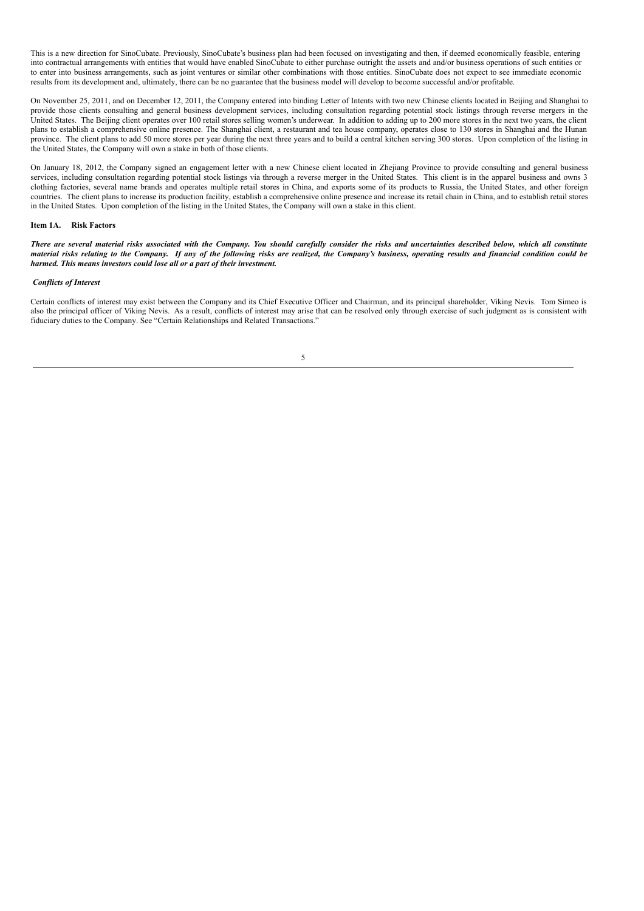This is a new direction for SinoCubate. Previously, SinoCubate's business plan had been focused on investigating and then, if deemed economically feasible, entering into contractual arrangements with entities that would have enabled SinoCubate to either purchase outright the assets and and/or business operations of such entities or to enter into business arrangements, such as joint ventures or similar other combinations with those entities. SinoCubate does not expect to see immediate economic results from its development and, ultimately, there can be no guarantee that the business model will develop to become successful and/or profitable.

On November 25, 2011, and on December 12, 2011, the Company entered into binding Letter of Intents with two new Chinese clients located in Beijing and Shanghai to provide those clients consulting and general business development services, including consultation regarding potential stock listings through reverse mergers in the United States. The Beijing client operates over 100 retail stores selling women's underwear. In addition to adding up to 200 more stores in the next two years, the client plans to establish a comprehensive online presence. The Shanghai client, a restaurant and tea house company, operates close to 130 stores in Shanghai and the Hunan province. The client plans to add 50 more stores per year during the next three years and to build a central kitchen serving 300 stores. Upon completion of the listing in the United States, the Company will own a stake in both of those clients.

On January 18, 2012, the Company signed an engagement letter with a new Chinese client located in Zhejiang Province to provide consulting and general business services, including consultation regarding potential stock listings via through a reverse merger in the United States. This client is in the apparel business and owns 3 clothing factories, several name brands and operates multiple retail stores in China, and exports some of its products to Russia, the United States, and other foreign countries. The client plans to increase its production facility, establish a comprehensive online presence and increase its retail chain in China, and to establish retail stores in the United States. Upon completion of the listing in the United States, the Company will own a stake in this client.

### **Item 1A. Risk Factors**

There are several material risks associated with the Company. You should carefully consider the risks and uncertainties described below, which all constitute material risks relating to the Company. If any of the following risks are realized, the Company's business, operating results and financial condition could be *harmed. This means investors could lose all or a part of their investment.*

### *Conflicts of Interest*

Certain conflicts of interest may exist between the Company and its Chief Executive Officer and Chairman, and its principal shareholder, Viking Nevis. Tom Simeo is also the principal officer of Viking Nevis. As a result, conflicts of interest may arise that can be resolved only through exercise of such judgment as is consistent with fiduciary duties to the Company. See "Certain Relationships and Related Transactions."

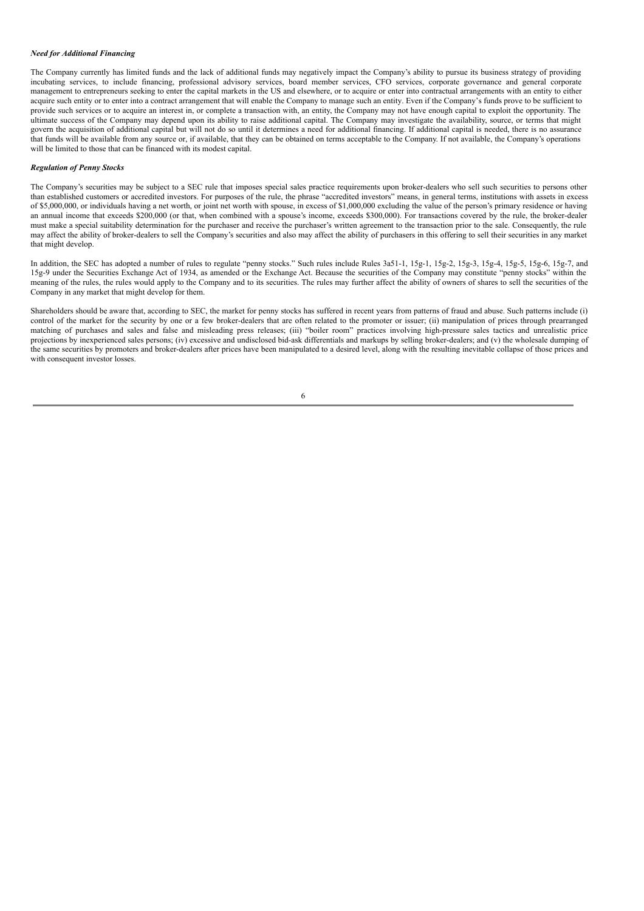### *Need for Additional Financing*

The Company currently has limited funds and the lack of additional funds may negatively impact the Company's ability to pursue its business strategy of providing incubating services, to include financing, professional advisory services, board member services, CFO services, corporate governance and general corporate management to entrepreneurs seeking to enter the capital markets in the US and elsewhere, or to acquire or enter into contractual arrangements with an entity to either acquire such entity or to enter into a contract arrangement that will enable the Company to manage such an entity. Even if the Company's funds prove to be sufficient to provide such services or to acquire an interest in, or complete a transaction with, an entity, the Company may not have enough capital to exploit the opportunity. The ultimate success of the Company may depend upon its ability to raise additional capital. The Company may investigate the availability, source, or terms that might govern the acquisition of additional capital but will not do so until it determines a need for additional financing. If additional capital is needed, there is no assurance that funds will be available from any source or, if available, that they can be obtained on terms acceptable to the Company. If not available, the Company's operations will be limited to those that can be financed with its modest capital.

#### *Regulation of Penny Stocks*

The Company's securities may be subject to a SEC rule that imposes special sales practice requirements upon broker-dealers who sell such securities to persons other than established customers or accredited investors. For purposes of the rule, the phrase "accredited investors" means, in general terms, institutions with assets in excess of \$5,000,000, or individuals having a net worth, or joint net worth with spouse, in excess of \$1,000,000 excluding the value of the person's primary residence or having an annual income that exceeds \$200,000 (or that, when combined with a spouse's income, exceeds \$300,000). For transactions covered by the rule, the broker-dealer must make a special suitability determination for the purchaser and receive the purchaser's written agreement to the transaction prior to the sale. Consequently, the rule may affect the ability of broker-dealers to sell the Company's securities and also may affect the ability of purchasers in this offering to sell their securities in any market that might develop.

In addition, the SEC has adopted a number of rules to regulate "penny stocks." Such rules include Rules 3a51-1, 15g-1, 15g-2, 15g-3, 15g-4, 15g-5, 15g-6, 15g-7, and 15g-9 under the Securities Exchange Act of 1934, as amended or the Exchange Act. Because the securities of the Company may constitute "penny stocks" within the meaning of the rules, the rules would apply to the Company and to its securities. The rules may further affect the ability of owners of shares to sell the securities of the Company in any market that might develop for them.

Shareholders should be aware that, according to SEC, the market for penny stocks has suffered in recent years from patterns of fraud and abuse. Such patterns include (i) control of the market for the security by one or a few broker-dealers that are often related to the promoter or issuer; (ii) manipulation of prices through prearranged matching of purchases and sales and false and misleading press releases; (iii) "boiler room" practices involving high-pressure sales tactics and unrealistic price projections by inexperienced sales persons; (iv) excessive and undisclosed bid-ask differentials and markups by selling broker-dealers; and (v) the wholesale dumping of the same securities by promoters and broker-dealers after prices have been manipulated to a desired level, along with the resulting inevitable collapse of those prices and with consequent investor losses.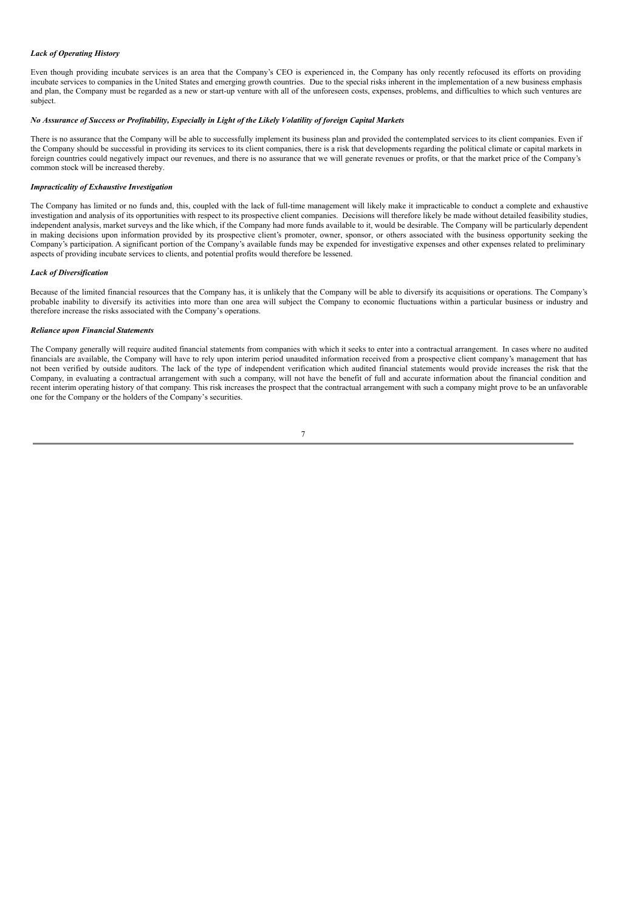## *Lack of Operating History*

Even though providing incubate services is an area that the Company's CEO is experienced in, the Company has only recently refocused its efforts on providing incubate services to companies in the United States and emerging growth countries. Due to the special risks inherent in the implementation of a new business emphasis and plan, the Company must be regarded as a new or start-up venture with all of the unforeseen costs, expenses, problems, and difficulties to which such ventures are subject.

## No Assurance of Success or Profitability, Especially in Light of the Likely Volatility of foreign Capital Markets

There is no assurance that the Company will be able to successfully implement its business plan and provided the contemplated services to its client companies. Even if the Company should be successful in providing its services to its client companies, there is a risk that developments regarding the political climate or capital markets in foreign countries could negatively impact our revenues, and there is no assurance that we will generate revenues or profits, or that the market price of the Company's common stock will be increased thereby.

#### *Impracticality of Exhaustive Investigation*

The Company has limited or no funds and, this, coupled with the lack of full-time management will likely make it impracticable to conduct a complete and exhaustive investigation and analysis of its opportunities with respect to its prospective client companies. Decisions will therefore likely be made without detailed feasibility studies, independent analysis, market surveys and the like which, if the Company had more funds available to it, would be desirable. The Company will be particularly dependent in making decisions upon information provided by its prospective client's promoter, owner, sponsor, or others associated with the business opportunity seeking the Company's participation. A significant portion of the Company's available funds may be expended for investigative expenses and other expenses related to preliminary aspects of providing incubate services to clients, and potential profits would therefore be lessened.

## *Lack of Diversification*

Because of the limited financial resources that the Company has, it is unlikely that the Company will be able to diversify its acquisitions or operations. The Company's probable inability to diversify its activities into more than one area will subject the Company to economic fluctuations within a particular business or industry and therefore increase the risks associated with the Company's operations.

## *Reliance upon Financial Statements*

The Company generally will require audited financial statements from companies with which it seeks to enter into a contractual arrangement. In cases where no audited financials are available, the Company will have to rely upon interim period unaudited information received from a prospective client company's management that has not been verified by outside auditors. The lack of the type of independent verification which audited financial statements would provide increases the risk that the Company, in evaluating a contractual arrangement with such a company, will not have the benefit of full and accurate information about the financial condition and recent interim operating history of that company. This risk increases the prospect that the contractual arrangement with such a company might prove to be an unfavorable one for the Company or the holders of the Company's securities.

$$
\phantom{0}7
$$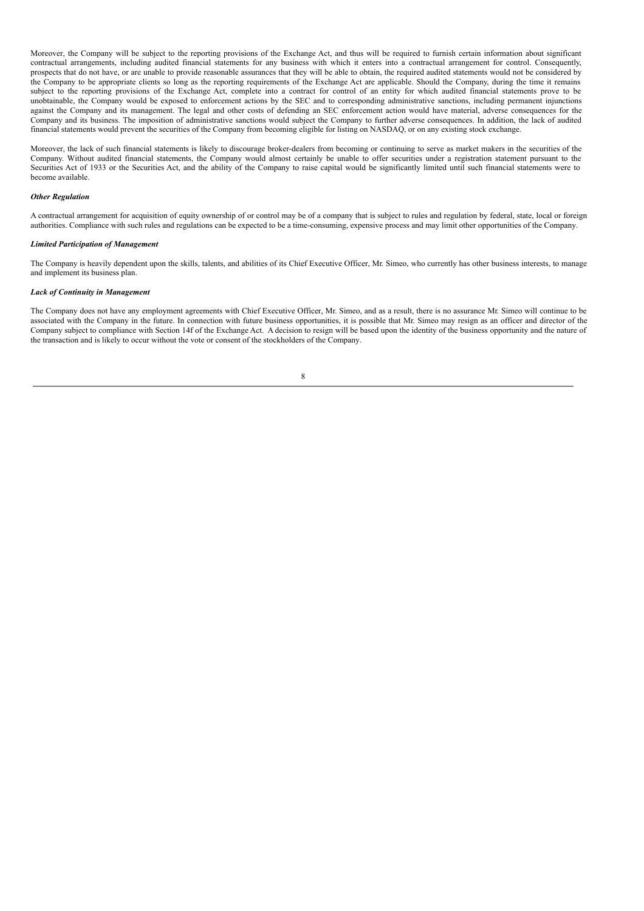Moreover, the Company will be subject to the reporting provisions of the Exchange Act, and thus will be required to furnish certain information about significant contractual arrangements, including audited financial statements for any business with which it enters into a contractual arrangement for control. Consequently, prospects that do not have, or are unable to provide reasonable assurances that they will be able to obtain, the required audited statements would not be considered by the Company to be appropriate clients so long as the reporting requirements of the Exchange Act are applicable. Should the Company, during the time it remains subject to the reporting provisions of the Exchange Act, complete into a contract for control of an entity for which audited financial statements prove to be unobtainable, the Company would be exposed to enforcement actions by the SEC and to corresponding administrative sanctions, including permanent injunctions against the Company and its management. The legal and other costs of defending an SEC enforcement action would have material, adverse consequences for the Company and its business. The imposition of administrative sanctions would subject the Company to further adverse consequences. In addition, the lack of audited financial statements would prevent the securities of the Company from becoming eligible for listing on NASDAQ, or on any existing stock exchange.

Moreover, the lack of such financial statements is likely to discourage broker-dealers from becoming or continuing to serve as market makers in the securities of the Company. Without audited financial statements, the Company would almost certainly be unable to offer securities under a registration statement pursuant to the Securities Act of 1933 or the Securities Act, and the ability of the Company to raise capital would be significantly limited until such financial statements were to become available.

### *Other Regulation*

A contractual arrangement for acquisition of equity ownership of or control may be of a company that is subject to rules and regulation by federal, state, local or foreign authorities. Compliance with such rules and regulations can be expected to be a time-consuming, expensive process and may limit other opportunities of the Company.

#### *Limited Participation of Management*

The Company is heavily dependent upon the skills, talents, and abilities of its Chief Executive Officer, Mr. Simeo, who currently has other business interests, to manage and implement its business plan.

## *Lack of Continuity in Management*

The Company does not have any employment agreements with Chief Executive Officer, Mr. Simeo, and as a result, there is no assurance Mr. Simeo will continue to be associated with the Company in the future. In connection with future business opportunities, it is possible that Mr. Simeo may resign as an officer and director of the Company subject to compliance with Section 14f of the Exchange Act. A decision to resign will be based upon the identity of the business opportunity and the nature of the transaction and is likely to occur without the vote or consent of the stockholders of the Company.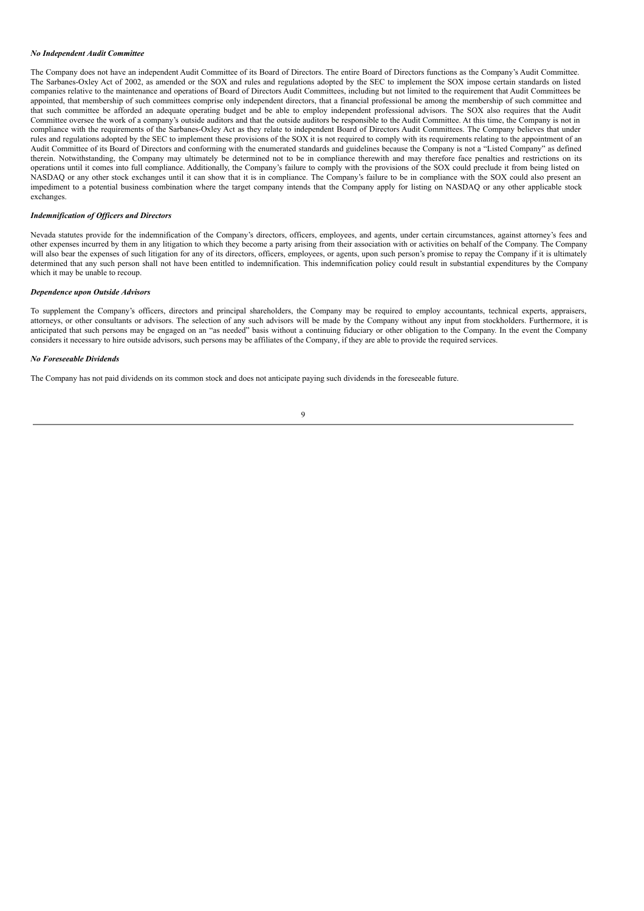#### *No Independent Audit Committee*

The Company does not have an independent Audit Committee of its Board of Directors. The entire Board of Directors functions as the Company's Audit Committee. The Sarbanes-Oxley Act of 2002, as amended or the SOX and rules and regulations adopted by the SEC to implement the SOX impose certain standards on listed companies relative to the maintenance and operations of Board of Directors Audit Committees, including but not limited to the requirement that Audit Committees be appointed, that membership of such committees comprise only independent directors, that a financial professional be among the membership of such committee and that such committee be afforded an adequate operating budget and be able to employ independent professional advisors. The SOX also requires that the Audit Committee oversee the work of a company's outside auditors and that the outside auditors be responsible to the Audit Committee. At this time, the Company is not in compliance with the requirements of the Sarbanes-Oxley Act as they relate to independent Board of Directors Audit Committees. The Company believes that under rules and regulations adopted by the SEC to implement these provisions of the SOX it is not required to comply with its requirements relating to the appointment of an Audit Committee of its Board of Directors and conforming with the enumerated standards and guidelines because the Company is not a "Listed Company" as defined therein. Notwithstanding, the Company may ultimately be determined not to be in compliance therewith and may therefore face penalties and restrictions on its operations until it comes into full compliance. Additionally, the Company's failure to comply with the provisions of the SOX could preclude it from being listed on NASDAQ or any other stock exchanges until it can show that it is in compliance. The Company's failure to be in compliance with the SOX could also present an impediment to a potential business combination where the target company intends that the Company apply for listing on NASDAQ or any other applicable stock exchanges.

### *Indemnification of Of icers and Directors*

Nevada statutes provide for the indemnification of the Company's directors, officers, employees, and agents, under certain circumstances, against attorney's fees and other expenses incurred by them in any litigation to which they become a party arising from their association with or activities on behalf of the Company. The Company will also bear the expenses of such litigation for any of its directors, officers, employees, or agents, upon such person's promise to repay the Company if it is ultimately determined that any such person shall not have been entitled to indemnification. This indemnification policy could result in substantial expenditures by the Company which it may be unable to recoup.

#### *Dependence upon Outside Advisors*

To supplement the Company's officers, directors and principal shareholders, the Company may be required to employ accountants, technical experts, appraisers, attorneys, or other consultants or advisors. The selection of any such advisors will be made by the Company without any input from stockholders. Furthermore, it is anticipated that such persons may be engaged on an "as needed" basis without a continuing fiduciary or other obligation to the Company. In the event the Company considers it necessary to hire outside advisors, such persons may be affiliates of the Company, if they are able to provide the required services.

#### *No Foreseeable Dividends*

The Company has not paid dividends on its common stock and does not anticipate paying such dividends in the foreseeable future.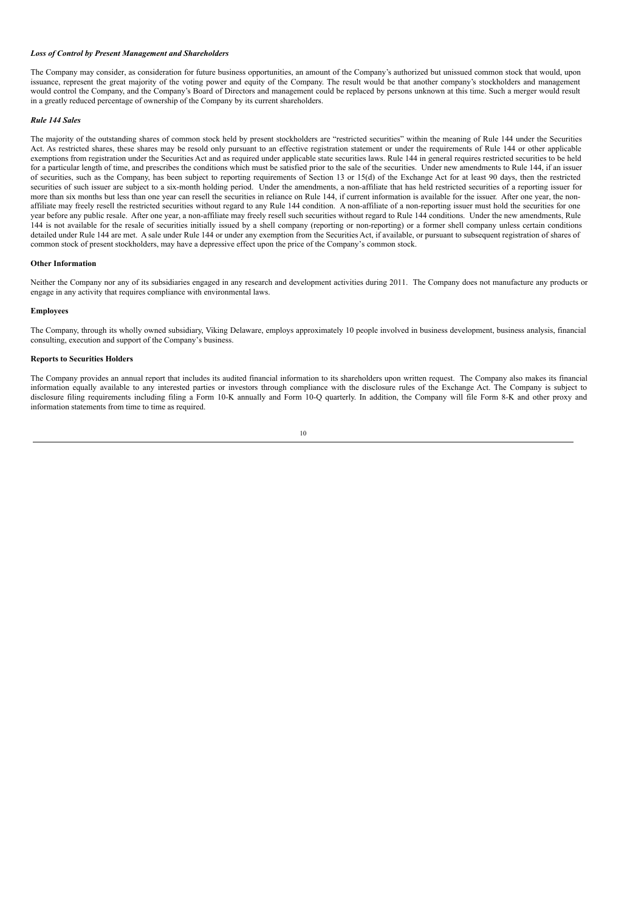#### *Loss of Control by Present Management and Shareholders*

The Company may consider, as consideration for future business opportunities, an amount of the Company's authorized but unissued common stock that would, upon issuance, represent the great majority of the voting power and equity of the Company. The result would be that another company's stockholders and management would control the Company, and the Company's Board of Directors and management could be replaced by persons unknown at this time. Such a merger would result in a greatly reduced percentage of ownership of the Company by its current shareholders.

#### *Rule 144 Sales*

The majority of the outstanding shares of common stock held by present stockholders are "restricted securities" within the meaning of Rule 144 under the Securities Act. As restricted shares, these shares may be resold only pursuant to an effective registration statement or under the requirements of Rule 144 or other applicable exemptions from registration under the Securities Act and as required under applicable state securities laws. Rule 144 in general requires restricted securities to be held for a particular length of time, and prescribes the conditions which must be satisfied prior to the sale of the securities. Under new amendments to Rule 144, if an issuer of securities, such as the Company, has been subject to reporting requirements of Section 13 or 15(d) of the Exchange Act for at least 90 days, then the restricted securities of such issuer are subject to a six-month holding period. Under the amendments, a non-affiliate that has held restricted securities of a reporting issuer for more than six months but less than one year can resell the securities in reliance on Rule 144, if current information is available for the issuer. After one year, the nonaffiliate may freely resell the restricted securities without regard to any Rule 144 condition. A non-affiliate of a non-reporting issuer must hold the securities for one year before any public resale. After one year, a non-affiliate may freely resell such securities without regard to Rule 144 conditions. Under the new amendments, Rule 144 is not available for the resale of securities initially issued by a shell company (reporting or non-reporting) or a former shell company unless certain conditions detailed under Rule 144 are met. A sale under Rule 144 or under any exemption from the Securities Act, if available, or pursuant to subsequent registration of shares of common stock of present stockholders, may have a depressive effect upon the price of the Company's common stock.

#### **Other Information**

Neither the Company nor any of its subsidiaries engaged in any research and development activities during 2011. The Company does not manufacture any products or engage in any activity that requires compliance with environmental laws.

## **Employees**

The Company, through its wholly owned subsidiary, Viking Delaware, employs approximately 10 people involved in business development, business analysis, financial consulting, execution and support of the Company's business.

## **Reports to Securities Holders**

The Company provides an annual report that includes its audited financial information to its shareholders upon written request. The Company also makes its financial information equally available to any interested parties or investors through compliance with the disclosure rules of the Exchange Act. The Company is subject to disclosure filing requirements including filing a Form 10-K annually and Form 10-Q quarterly. In addition, the Company will file Form 8-K and other proxy and information statements from time to time as required.

$$
10\quad
$$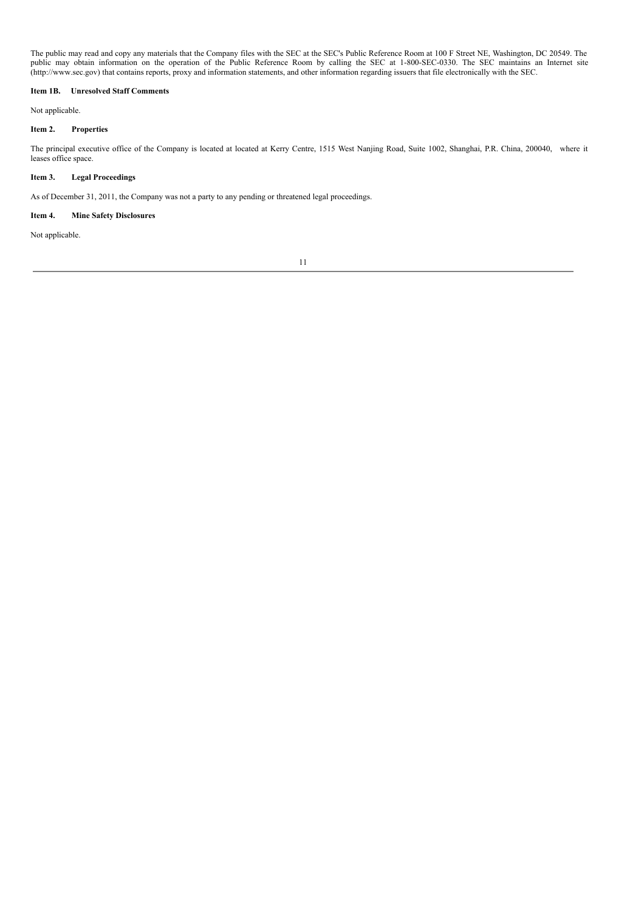The public may read and copy any materials that the Company files with the SEC at the SEC's Public Reference Room at 100 F Street NE, Washington, DC 20549. The public may obtain information on the operation of the Public Reference Room by calling the SEC at 1-800-SEC-0330. The SEC maintains an Internet site (http://www.sec.gov) that contains reports, proxy and information statements, and other information regarding issuers that file electronically with the SEC.

## **Item 1B. Unresolved Staff Comments**

Not applicable.

## **Item 2. Properties**

The principal executive office of the Company is located at located at Kerry Centre, 1515 West Nanjing Road, Suite 1002, Shanghai, P.R. China, 200040, where it leases office space.

# **Item 3. Legal Proceedings**

As of December 31, 2011, the Company was not a party to any pending or threatened legal proceedings.

## **Item 4. Mine Safety Disclosures**

Not applicable.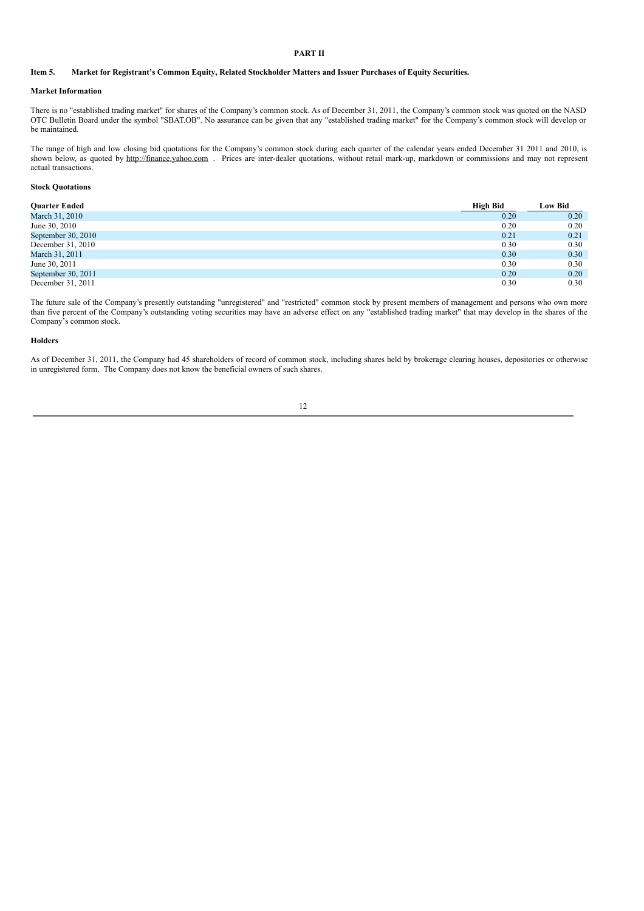## **PART II**

## Item 5. Market for Registrant's Common Equity, Related Stockholder Matters and Issuer Purchases of Equity Securities.

## **Market Information**

There is no "established trading market" for shares of the Company's common stock. As of December 31, 2011, the Company's common stock was quoted on the NASD OTC Bulletin Board under the symbol "SBAT.OB". No assurance can be given that any "established trading market" for the Company's common stock will develop or be maintained.

The range of high and low closing bid quotations for the Company's common stock during each quarter of the calendar years ended December 31 2011 and 2010, is shown below, as quoted by http://finance.yahoo.com . Prices are inter-dealer quotations, without retail mark-up, markdown or commissions and may not represent actual transactions.

### **Stock Quotations**

| <b>Ouarter Ended</b> | High Bid | <b>Low Bid</b> |
|----------------------|----------|----------------|
| March 31, 2010       | 0.20     | 0.20           |
| June 30, 2010        | 0.20     | 0.20           |
| September 30, 2010   | 0.21     | 0.21           |
| December 31, 2010    | 0.30     | 0.30           |
| March 31, 2011       | 0.30     | 0.30           |
| June 30, 2011        | 0.30     | 0.30           |
| September 30, 2011   | 0.20     | 0.20           |
| December 31, 2011    | 0.30     | 0.30           |

The future sale of the Company's presently outstanding "unregistered" and "restricted" common stock by present members of management and persons who own more than five percent of the Company's outstanding voting securities may have an adverse effect on any "established trading market" that may develop in the shares of the Company's common stock.

#### **Holders**

As of December 31, 2011, the Company had 45 shareholders of record of common stock, including shares held by brokerage clearing houses, depositories or otherwise in unregistered form. The Company does not know the beneficial owners of such shares.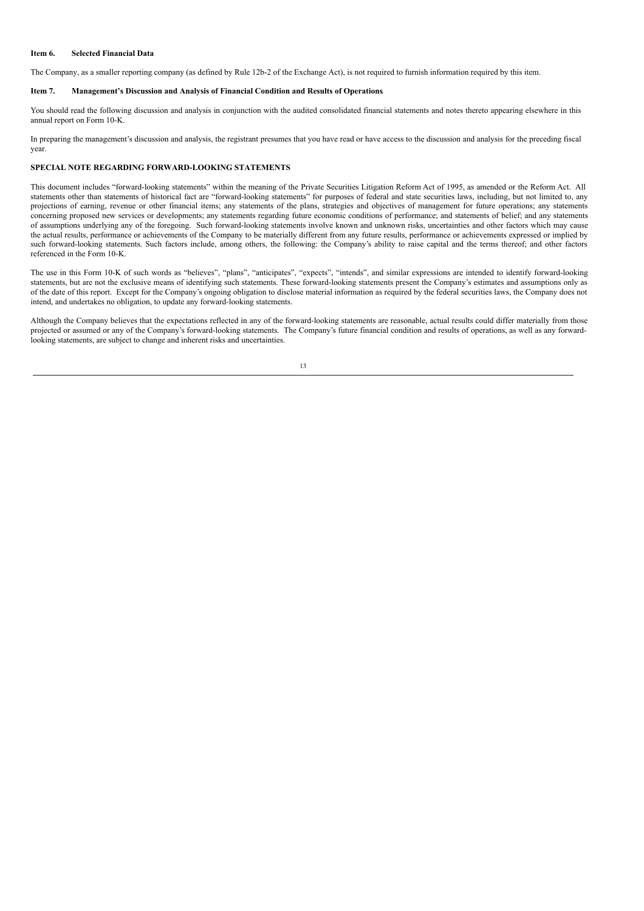#### **Item 6. Selected Financial Data**

The Company, as a smaller reporting company (as defined by Rule 12b-2 of the Exchange Act), is not required to furnish information required by this item.

## **Item 7. Management's Discussion and Analysis of Financial Condition and Results of Operations**.

You should read the following discussion and analysis in conjunction with the audited consolidated financial statements and notes thereto appearing elsewhere in this annual report on Form 10-K.

In preparing the management's discussion and analysis, the registrant presumes that you have read or have access to the discussion and analysis for the preceding fiscal year.

## **SPECIAL NOTE REGARDING FORWARD-LOOKING STATEMENTS**

This document includes "forward-looking statements" within the meaning of the Private Securities Litigation Reform Act of 1995, as amended or the Reform Act. All statements other than statements of historical fact are "forward-looking statements" for purposes of federal and state securities laws, including, but not limited to, any projections of earning, revenue or other financial items; any statements of the plans, strategies and objectives of management for future operations; any statements concerning proposed new services or developments; any statements regarding future economic conditions of performance; and statements of belief; and any statements of assumptions underlying any of the foregoing. Such forward-looking statements involve known and unknown risks, uncertainties and other factors which may cause the actual results, performance or achievements of the Company to be materially different from any future results, performance or achievements expressed or implied by such forward-looking statements. Such factors include, among others, the following: the Company's ability to raise capital and the terms thereof; and other factors referenced in the Form 10-K.

The use in this Form 10-K of such words as "believes", "plans", "anticipates", "expects", "intends", and similar expressions are intended to identify forward-looking statements, but are not the exclusive means of identifying such statements. These forward-looking statements present the Company's estimates and assumptions only as of the date of this report. Except for the Company's ongoing obligation to disclose material information as required by the federal securities laws, the Company does not intend, and undertakes no obligation, to update any forward-looking statements.

Although the Company believes that the expectations reflected in any of the forward-looking statements are reasonable, actual results could differ materially from those projected or assumed or any of the Company's forward-looking statements. The Company's future financial condition and results of operations, as well as any forwardlooking statements, are subject to change and inherent risks and uncertainties.

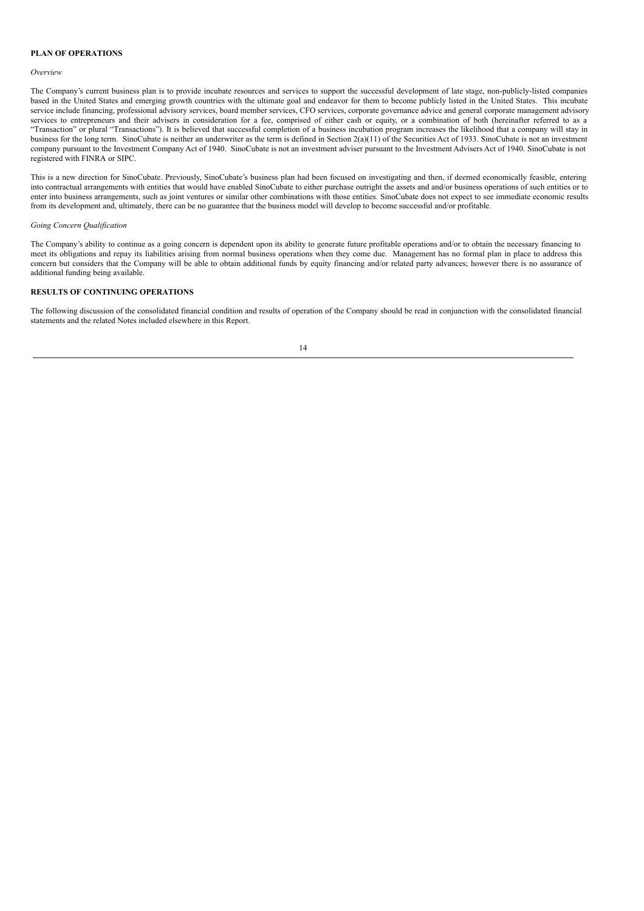## **PLAN OF OPERATIONS**

#### *Overview*

The Company's current business plan is to provide incubate resources and services to support the successful development of late stage, non-publicly-listed companies based in the United States and emerging growth countries with the ultimate goal and endeavor for them to become publicly listed in the United States. This incubate service include financing, professional advisory services, board member services, CFO services, corporate governance advice and general corporate management advisory services to entrepreneurs and their advisers in consideration for a fee, comprised of either cash or equity, or a combination of both (hereinafter referred to as a "Transaction" or plural "Transactions"). It is believed that successful completion of a business incubation program increases the likelihood that a company will stay in business for the long term. SinoCubate is neither an underwriter as the term is defined in Section 2(a)(11) of the Securities Act of 1933. SinoCubate is not an investment company pursuant to the Investment Company Act of 1940. SinoCubate is not an investment adviser pursuant to the Investment Advisers Act of 1940. SinoCubate is not registered with FINRA or SIPC.

This is a new direction for SinoCubate. Previously, SinoCubate's business plan had been focused on investigating and then, if deemed economically feasible, entering into contractual arrangements with entities that would have enabled SinoCubate to either purchase outright the assets and and/or business operations of such entities or to enter into business arrangements, such as joint ventures or similar other combinations with those entities. SinoCubate does not expect to see immediate economic results from its development and, ultimately, there can be no guarantee that the business model will develop to become successful and/or profitable.

#### *Going Concern Qualification*

The Company's ability to continue as a going concern is dependent upon its ability to generate future profitable operations and/or to obtain the necessary financing to meet its obligations and repay its liabilities arising from normal business operations when they come due. Management has no formal plan in place to address this concern but considers that the Company will be able to obtain additional funds by equity financing and/or related party advances; however there is no assurance of additional funding being available.

## **RESULTS OF CONTINUING OPERATIONS**

The following discussion of the consolidated financial condition and results of operation of the Company should be read in conjunction with the consolidated financial statements and the related Notes included elsewhere in this Report.

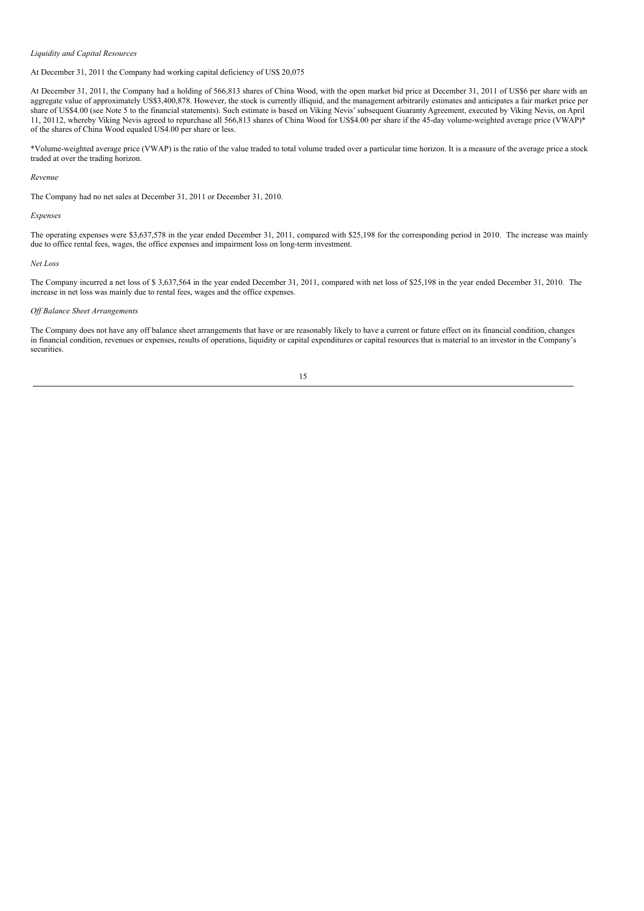### *Liquidity and Capital Resources*

#### At December 31, 2011 the Company had working capital deficiency of US\$ 20,075

At December 31, 2011, the Company had a holding of 566,813 shares of China Wood, with the open market bid price at December 31, 2011 of US\$6 per share with an aggregate value of approximately US\$3,400,878. However, the stock is currently illiquid, and the management arbitrarily estimates and anticipates a fair market price per share of US\$4.00 (see Note 5 to the financial statements). Such estimate is based on Viking Nevis'subsequent Guaranty Agreement, executed by Viking Nevis, on April 11, 20112, whereby Viking Nevis agreed to repurchase all 566,813 shares of China Wood for US\$4.00 per share if the 45-day volume-weighted average price (VWAP)\* of the shares of China Wood equaled US4.00 per share or less.

\*Volume-weighted average price (VWAP) is the ratio of the value traded to total volume traded over a particular time horizon. It is a measure of the average price a stock traded at over the trading horizon.

#### *Revenue*

The Company had no net sales at December 31, 2011 or December 31, 2010.

#### *Expenses*

The operating expenses were \$3,637,578 in the year ended December 31, 2011, compared with \$25,198 for the corresponding period in 2010. The increase was mainly due to office rental fees, wages, the office expenses and impairment loss on long-term investment.

#### *Net Loss*

The Company incurred a net loss of \$ 3,637,564 in the year ended December 31, 2011, compared with net loss of \$25,198 in the year ended December 31, 2010. The increase in net loss was mainly due to rental fees, wages and the office expenses.

## *Of Balance Sheet Arrangements*

The Company does not have any off balance sheet arrangements that have or are reasonably likely to have a current or future effect on its financial condition, changes in financial condition, revenues or expenses, results of operations, liquidity or capital expenditures or capital resources that is material to an investor in the Company's securities.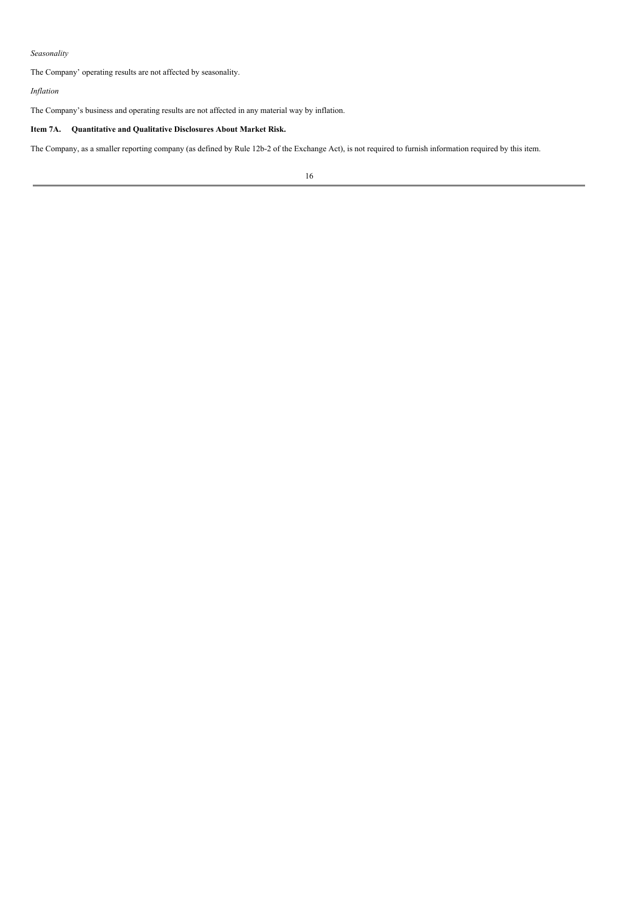# *Seasonality*

The Company' operating results are not affected by seasonality.

## *Inflation*

The Company's business and operating results are not affected in any material way by inflation.

# **Item 7A. Quantitative and Qualitative Disclosures About Market Risk.**

The Company, as a smaller reporting company (as defined by Rule 12b-2 of the Exchange Act), is not required to furnish information required by this item.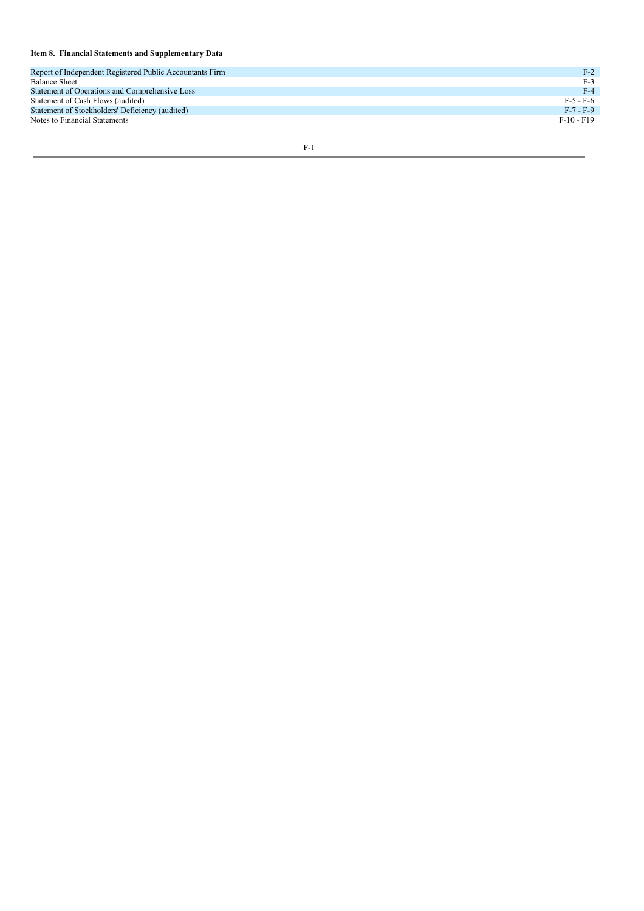#### Item 8. Financial Statements and Supplementary Data

| Report of Independent Registered Public Accountants Firm | $F-2$      |
|----------------------------------------------------------|------------|
| <b>Balance Sheet</b>                                     | $F-3$      |
| Statement of Operations and Comprehensive Loss           | $F-4$      |
| Statement of Cash Flows (audited)                        | $F-5-F-6$  |
| Statement of Stockholders' Deficiency (audited)          | $F-7-F-9$  |
| Notes to Financial Statements                            | $F-10-F19$ |
|                                                          |            |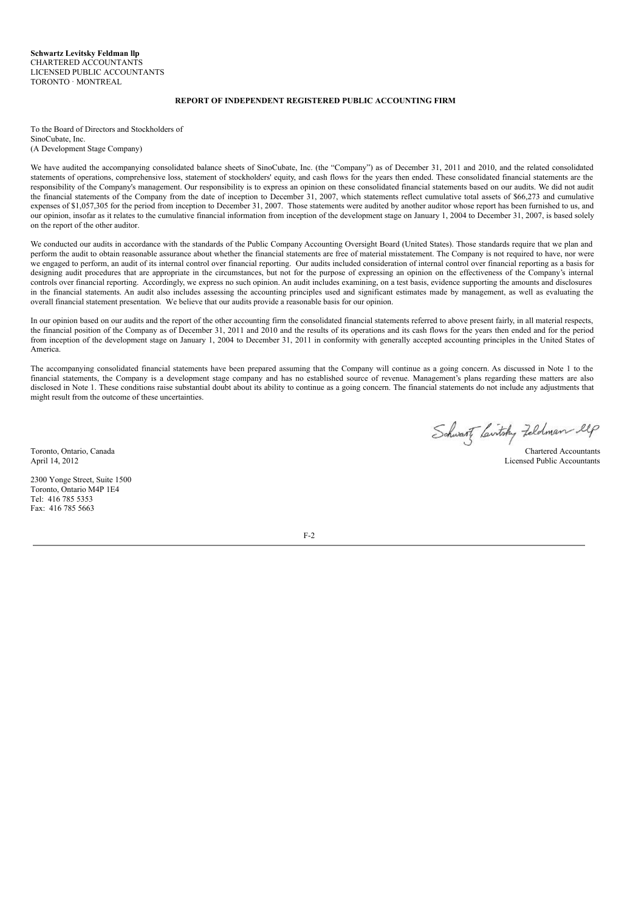## **REPORT OF INDEPENDENT REGISTERED PUBLIC ACCOUNTING FIRM**

To the Board of Directors and Stockholders of SinoCubate, Inc. (A Development Stage Company)

We have audited the accompanying consolidated balance sheets of SinoCubate, Inc. (the "Company") as of December 31, 2011 and 2010, and the related consolidated statements of operations, comprehensive loss, statement of stockholders' equity, and cash flows for the years then ended. These consolidated financial statements are the responsibility of the Company's management. Our responsibility is to express an opinion on these consolidated financial statements based on our audits. We did not audit the financial statements of the Company from the date of inception to December 31, 2007, which statements reflect cumulative total assets of \$66,273 and cumulative expenses of \$1,057,305 for the period from inception to December 31, 2007. Those statements were audited by another auditor whose report has been furnished to us, and our opinion, insofar as it relates to the cumulative financial information from inception of the development stage on January 1, 2004 to December 31, 2007, is based solely on the report of the other auditor.

We conducted our audits in accordance with the standards of the Public Company Accounting Oversight Board (United States). Those standards require that we plan and perform the audit to obtain reasonable assurance about whether the financial statements are free of material misstatement. The Company is not required to have, nor were we engaged to perform, an audit of its internal control over financial reporting. Our audits included consideration of internal control over financial reporting as a basis for designing audit procedures that are appropriate in the circumstances, but not for the purpose of expressing an opinion on the effectiveness of the Company's internal controls over financial reporting. Accordingly, we express no such opinion. An audit includes examining, on a test basis, evidence supporting the amounts and disclosures in the financial statements. An audit also includes assessing the accounting principles used and significant estimates made by management, as well as evaluating the overall financial statement presentation. We believe that our audits provide a reasonable basis for our opinion.

In our opinion based on our audits and the report of the other accounting firm the consolidated financial statements referred to above present fairly, in all material respects, the financial position of the Company as of December 31, 2011 and 2010 and the results of its operations and its cash flows for the years then ended and for the period from inception of the development stage on January 1, 2004 to December 31, 2011 in conformity with generally accepted accounting principles in the United States of America.

The accompanying consolidated financial statements have been prepared assuming that the Company will continue as a going concern. As discussed in Note 1 to the financial statements, the Company is a development stage company and has no established source of revenue. Management's plans regarding these matters are also disclosed in Note 1. These conditions raise substantial doubt about its ability to continue as a going concern. The financial statements do not include any adjustments that might result from the outcome of these uncertainties.

 $F-2$ 

Toronto, Ontario, Canada Chartered Accountants

April 14, 2012 Licensed Public Accountants

2300 Yonge Street, Suite 1500 Toronto, Ontario M4P 1E4 Tel: 416 785 5353 Fax: 416 785 5663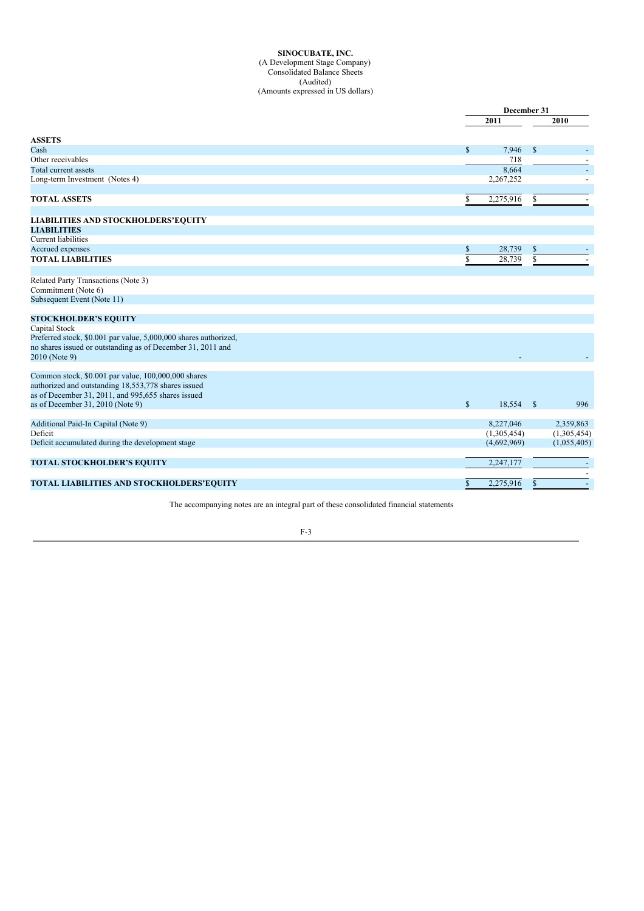#### **SINOCUBATE, INC.** (A Development Stage Company) Consolidated Balance Sheets (Audited) (Amounts expressed in US dollars)

|                                                                  |              | December 31 |    |                          |  |
|------------------------------------------------------------------|--------------|-------------|----|--------------------------|--|
|                                                                  |              | 2011        |    | 2010                     |  |
| <b>ASSETS</b>                                                    |              |             |    |                          |  |
| Cash                                                             | $\mathbb{S}$ | 7,946       | \$ | $\overline{\phantom{a}}$ |  |
| Other receivables                                                |              | 718         |    |                          |  |
| Total current assets                                             |              | 8,664       |    | $\overline{\phantom{a}}$ |  |
| Long-term Investment (Notes 4)                                   |              | 2,267,252   |    |                          |  |
|                                                                  |              |             |    |                          |  |
| <b>TOTAL ASSETS</b>                                              | \$           | 2,275,916   | \$ |                          |  |
|                                                                  |              |             |    |                          |  |
| <b>LIABILITIES AND STOCKHOLDERS'EQUITY</b>                       |              |             |    |                          |  |
| <b>LIABILITIES</b>                                               |              |             |    |                          |  |
| <b>Current</b> liabilities                                       |              |             |    |                          |  |
| Accrued expenses                                                 | \$           | 28,739      | \$ |                          |  |
| <b>TOTAL LIABILITIES</b>                                         | $\mathbf S$  | 28,739      | \$ |                          |  |
| Related Party Transactions (Note 3)                              |              |             |    |                          |  |
| Commitment (Note 6)                                              |              |             |    |                          |  |
| Subsequent Event (Note 11)                                       |              |             |    |                          |  |
| <b>STOCKHOLDER'S EQUITY</b>                                      |              |             |    |                          |  |
| Capital Stock                                                    |              |             |    |                          |  |
| Preferred stock, \$0.001 par value, 5,000,000 shares authorized, |              |             |    |                          |  |
| no shares issued or outstanding as of December 31, 2011 and      |              |             |    |                          |  |
| 2010 (Note 9)                                                    |              |             |    |                          |  |
| Common stock, \$0.001 par value, 100,000,000 shares              |              |             |    |                          |  |
| authorized and outstanding 18,553,778 shares issued              |              |             |    |                          |  |
| as of December 31, 2011, and 995,655 shares issued               |              |             |    |                          |  |
| as of December 31, 2010 (Note 9)                                 | $\mathbb{S}$ | 18,554 \$   |    | 996                      |  |
| Additional Paid-In Capital (Note 9)                              |              | 8,227,046   |    | 2,359,863                |  |
| Deficit                                                          |              | (1,305,454) |    | (1,305,454)              |  |
| Deficit accumulated during the development stage                 |              | (4,692,969) |    | (1,055,405)              |  |
| <b>TOTAL STOCKHOLDER'S EQUITY</b>                                |              | 2,247,177   |    |                          |  |
|                                                                  |              |             |    |                          |  |
| TOTAL LIABILITIES AND STOCKHOLDERS'EQUITY                        | \$           | 2,275,916   | \$ |                          |  |

The accompanying notes are an integral part of these consolidated financial statements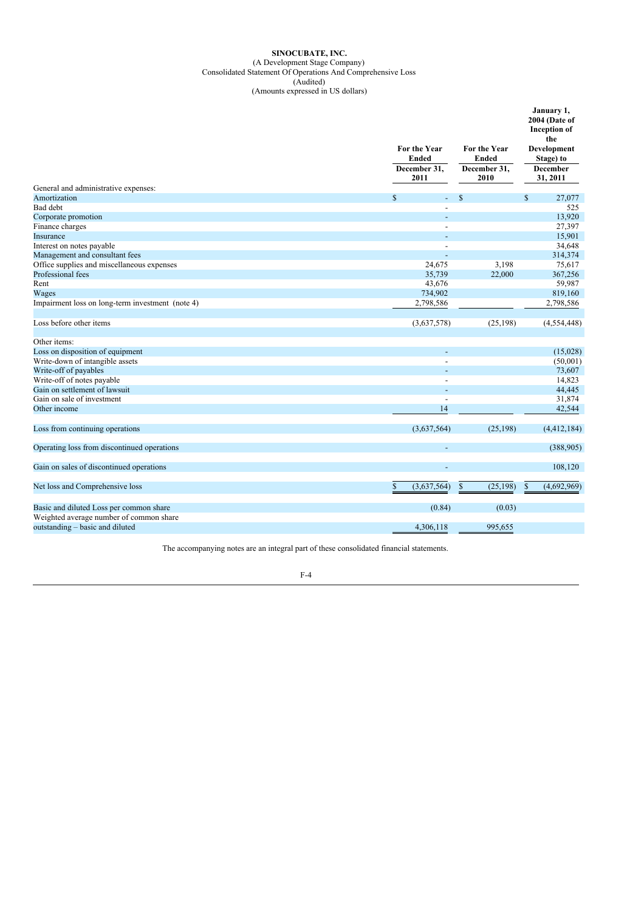## **SINOCUBATE, INC.** (A Development Stage Company) Consolidated Statement Of Operations And Comprehensive Loss (Audited)

(Amounts expressed in US dollars)

|                                                  | For the Year<br><b>Ended</b><br>December 31,<br>2011 | For the Year<br>Ended<br>December 31,<br>2010 | January 1,<br>2004 (Date of<br><b>Inception</b> of<br>the<br>Development<br>Stage) to<br><b>December</b><br>31, 2011 |  |  |
|--------------------------------------------------|------------------------------------------------------|-----------------------------------------------|----------------------------------------------------------------------------------------------------------------------|--|--|
| General and administrative expenses:             |                                                      |                                               |                                                                                                                      |  |  |
| Amortization                                     | $\mathbb{S}$<br>$\blacksquare$                       | $\mathcal{S}$                                 | $\mathbb{S}$<br>27,077                                                                                               |  |  |
| Bad debt                                         |                                                      |                                               | 525                                                                                                                  |  |  |
| Corporate promotion                              |                                                      |                                               | 13,920                                                                                                               |  |  |
| Finance charges                                  |                                                      |                                               | 27,397                                                                                                               |  |  |
| Insurance                                        | $\overline{a}$                                       |                                               | 15,901                                                                                                               |  |  |
| Interest on notes payable                        |                                                      |                                               | 34,648                                                                                                               |  |  |
| Management and consultant fees                   | $\overline{a}$                                       |                                               | 314,374                                                                                                              |  |  |
| Office supplies and miscellaneous expenses       | 24,675                                               | 3,198                                         | 75,617                                                                                                               |  |  |
| Professional fees                                | 35,739                                               | 22,000                                        | 367,256                                                                                                              |  |  |
| Rent                                             | 43,676                                               |                                               | 59,987                                                                                                               |  |  |
| Wages                                            | 734,902                                              |                                               | 819,160                                                                                                              |  |  |
| Impairment loss on long-term investment (note 4) | 2,798,586                                            |                                               | 2,798,586                                                                                                            |  |  |
| Loss before other items                          | (3,637,578)                                          | (25, 198)                                     | (4,554,448)                                                                                                          |  |  |
| Other items:                                     |                                                      |                                               |                                                                                                                      |  |  |
| Loss on disposition of equipment                 |                                                      |                                               | (15,028)                                                                                                             |  |  |
| Write-down of intangible assets                  |                                                      |                                               | (50,001)                                                                                                             |  |  |
| Write-off of payables                            |                                                      |                                               | 73,607                                                                                                               |  |  |
| Write-off of notes payable                       |                                                      |                                               | 14,823                                                                                                               |  |  |
| Gain on settlement of lawsuit                    |                                                      |                                               | 44,445                                                                                                               |  |  |
| Gain on sale of investment                       | $\overline{a}$                                       |                                               | 31,874                                                                                                               |  |  |
| Other income                                     | 14                                                   |                                               | 42,544                                                                                                               |  |  |
| Loss from continuing operations                  | (3,637,564)                                          | (25, 198)                                     | (4,412,184)                                                                                                          |  |  |
| Operating loss from discontinued operations      | $\overline{a}$                                       |                                               | (388,905)                                                                                                            |  |  |
| Gain on sales of discontinued operations         | ÷                                                    |                                               | 108,120                                                                                                              |  |  |
| Net loss and Comprehensive loss                  | $\mathbf{\$}$<br>(3,637,564)                         | $\mathcal{S}$<br>(25, 198)                    | (4,692,969)<br>\$                                                                                                    |  |  |
| Basic and diluted Loss per common share          | (0.84)                                               | (0.03)                                        |                                                                                                                      |  |  |
| Weighted average number of common share          |                                                      |                                               |                                                                                                                      |  |  |
| outstanding – basic and diluted                  | 4,306,118                                            | 995,655                                       |                                                                                                                      |  |  |

The accompanying notes are an integral part of these consolidated financial statements.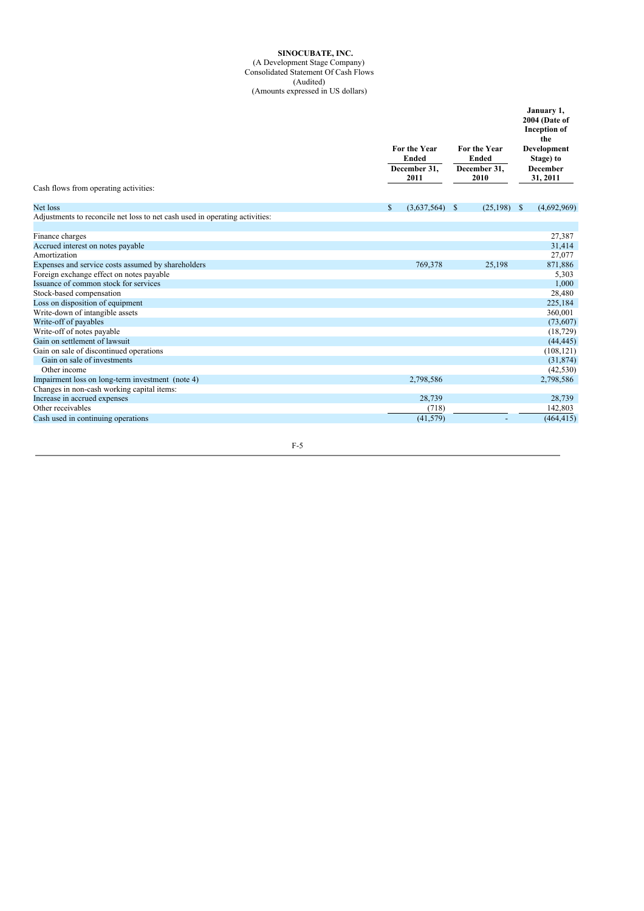#### **SINOCUBATE, INC.**

**January 1,**

(A Development Stage Company) Consolidated Statement Of Cash Flows

(Audited) (Amounts expressed in US dollars)

| Cash flows from operating activities:                                       | For the Year<br><b>Ended</b><br>December 31.<br>2011 | For the Year<br><b>Ended</b><br>December 31,<br>2010 | 2004 (Date of<br><b>Inception</b> of<br>the<br>Development<br>Stage) to<br><b>December</b><br>31, 2011 |  |
|-----------------------------------------------------------------------------|------------------------------------------------------|------------------------------------------------------|--------------------------------------------------------------------------------------------------------|--|
|                                                                             |                                                      |                                                      |                                                                                                        |  |
| Net loss                                                                    | <sup>\$</sup><br>$(3,637,564)$ \$                    | $(25,198)$ \$                                        | (4,692,969)                                                                                            |  |
| Adjustments to reconcile net loss to net cash used in operating activities: |                                                      |                                                      |                                                                                                        |  |
| Finance charges                                                             |                                                      |                                                      | 27,387                                                                                                 |  |
| Accrued interest on notes payable                                           |                                                      |                                                      | 31,414                                                                                                 |  |
| Amortization                                                                |                                                      |                                                      | 27,077                                                                                                 |  |
| Expenses and service costs assumed by shareholders                          | 769,378                                              | 25,198                                               | 871,886                                                                                                |  |
| Foreign exchange effect on notes payable                                    |                                                      |                                                      | 5,303                                                                                                  |  |
| Issuance of common stock for services                                       |                                                      |                                                      | 1,000                                                                                                  |  |
| Stock-based compensation                                                    |                                                      |                                                      | 28,480                                                                                                 |  |
| Loss on disposition of equipment                                            |                                                      |                                                      | 225,184                                                                                                |  |
| Write-down of intangible assets                                             |                                                      |                                                      | 360,001                                                                                                |  |
| Write-off of payables                                                       |                                                      |                                                      | (73,607)                                                                                               |  |
| Write-off of notes payable                                                  |                                                      |                                                      | (18, 729)                                                                                              |  |
| Gain on settlement of lawsuit                                               |                                                      |                                                      | (44, 445)                                                                                              |  |
| Gain on sale of discontinued operations                                     |                                                      |                                                      | (108, 121)                                                                                             |  |
| Gain on sale of investments                                                 |                                                      |                                                      | (31, 874)                                                                                              |  |
| Other income                                                                |                                                      |                                                      | (42, 530)                                                                                              |  |
| Impairment loss on long-term investment (note 4)                            | 2,798,586                                            |                                                      | 2,798,586                                                                                              |  |
| Changes in non-cash working capital items:                                  |                                                      |                                                      |                                                                                                        |  |
| Increase in accrued expenses                                                | 28,739                                               |                                                      | 28,739                                                                                                 |  |
| Other receivables                                                           | (718)                                                |                                                      | 142,803                                                                                                |  |
| Cash used in continuing operations                                          | (41, 579)                                            |                                                      | (464, 415)                                                                                             |  |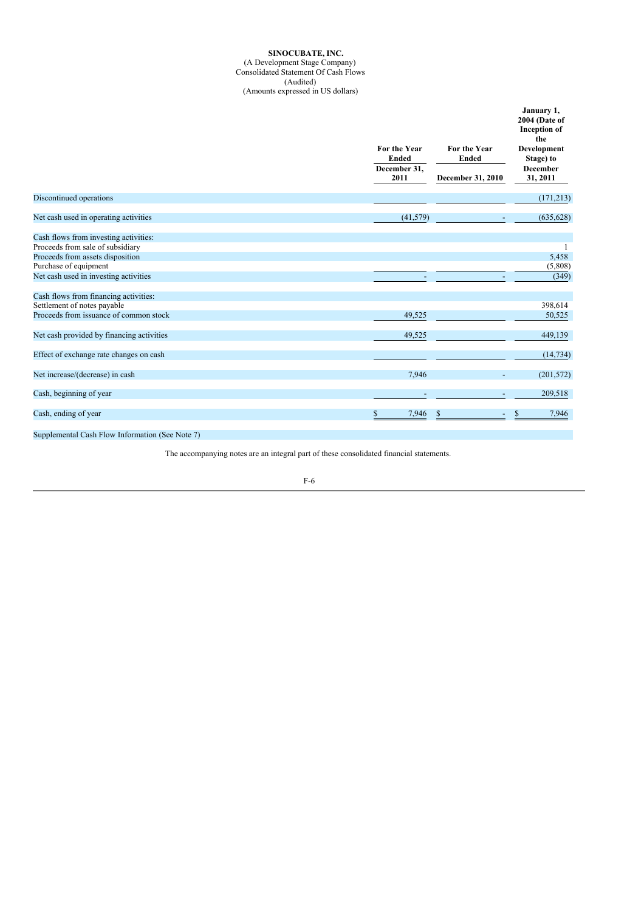### **SINOCUBATE, INC.** (A Development Stage Company) Consolidated Statement Of Cash Flows (Audited) (Amounts expressed in US dollars)

|                                           | For the Year<br><b>Ended</b><br>December 31,<br>2011 | For the Year<br><b>Ended</b><br>December 31, 2010 | January 1,<br>2004 (Date of<br><b>Inception</b> of<br>the<br>Development<br>Stage) to<br><b>December</b><br>31, 2011 |
|-------------------------------------------|------------------------------------------------------|---------------------------------------------------|----------------------------------------------------------------------------------------------------------------------|
| Discontinued operations                   |                                                      |                                                   | (171, 213)                                                                                                           |
| Net cash used in operating activities     | (41, 579)                                            |                                                   | (635, 628)                                                                                                           |
| Cash flows from investing activities:     |                                                      |                                                   |                                                                                                                      |
| Proceeds from sale of subsidiary          |                                                      |                                                   |                                                                                                                      |
| Proceeds from assets disposition          |                                                      |                                                   | 5,458                                                                                                                |
| Purchase of equipment                     |                                                      |                                                   | (5,808)                                                                                                              |
| Net cash used in investing activities     |                                                      |                                                   | (349)                                                                                                                |
| Cash flows from financing activities:     |                                                      |                                                   |                                                                                                                      |
| Settlement of notes payable               |                                                      |                                                   | 398,614                                                                                                              |
| Proceeds from issuance of common stock    | 49,525                                               |                                                   | 50,525                                                                                                               |
| Net cash provided by financing activities | 49,525                                               |                                                   | 449,139                                                                                                              |
| Effect of exchange rate changes on cash   |                                                      |                                                   | (14, 734)                                                                                                            |
| Net increase/(decrease) in cash           | 7,946                                                |                                                   | (201, 572)                                                                                                           |
| Cash, beginning of year                   | $\overline{\phantom{0}}$                             |                                                   | 209,518                                                                                                              |
| Cash, ending of year                      | \$<br>7,946                                          | S                                                 | 7,946                                                                                                                |
|                                           |                                                      |                                                   |                                                                                                                      |

Supplemental Cash Flow Information (See Note 7)

The accompanying notes are an integral part of these consolidated financial statements.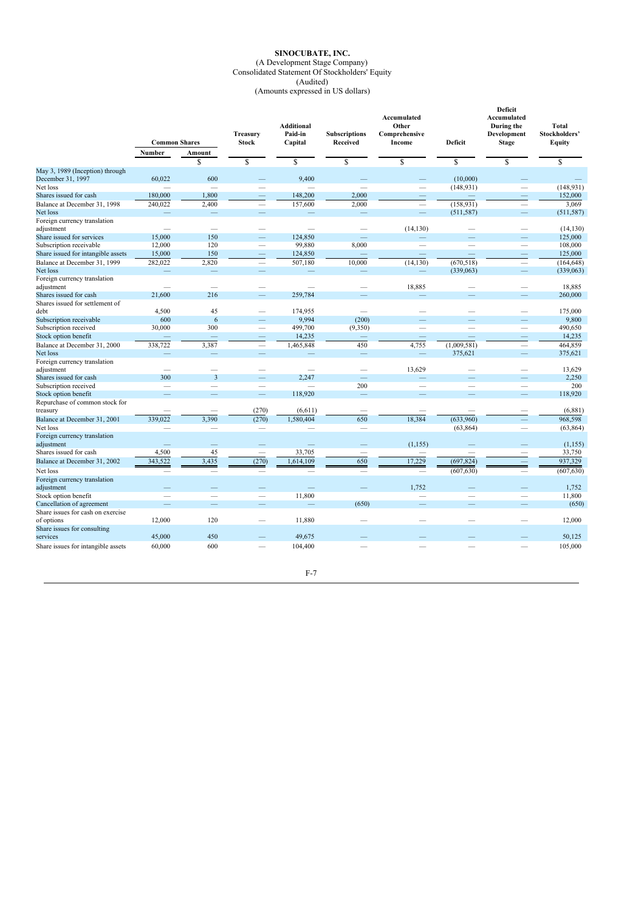## **SINOCUBATE, INC.** (A Development Stage Company) Consolidated Statement Of Stockholders' Equity (Audited)

(Amounts expressed in US dollars)

|                                                      | <b>Common Shares</b> |                          | Treasury<br><b>Stock</b> | <b>Additional</b><br>Paid-in<br>Capital | <b>Subscriptions</b><br>Received | Accumulated<br>Other<br>Comprehensive<br>Income | Deficit                  | Deficit<br>Accumulated<br>During the<br>Development<br><b>Stage</b> | Total<br>Stockholders'<br>Equity |
|------------------------------------------------------|----------------------|--------------------------|--------------------------|-----------------------------------------|----------------------------------|-------------------------------------------------|--------------------------|---------------------------------------------------------------------|----------------------------------|
|                                                      |                      |                          |                          |                                         |                                  |                                                 |                          |                                                                     |                                  |
|                                                      | Number               | Amount<br>\$             | \$                       | \$                                      | \$                               | \$                                              | $\mathbf S$              | \$                                                                  | \$                               |
|                                                      |                      |                          |                          |                                         |                                  |                                                 |                          |                                                                     |                                  |
| May 3, 1989 (Inception) through<br>December 31, 1997 | 60,022               | 600                      |                          | 9,400                                   |                                  |                                                 | (10,000)                 |                                                                     |                                  |
| Net loss                                             |                      |                          |                          |                                         |                                  | -                                               | (148, 931)               |                                                                     | (148, 931)                       |
| Shares issued for cash                               | 180,000              | 1,800                    |                          | 148,200                                 | 2,000                            |                                                 |                          |                                                                     | 152,000                          |
| Balance at December 31, 1998                         | 240,022              | 2,400                    | $\overline{\phantom{0}}$ | 157,600                                 | 2,000                            | $\overline{\phantom{a}}$                        | (158, 931)               |                                                                     | 3,069                            |
| Net loss                                             |                      |                          | -                        |                                         |                                  | $\overline{\phantom{a}}$                        | (511, 587)               | -                                                                   | (511, 587)                       |
| Foreign currency translation                         |                      |                          |                          |                                         |                                  |                                                 |                          |                                                                     |                                  |
| adjustment                                           |                      | $\overline{\phantom{0}}$ |                          | ÷.                                      |                                  | (14, 130)                                       |                          | L.                                                                  | (14, 130)                        |
| Share issued for services                            | 15,000               | 150                      |                          | 124,850                                 |                                  |                                                 |                          |                                                                     | 125,000                          |
| Subscription receivable                              | 12,000               | 120                      | -                        | 99,880                                  | 8,000                            | $\overline{\phantom{0}}$                        | $\overline{\phantom{0}}$ | $\overline{\phantom{0}}$                                            | 108,000                          |
| Share issued for intangible assets                   | 15,000               | 150                      | -                        | 124,850                                 |                                  | $\overline{\phantom{0}}$                        | $\overline{\phantom{0}}$ | -                                                                   | 125,000                          |
| Balance at December 31, 1999                         | 282,022              | 2,820                    | $\overline{\phantom{m}}$ | 507,180                                 | 10,000                           | (14, 130)                                       | (670, 518)               |                                                                     | (164, 648)                       |
| Net loss                                             |                      |                          |                          |                                         |                                  | -                                               | (339,063)                |                                                                     | (339,063)                        |
| Foreign currency translation                         |                      |                          |                          |                                         |                                  |                                                 |                          |                                                                     |                                  |
| adjustment                                           |                      | -                        |                          | -                                       |                                  | 18,885                                          |                          |                                                                     | 18,885                           |
| Shares issued for cash                               | 21,600               | 216                      |                          | 259,784                                 |                                  |                                                 |                          |                                                                     | 260,000                          |
| Shares issued for settlement of                      |                      |                          |                          |                                         |                                  |                                                 |                          |                                                                     |                                  |
| debt                                                 | 4,500                | 45                       |                          | 174,955                                 | $\overline{\phantom{a}}$         |                                                 |                          | $\overline{\phantom{0}}$                                            | 175,000                          |
| Subscription receivable                              | 600                  | 6                        |                          | 9,994                                   | (200)                            |                                                 |                          |                                                                     | 9,800                            |
| Subscription received                                | 30,000               | 300                      |                          | 499,700                                 | (9,350)                          |                                                 |                          |                                                                     | 490,650                          |
| Stock option benefit                                 |                      |                          |                          | 14,235                                  |                                  | $\overline{\phantom{a}}$                        |                          | -                                                                   | 14,235                           |
| Balance at December 31, 2000                         | 338,722              | 3,387                    | -                        | 1,465,848                               | 450                              | 4,755                                           | (1,009,581)              | -                                                                   | 464,859                          |
| Net loss                                             |                      | $\overline{\phantom{0}}$ | -                        |                                         | -                                |                                                 | 375,621                  |                                                                     | 375,621                          |
| Foreign currency translation                         |                      |                          |                          |                                         |                                  |                                                 |                          |                                                                     |                                  |
| adjustment                                           |                      | $\overline{\phantom{a}}$ |                          | -                                       | $\overline{\phantom{a}}$         | 13,629                                          |                          | -                                                                   | 13,629                           |
| Shares issued for cash                               | 300                  | $\overline{3}$           |                          | 2,247                                   | $\overline{\phantom{0}}$         |                                                 |                          |                                                                     | 2,250                            |
| Subscription received                                |                      | -                        |                          |                                         | 200                              |                                                 | -                        | -                                                                   | 200                              |
| Stock option benefit                                 |                      |                          |                          | 118,920                                 | ۳                                |                                                 |                          |                                                                     | 118,920                          |
| Repurchase of common stock for                       |                      |                          |                          |                                         |                                  |                                                 |                          |                                                                     |                                  |
| treasury                                             |                      |                          | (270)                    | (6, 611)                                |                                  |                                                 |                          |                                                                     | (6,881)                          |
| Balance at December 31, 2001                         | 339,022              | 3,390                    | (270)                    | 1,580,404                               | 650                              | 18,384                                          | (633,960)                |                                                                     | 968,598                          |
| Net loss                                             |                      |                          | -                        |                                         | $\overline{\phantom{a}}$         |                                                 | (63, 864)                |                                                                     | (63, 864)                        |
| Foreign currency translation                         |                      |                          |                          |                                         |                                  |                                                 |                          |                                                                     |                                  |
| adjustment                                           |                      |                          |                          |                                         |                                  | (1, 155)                                        |                          |                                                                     | (1, 155)                         |
| Shares issued for cash                               | 4,500                | 45                       | -                        | 33,705                                  | $\overline{\phantom{a}}$         |                                                 |                          |                                                                     | 33,750                           |
| Balance at December 31, 2002                         | 343,522              | 3,435                    | (270)                    | 1,614,109                               | 650                              | 17,229                                          | (697, 824)               | -                                                                   | 937,329                          |
| Net loss                                             |                      |                          |                          |                                         |                                  |                                                 | (607, 630)               |                                                                     | (607, 630)                       |
| Foreign currency translation                         |                      |                          |                          |                                         |                                  |                                                 |                          |                                                                     |                                  |
| adjustment                                           |                      |                          |                          |                                         |                                  | 1,752                                           |                          |                                                                     | 1,752                            |
| Stock option benefit                                 |                      |                          |                          | 11,800                                  |                                  |                                                 |                          |                                                                     | 11,800                           |
| Cancellation of agreement                            |                      |                          |                          | -                                       | (650)                            |                                                 |                          |                                                                     | (650)                            |
| Share issues for cash on exercise                    |                      |                          |                          |                                         |                                  |                                                 |                          |                                                                     |                                  |
| of options                                           | 12,000               | 120                      |                          | 11,880                                  |                                  |                                                 |                          |                                                                     | 12,000                           |
| Share issues for consulting                          |                      |                          |                          |                                         |                                  |                                                 |                          |                                                                     |                                  |
| services                                             | 45,000               | 450                      |                          | 49,675                                  |                                  |                                                 |                          |                                                                     | 50,125                           |
| Share issues for intangible assets                   | 60,000               | 600                      |                          | 104,400                                 |                                  |                                                 |                          |                                                                     | 105,000                          |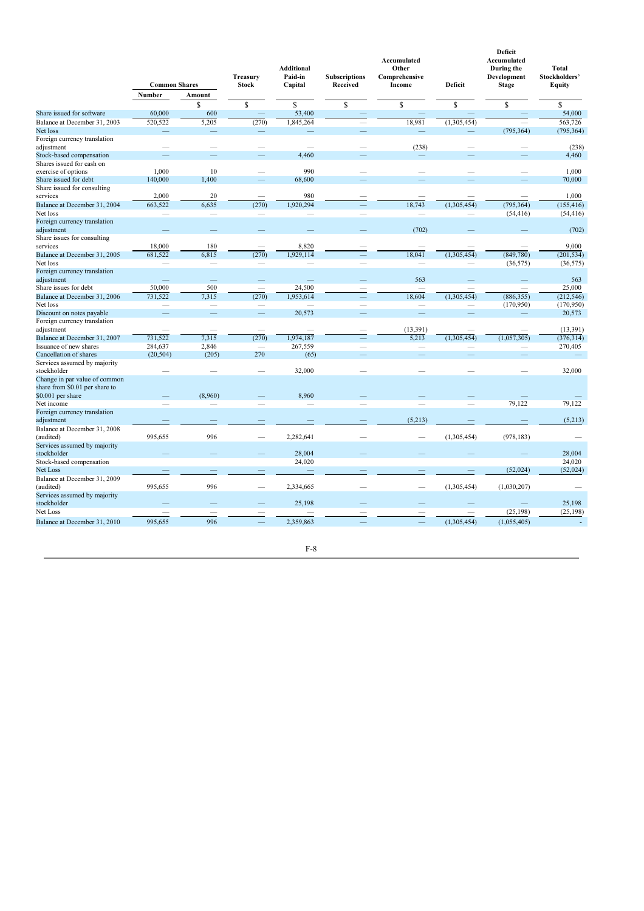|                                                                 | <b>Common Shares</b>     |               |                          |           | <b>Treasury</b><br><b>Stock</b> | <b>Additional</b><br>Paid-in<br>Capital | <b>Subscriptions</b><br>Received | Accumulated<br>Other<br>Comprehensive<br>Income | Deficit    | Deficit<br>Accumulated<br>During the<br>Development<br><b>Stage</b> | <b>Total</b><br>Stockholders'<br>Equity |
|-----------------------------------------------------------------|--------------------------|---------------|--------------------------|-----------|---------------------------------|-----------------------------------------|----------------------------------|-------------------------------------------------|------------|---------------------------------------------------------------------|-----------------------------------------|
|                                                                 | Number                   | Amount        |                          |           |                                 |                                         |                                  |                                                 |            |                                                                     |                                         |
|                                                                 |                          | \$            | \$                       | \$        | S                               | $\mathbb{S}$                            | \$                               | $\mathbb{S}$                                    | \$         |                                                                     |                                         |
| Share issued for software                                       | 60,000                   | 600           |                          | 53,400    |                                 |                                         |                                  |                                                 | 54,000     |                                                                     |                                         |
| Balance at December 31, 2003                                    | 520,522                  | 5,205         | (270)                    | 1,845,264 |                                 | 18,981<br>L.                            | (1,305,454)                      |                                                 | 563,726    |                                                                     |                                         |
| Net loss                                                        |                          |               |                          |           |                                 |                                         |                                  | (795, 364)                                      | (795, 364) |                                                                     |                                         |
| Foreign currency translation<br>adjustment                      |                          |               |                          |           |                                 | (238)                                   |                                  |                                                 | (238)      |                                                                     |                                         |
| Stock-based compensation                                        |                          |               |                          | 4,460     |                                 |                                         |                                  |                                                 | 4,460      |                                                                     |                                         |
| Shares issued for cash on                                       |                          |               |                          |           |                                 |                                         |                                  |                                                 |            |                                                                     |                                         |
| exercise of options                                             | 1,000                    | 10            |                          | 990       |                                 |                                         |                                  |                                                 | 1,000      |                                                                     |                                         |
| Share issued for debt                                           | 140,000                  | 1,400         |                          | 68,600    |                                 |                                         |                                  |                                                 | 70,000     |                                                                     |                                         |
| Share issued for consulting                                     |                          |               |                          |           |                                 |                                         |                                  |                                                 |            |                                                                     |                                         |
| services                                                        | 2,000                    | 20            |                          | 980       |                                 |                                         |                                  |                                                 | 1,000      |                                                                     |                                         |
| Balance at December 31, 2004                                    | 663,522                  | 6,635         | (270)                    | 1,920,294 |                                 | 18,743                                  | (1,305,454)                      | (795, 364)                                      | (155, 416) |                                                                     |                                         |
| Net loss                                                        |                          |               |                          |           |                                 |                                         |                                  | (54, 416)                                       | (54, 416)  |                                                                     |                                         |
| Foreign currency translation<br>adjustment                      |                          |               |                          |           |                                 | (702)                                   |                                  |                                                 | (702)      |                                                                     |                                         |
| Share issues for consulting                                     |                          |               |                          |           |                                 |                                         |                                  |                                                 |            |                                                                     |                                         |
| services                                                        | 18,000                   | 180           |                          | 8,820     |                                 |                                         |                                  |                                                 | 9,000      |                                                                     |                                         |
| Balance at December 31, 2005                                    | 681,522                  | 6,815         | (270)                    | 1,929,114 |                                 | 18,041                                  | (1,305,454)                      | (849,780)                                       | (201, 534) |                                                                     |                                         |
| Net loss                                                        |                          | $\frac{1}{2}$ |                          |           |                                 |                                         | -                                | (36, 575)                                       | (36, 575)  |                                                                     |                                         |
| Foreign currency translation<br>adjustment                      |                          |               |                          |           |                                 | 563                                     |                                  |                                                 | 563        |                                                                     |                                         |
| Share issues for debt                                           | 50,000                   | 500           | $\overline{\phantom{m}}$ | 24,500    |                                 | $\overline{\phantom{0}}$                |                                  | $\overline{\phantom{a}}$                        | 25,000     |                                                                     |                                         |
| Balance at December 31, 2006                                    | 731,522                  | 7.315         | (270)                    | 1,953,614 |                                 | 18.604                                  | (1,305,454)                      | (886, 355)                                      | (212, 546) |                                                                     |                                         |
| Net loss                                                        |                          |               |                          |           |                                 |                                         | -                                | (170,950)                                       | (170, 950) |                                                                     |                                         |
| Discount on notes payable                                       | $\overline{\phantom{0}}$ | -             | ÷,                       | 20,573    |                                 | $\overline{\phantom{0}}$                | -                                |                                                 | 20,573     |                                                                     |                                         |
| Foreign currency translation                                    |                          |               |                          |           |                                 |                                         |                                  |                                                 |            |                                                                     |                                         |
| adjustment                                                      |                          |               | $\overline{\phantom{a}}$ |           |                                 | (13, 391)                               |                                  |                                                 | (13, 391)  |                                                                     |                                         |
| Balance at December 31, 2007                                    | 731.522                  | 7,315         | (270)                    | 1,974,187 |                                 | 5,213                                   | (1,305,454)                      | (1,057,305)                                     | (376, 314) |                                                                     |                                         |
| Issuance of new shares                                          | 284,637                  | 2,846         |                          | 267,559   |                                 |                                         |                                  |                                                 | 270,405    |                                                                     |                                         |
| Cancellation of shares                                          | (20, 504)                | (205)         | 270                      | (65)      |                                 | -                                       |                                  | -                                               |            |                                                                     |                                         |
| Services assumed by majority                                    |                          |               |                          |           |                                 |                                         |                                  |                                                 |            |                                                                     |                                         |
| stockholder                                                     |                          |               |                          | 32,000    |                                 |                                         |                                  |                                                 | 32,000     |                                                                     |                                         |
| Change in par value of common<br>share from \$0.01 per share to |                          |               |                          |           |                                 |                                         |                                  |                                                 |            |                                                                     |                                         |
| \$0.001 per share                                               |                          | (8,960)       |                          | 8,960     |                                 |                                         |                                  |                                                 |            |                                                                     |                                         |
| Net income                                                      |                          |               |                          |           |                                 |                                         |                                  | 79,122                                          | 79,122     |                                                                     |                                         |
| Foreign currency translation                                    |                          |               |                          |           |                                 |                                         |                                  |                                                 |            |                                                                     |                                         |
| adjustment                                                      |                          |               |                          |           |                                 | (5,213)                                 |                                  |                                                 | (5,213)    |                                                                     |                                         |
| Balance at December 31, 2008<br>(audited)                       | 995,655                  | 996           | $\overline{\phantom{a}}$ | 2,282,641 |                                 |                                         | (1,305,454)                      | (978, 183)                                      |            |                                                                     |                                         |
| Services assumed by majority                                    |                          |               |                          |           |                                 |                                         |                                  |                                                 |            |                                                                     |                                         |
| stockholder                                                     |                          |               |                          | 28,004    |                                 |                                         |                                  |                                                 | 28,004     |                                                                     |                                         |
| Stock-based compensation                                        |                          |               |                          | 24,020    |                                 |                                         |                                  |                                                 | 24,020     |                                                                     |                                         |
| Net Loss                                                        |                          |               |                          |           |                                 |                                         |                                  | (52,024)                                        | (52, 024)  |                                                                     |                                         |
| Balance at December 31, 2009                                    |                          |               |                          |           |                                 |                                         |                                  |                                                 |            |                                                                     |                                         |
| (audited)                                                       | 995,655                  | 996           |                          | 2,334,665 |                                 |                                         | (1,305,454)                      | (1,030,207)                                     |            |                                                                     |                                         |
| Services assumed by majority                                    |                          |               |                          |           |                                 |                                         |                                  |                                                 |            |                                                                     |                                         |
| stockholder                                                     |                          |               |                          | 25,198    |                                 |                                         |                                  |                                                 | 25,198     |                                                                     |                                         |
| Net Loss                                                        |                          |               |                          |           |                                 |                                         |                                  | (25, 198)                                       | (25, 198)  |                                                                     |                                         |
| Balance at December 31, 2010                                    | 995,655                  | 996           |                          | 2,359,863 |                                 |                                         | (1,305,454)                      | (1,055,405)                                     |            |                                                                     |                                         |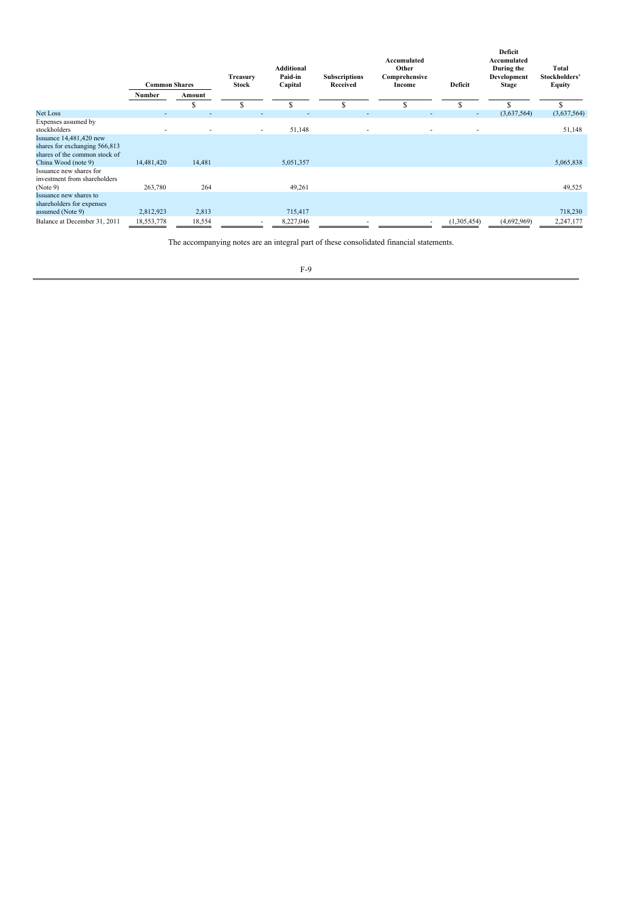|                                                                                             | <b>Common Shares</b> |        | Treasury<br><b>Stock</b> | <b>Additional</b><br>Paid-in<br>Capital |   | Accumulated<br>Other<br><b>Subscriptions</b><br>Comprehensive<br>Received<br>Income |             | Deficit<br>Accumulated<br>During the<br>Development<br><b>Stage</b> | Total<br>Stockholders'<br>Equity |  |
|---------------------------------------------------------------------------------------------|----------------------|--------|--------------------------|-----------------------------------------|---|-------------------------------------------------------------------------------------|-------------|---------------------------------------------------------------------|----------------------------------|--|
|                                                                                             | Number               | Amount |                          |                                         |   |                                                                                     |             |                                                                     |                                  |  |
|                                                                                             |                      | œ<br>ъ | c<br>э                   | \$                                      | ፍ | \$                                                                                  | S           |                                                                     |                                  |  |
| Net Loss                                                                                    |                      |        |                          |                                         | ۰ |                                                                                     | ٠           | (3,637,564)                                                         | (3,637,564)                      |  |
| Expenses assumed by<br>stockholders                                                         |                      |        | ٠                        | 51,148                                  | ٠ |                                                                                     |             |                                                                     | 51,148                           |  |
| Issuance $14,481,420$ new<br>shares for exchanging 566,813<br>shares of the common stock of |                      |        |                          |                                         |   |                                                                                     |             |                                                                     |                                  |  |
| China Wood (note 9)                                                                         | 14,481,420           | 14,481 |                          | 5,051,357                               |   |                                                                                     |             |                                                                     | 5,065,838                        |  |
| Issuance new shares for<br>investment from shareholders                                     |                      |        |                          |                                         |   |                                                                                     |             |                                                                     |                                  |  |
| (Note 9)                                                                                    | 263,780              | 264    |                          | 49,261                                  |   |                                                                                     |             |                                                                     | 49,525                           |  |
| Issuance new shares to<br>shareholders for expenses                                         |                      |        |                          |                                         |   |                                                                                     |             |                                                                     |                                  |  |
| assumed (Note 9)                                                                            | 2,812,923            | 2,813  |                          | 715,417                                 |   |                                                                                     |             |                                                                     | 718,230                          |  |
| Balance at December 31, 2011                                                                | 18,553,778           | 18,554 |                          | 8,227,046                               |   |                                                                                     | (1,305,454) | (4,692,969)                                                         | 2,247,177                        |  |

The accompanying notes are an integral part of these consolidated financial statements.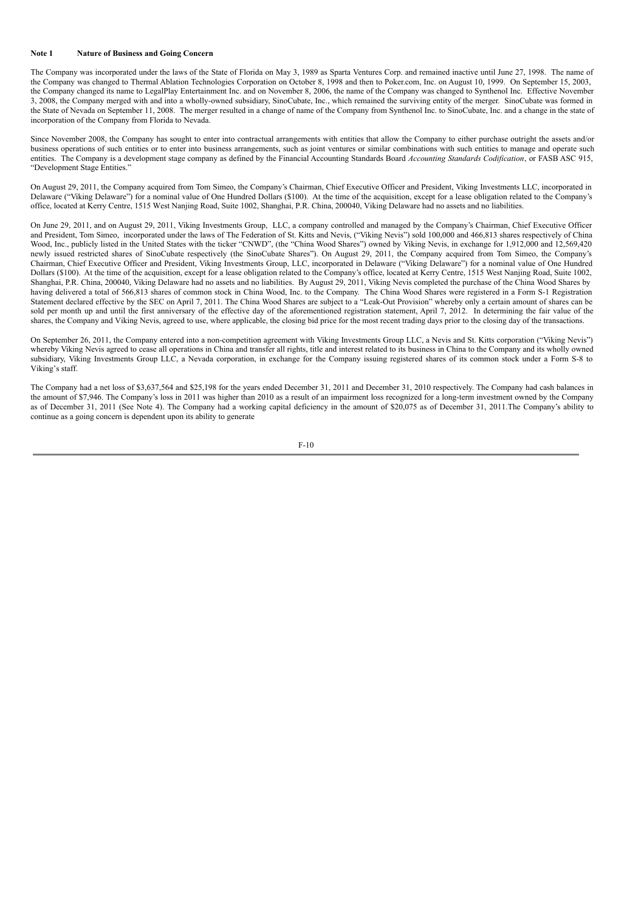#### **Note 1 Nature of Business and Going Concern**

The Company was incorporated under the laws of the State of Florida on May 3, 1989 as Sparta Ventures Corp. and remained inactive until June 27, 1998. The name of the Company was changed to Thermal Ablation Technologies Corporation on October 8, 1998 and then to Poker.com, Inc. on August 10, 1999. On September 15, 2003, the Company changed its name to LegalPlay Entertainment Inc. and on November 8, 2006, the name of the Company was changed to Synthenol Inc. Effective November 3, 2008, the Company merged with and into a wholly-owned subsidiary, SinoCubate, Inc., which remained the surviving entity of the merger. SinoCubate was formed in the State of Nevada on September 11, 2008. The merger resulted in a change of name of the Company from Synthenol Inc. to SinoCubate, Inc. and a change in the state of incorporation of the Company from Florida to Nevada.

Since November 2008, the Company has sought to enter into contractual arrangements with entities that allow the Company to either purchase outright the assets and/or business operations of such entities or to enter into business arrangements, such as joint ventures or similar combinations with such entities to manage and operate such entities. The Company is a development stage company as defined by the Financial Accounting Standards Board *Accounting Standards Codification*, or FASB ASC 915, "Development Stage Entities."

On August 29, 2011, the Company acquired from Tom Simeo, the Company's Chairman, Chief Executive Officer and President, Viking Investments LLC, incorporated in Delaware ("Viking Delaware") for a nominal value of One Hundred Dollars (\$100). At the time of the acquisition, except for a lease obligation related to the Company's office, located at Kerry Centre, 1515 West Nanjing Road, Suite 1002, Shanghai, P.R. China, 200040, Viking Delaware had no assets and no liabilities.

On June 29, 2011, and on August 29, 2011, Viking Investments Group, LLC, a company controlled and managed by the Company's Chairman, Chief Executive Officer and President, Tom Simeo, incorporated under the laws of The Federation of St. Kitts and Nevis, ("Viking Nevis") sold 100,000 and 466,813 shares respectively of China Wood, Inc., publicly listed in the United States with the ticker "CNWD", (the "China Wood Shares") owned by Viking Nevis, in exchange for 1,912,000 and 12,569,420 newly issued restricted shares of SinoCubate respectively (the SinoCubate Shares"). On August 29, 2011, the Company acquired from Tom Simeo, the Company's Chairman, Chief Executive Officer and President, Viking Investments Group, LLC, incorporated in Delaware ("Viking Delaware") for a nominal value of One Hundred Dollars (\$100). At the time of the acquisition, except for a lease obligation related to the Company's office, located at Kerry Centre, 1515 West Nanjing Road, Suite 1002, Shanghai, P.R. China, 200040, Viking Delaware had no assets and no liabilities. By August 29, 2011, Viking Nevis completed the purchase of the China Wood Shares by having delivered a total of 566,813 shares of common stock in China Wood, Inc. to the Company. The China Wood Shares were registered in a Form S-1 Registration Statement declared effective by the SEC on April 7, 2011. The China Wood Shares are subject to a "Leak-Out Provision" whereby only a certain amount of shares can be sold per month up and until the first anniversary of the effective day of the aforementioned registration statement, April 7, 2012. In determining the fair value of the shares, the Company and Viking Nevis, agreed to use, where applicable, the closing bid price for the most recent trading days prior to the closing day of the transactions.

On September 26, 2011, the Company entered into a non-competition agreement with Viking Investments Group LLC, a Nevis and St. Kitts corporation ("Viking Nevis") whereby Viking Nevis agreed to cease all operations in China and transfer all rights, title and interest related to its business in China to the Company and its wholly owned subsidiary, Viking Investments Group LLC, a Nevada corporation, in exchange for the Company issuing registered shares of its common stock under a Form S-8 to Viking's staff.

The Company had a net loss of \$3,637,564 and \$25,198 for the years ended December 31, 2011 and December 31, 2010 respectively. The Company had cash balances in the amount of \$7,946. The Company's loss in 2011 was higher than 2010 as a result of an impairment loss recognized for a long-term investment owned by the Company as of December 31, 2011 (See Note 4). The Company had a working capital deficiency in the amount of \$20,075 as of December 31, 2011.The Company's ability to continue as a going concern is dependent upon its ability to generate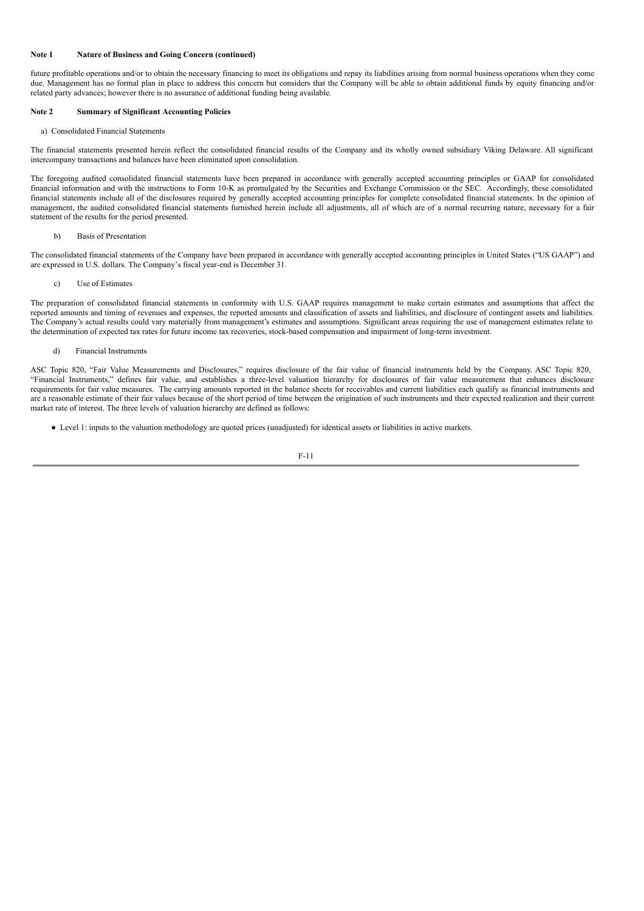## **Note 1 Nature of Business and Going Concern (continued)**

future profitable operations and/or to obtain the necessary financing to meet its obligations and repay its liabilities arising from normal business operations when they come due. Management has no formal plan in place to address this concern but considers that the Company will be able to obtain additional funds by equity financing and/or related party advances; however there is no assurance of additional funding being available.

## **Note 2 Summary of Significant Accounting Policies**

#### a) Consolidated Financial Statements

The financial statements presented herein reflect the consolidated financial results of the Company and its wholly owned subsidiary Viking Delaware. All significant intercompany transactions and balances have been eliminated upon consolidation.

The foregoing audited consolidated financial statements have been prepared in accordance with generally accepted accounting principles or GAAP for consolidated financial information and with the instructions to Form 10-K as promulgated by the Securities and Exchange Commission or the SEC. Accordingly, these consolidated financial statements include all of the disclosures required by generally accepted accounting principles for complete consolidated financial statements. In the opinion of management, the audited consolidated financial statements furnished herein include all adjustments, all of which are of a normal recurring nature, necessary for a fair statement of the results for the period presented.

#### b) Basis of Presentation

The consolidated financial statements of the Company have been prepared in accordance with generally accepted accounting principles in United States ("US GAAP") and are expressed in U.S. dollars. The Company's fiscal year-end is December 31.

#### c) Use of Estimates

The preparation of consolidated financial statements in conformity with U.S. GAAP requires management to make certain estimates and assumptions that affect the reported amounts and timing of revenues and expenses, the reported amounts and classification of assets and liabilities, and disclosure of contingent assets and liabilities. The Company's actual results could vary materially from management's estimates and assumptions. Significant areas requiring the use of management estimates relate to the determination of expected tax rates for future income tax recoveries, stock-based compensation and impairment of long-term investment.

#### d) Financial Instruments

ASC Topic 820, "Fair Value Measurements and Disclosures," requires disclosure of the fair value of financial instruments held by the Company. ASC Topic 820, "Financial Instruments," defines fair value, and establishes a three-level valuation hierarchy for disclosures of fair value measurement that enhances disclosure requirements for fair value measures. The carrying amounts reported in the balance sheets for receivables and current liabilities each qualify as financial instruments and are a reasonable estimate of their fair values because of the short period of time between the origination of such instruments and their expected realization and their current market rate of interest. The three levels of valuation hierarchy are defined as follows:

● Level 1: inputs to the valuation methodology are quoted prices (unadjusted) for identical assets or liabilities in active markets.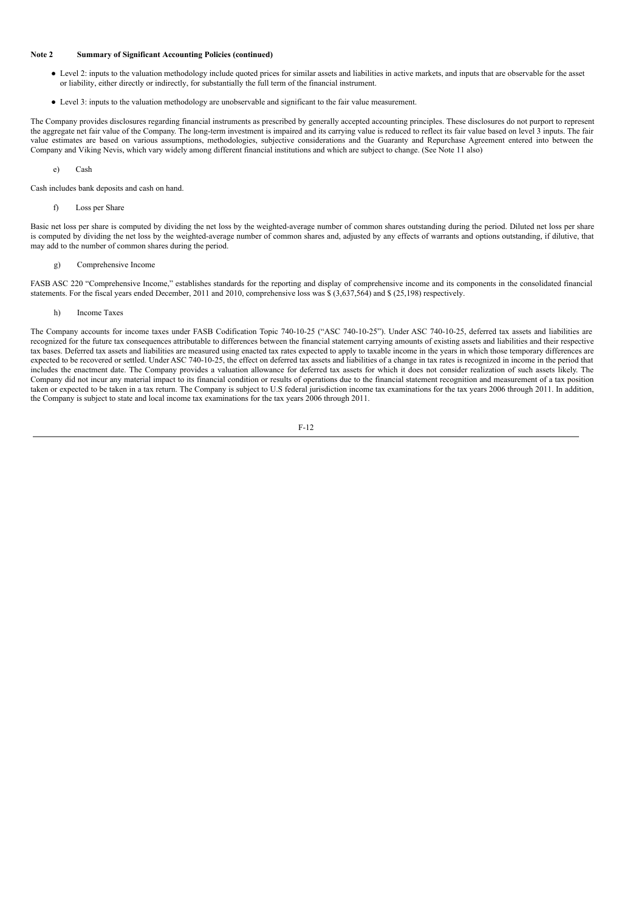## **Note 2 Summary of Significant Accounting Policies (continued)**

- Level 2: inputs to the valuation methodology include quoted prices for similar assets and liabilities in active markets, and inputs that are observable for the asset or liability, either directly or indirectly, for substantially the full term of the financial instrument.
- Level 3: inputs to the valuation methodology are unobservable and significant to the fair value measurement.

The Company provides disclosures regarding financial instruments as prescribed by generally accepted accounting principles. These disclosures do not purport to represent the aggregate net fair value of the Company. The long-term investment is impaired and its carrying value is reduced to reflect its fair value based on level 3 inputs. The fair value estimates are based on various assumptions, methodologies, subjective considerations and the Guaranty and Repurchase Agreement entered into between the Company and Viking Nevis, which vary widely among different financial institutions and which are subject to change. (See Note 11 also)

e) Cash

Cash includes bank deposits and cash on hand.

f) Loss per Share

Basic net loss per share is computed by dividing the net loss by the weighted-average number of common shares outstanding during the period. Diluted net loss per share is computed by dividing the net loss by the weighted-average number of common shares and, adjusted by any effects of warrants and options outstanding, if dilutive, that may add to the number of common shares during the period.

## g) Comprehensive Income

FASB ASC 220 "Comprehensive Income," establishes standards for the reporting and display of comprehensive income and its components in the consolidated financial statements. For the fiscal years ended December, 2011 and 2010, comprehensive loss was \$ (3,637,564) and \$ (25,198) respectively.

### h) Income Taxes

The Company accounts for income taxes under FASB Codification Topic 740-10-25 ("ASC 740-10-25"). Under ASC 740-10-25, deferred tax assets and liabilities are recognized for the future tax consequences attributable to differences between the financial statement carrying amounts of existing assets and liabilities and their respective tax bases. Deferred tax assets and liabilities are measured using enacted tax rates expected to apply to taxable income in the years in which those temporary differences are expected to be recovered or settled. Under ASC 740-10-25, the effect on deferred tax assets and liabilities of a change in tax rates is recognized in income in the period that includes the enactment date. The Company provides a valuation allowance for deferred tax assets for which it does not consider realization of such assets likely. The Company did not incur any material impact to its financial condition or results of operations due to the financial statement recognition and measurement of a tax position taken or expected to be taken in a tax return. The Company is subject to U.S federal jurisdiction income tax examinations for the tax years 2006 through 2011. In addition, the Company is subject to state and local income tax examinations for the tax years 2006 through 2011.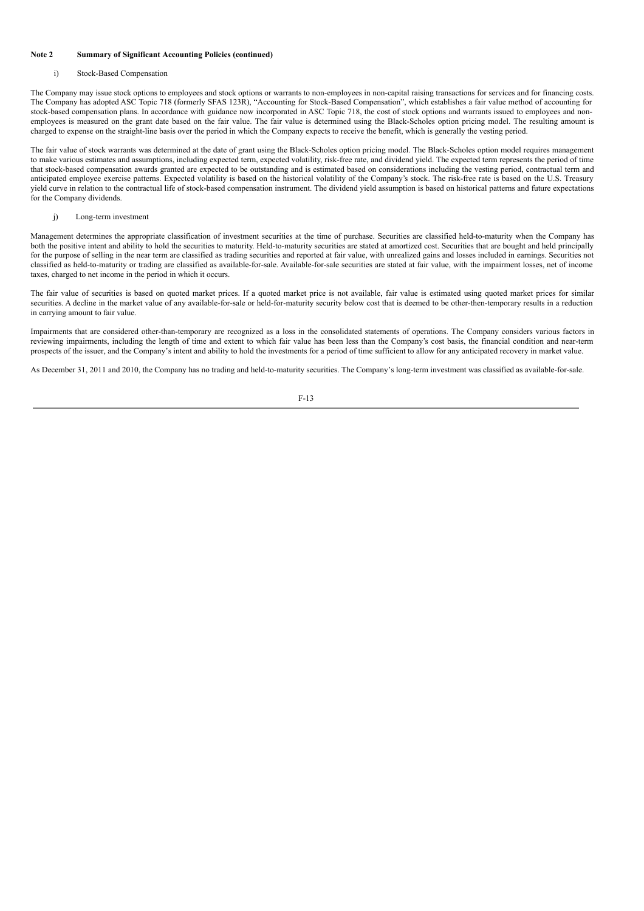## **Note 2 Summary of Significant Accounting Policies (continued)**

#### i) Stock-Based Compensation

The Company may issue stock options to employees and stock options or warrants to non-employees in non-capital raising transactions for services and for financing costs. The Company has adopted ASC Topic 718 (formerly SFAS 123R), "Accounting for Stock-Based Compensation", which establishes a fair value method of accounting for stock-based compensation plans. In accordance with guidance now incorporated in ASC Topic 718, the cost of stock options and warrants issued to employees and nonemployees is measured on the grant date based on the fair value. The fair value is determined using the Black-Scholes option pricing model. The resulting amount is charged to expense on the straight-line basis over the period in which the Company expects to receive the benefit, which is generally the vesting period.

The fair value of stock warrants was determined at the date of grant using the Black-Scholes option pricing model. The Black-Scholes option model requires management to make various estimates and assumptions, including expected term, expected volatility, risk-free rate, and dividend yield. The expected term represents the period of time that stock-based compensation awards granted are expected to be outstanding and is estimated based on considerations including the vesting period, contractual term and anticipated employee exercise patterns. Expected volatility is based on the historical volatility of the Company's stock. The risk-free rate is based on the U.S. Treasury yield curve in relation to the contractual life of stock-based compensation instrument. The dividend yield assumption is based on historical patterns and future expectations for the Company dividends.

#### j) Long-term investment

Management determines the appropriate classification of investment securities at the time of purchase. Securities are classified held-to-maturity when the Company has both the positive intent and ability to hold the securities to maturity. Held-to-maturity securities are stated at amortized cost. Securities that are bought and held principally for the purpose of selling in the near term are classified as trading securities and reported at fair value, with unrealized gains and losses included in earnings. Securities not classified as held-to-maturity or trading are classified as available-for-sale. Available-for-sale securities are stated at fair value, with the impairment losses, net of income taxes, charged to net income in the period in which it occurs.

The fair value of securities is based on quoted market prices. If a quoted market price is not available, fair value is estimated using quoted market prices for similar securities. A decline in the market value of any available-for-sale or held-for-maturity security below cost that is deemed to be other-then-temporary results in a reduction in carrying amount to fair value.

Impairments that are considered other-than-temporary are recognized as a loss in the consolidated statements of operations. The Company considers various factors in reviewing impairments, including the length of time and extent to which fair value has been less than the Company's cost basis, the financial condition and near-term prospects of the issuer, and the Company's intent and ability to hold the investments for a period of time sufficient to allow for any anticipated recovery in market value.

As December 31, 2011 and 2010, the Company has no trading and held-to-maturity securities. The Company's long-term investment was classified as available-for-sale.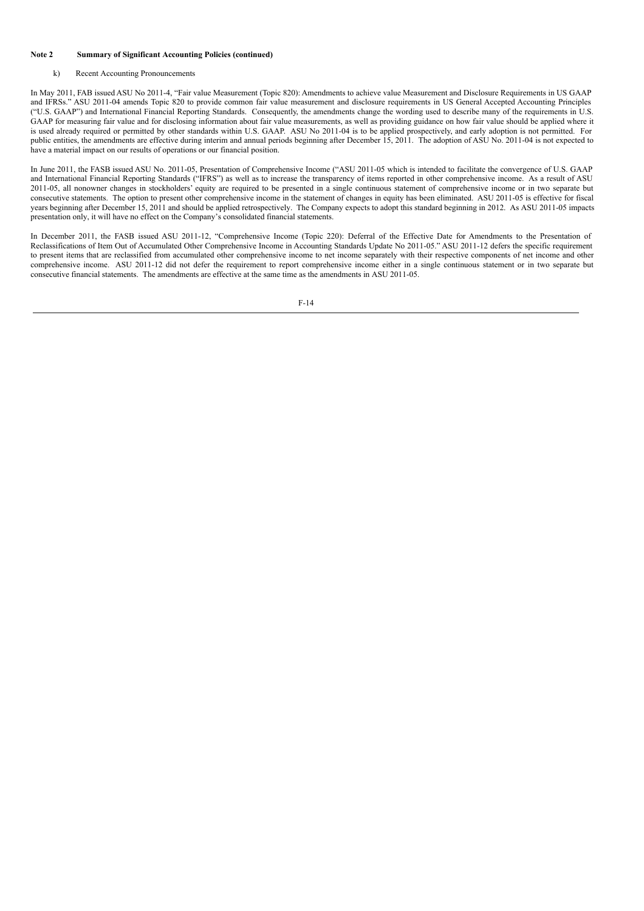## **Note 2 Summary of Significant Accounting Policies (continued)**

### k) Recent Accounting Pronouncements

In May 2011, FAB issued ASU No 2011-4, "Fair value Measurement (Topic 820): Amendments to achieve value Measurement and Disclosure Requirements in US GAAP and IFRSs." ASU 2011-04 amends Topic 820 to provide common fair value measurement and disclosure requirements in US General Accepted Accounting Principles ("U.S. GAAP") and International Financial Reporting Standards. Consequently, the amendments change the wording used to describe many of the requirements in U.S. GAAP for measuring fair value and for disclosing information about fair value measurements, as well as providing guidance on how fair value should be applied where it is used already required or permitted by other standards within U.S. GAAP. ASU No 2011-04 is to be applied prospectively, and early adoption is not permitted. For public entities, the amendments are effective during interim and annual periods beginning after December 15, 2011. The adoption of ASU No. 2011-04 is not expected to have a material impact on our results of operations or our financial position.

In June 2011, the FASB issued ASU No. 2011-05, Presentation of Comprehensive Income ("ASU 2011-05 which is intended to facilitate the convergence of U.S. GAAP and International Financial Reporting Standards ("IFRS") as well as to increase the transparency of items reported in other comprehensive income. As a result of ASU 2011-05, all nonowner changes in stockholders' equity are required to be presented in a single continuous statement of comprehensive income or in two separate but consecutive statements. The option to present other comprehensive income in the statement of changes in equity has been eliminated. ASU 2011-05 is effective for fiscal years beginning after December 15, 2011 and should be applied retrospectively. The Company expects to adopt this standard beginning in 2012. As ASU 2011-05 impacts presentation only, it will have no effect on the Company's consolidated financial statements.

In December 2011, the FASB issued ASU 2011-12, "Comprehensive Income (Topic 220): Deferral of the Effective Date for Amendments to the Presentation of Reclassifications of Item Out of Accumulated Other Comprehensive Income in Accounting Standards Update No 2011-05." ASU 2011-12 defers the specific requirement to present items that are reclassified from accumulated other comprehensive income to net income separately with their respective components of net income and other comprehensive income. ASU 2011-12 did not defer the requirement to report comprehensive income either in a single continuous statement or in two separate but consecutive financial statements. The amendments are effective at the same time as the amendments in ASU 2011-05.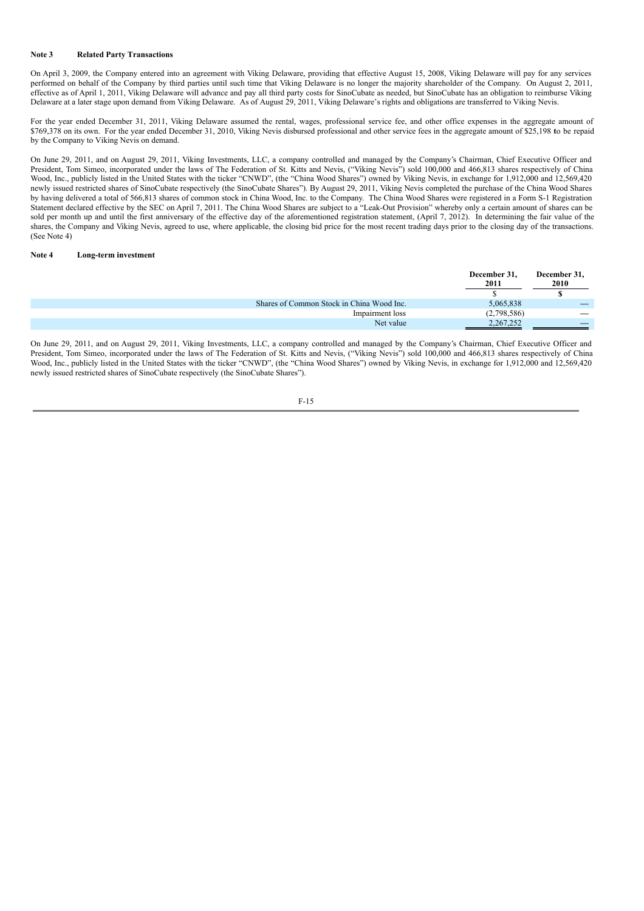## **Note 3 Related Party Transactions**

On April 3, 2009, the Company entered into an agreement with Viking Delaware, providing that effective August 15, 2008, Viking Delaware will pay for any services performed on behalf of the Company by third parties until such time that Viking Delaware is no longer the majority shareholder of the Company. On August 2, 2011, effective as of April 1, 2011, Viking Delaware will advance and pay all third party costs for SinoCubate as needed, but SinoCubate has an obligation to reimburse Viking Delaware at a later stage upon demand from Viking Delaware. As of August 29, 2011, Viking Delaware's rights and obligations are transferred to Viking Nevis.

For the year ended December 31, 2011, Viking Delaware assumed the rental, wages, professional service fee, and other office expenses in the aggregate amount of \$769,378 on its own. For the year ended December 31, 2010, Viking Nevis disbursed professional and other service fees in the aggregate amount of \$25,198 **t**o be repaid by the Company to Viking Nevis on demand.

On June 29, 2011, and on August 29, 2011, Viking Investments, LLC, a company controlled and managed by the Company's Chairman, Chief Executive Officer and President, Tom Simeo, incorporated under the laws of The Federation of St. Kitts and Nevis, ("Viking Nevis") sold 100,000 and 466,813 shares respectively of China Wood, Inc., publicly listed in the United States with the ticker "CNWD", (the "China Wood Shares") owned by Viking Nevis, in exchange for 1,912,000 and 12,569,420 newly issued restricted shares of SinoCubate respectively (the SinoCubate Shares"). By August 29, 2011, Viking Nevis completed the purchase of the China Wood Shares by having delivered a total of 566,813 shares of common stock in China Wood, Inc. to the Company. The China Wood Shares were registered in a Form S-1 Registration Statement declared effective by the SEC on April 7, 2011. The China Wood Shares are subject to a "Leak-Out Provision" whereby only a certain amount of shares can be sold per month up and until the first anniversary of the effective day of the aforementioned registration statement, (April 7, 2012). In determining the fair value of the shares, the Company and Viking Nevis, agreed to use, where applicable, the closing bid price for the most recent trading days prior to the closing day of the transactions. (See Note 4)

## **Note 4 Long-term investment**

|                                           | December 31,<br>2011 | December 31,<br>2010 |
|-------------------------------------------|----------------------|----------------------|
|                                           |                      |                      |
| Shares of Common Stock in China Wood Inc. | 5,065,838            |                      |
| Impairment loss                           | (2,798,586)          |                      |
| Net value                                 | 2,267,252            |                      |

On June 29, 2011, and on August 29, 2011, Viking Investments, LLC, a company controlled and managed by the Company's Chairman, Chief Executive Officer and President, Tom Simeo, incorporated under the laws of The Federation of St. Kitts and Nevis, ("Viking Nevis") sold 100,000 and 466,813 shares respectively of China Wood, Inc., publicly listed in the United States with the ticker "CNWD", (the "China Wood Shares") owned by Viking Nevis, in exchange for 1,912,000 and 12,569,420 newly issued restricted shares of SinoCubate respectively (the SinoCubate Shares").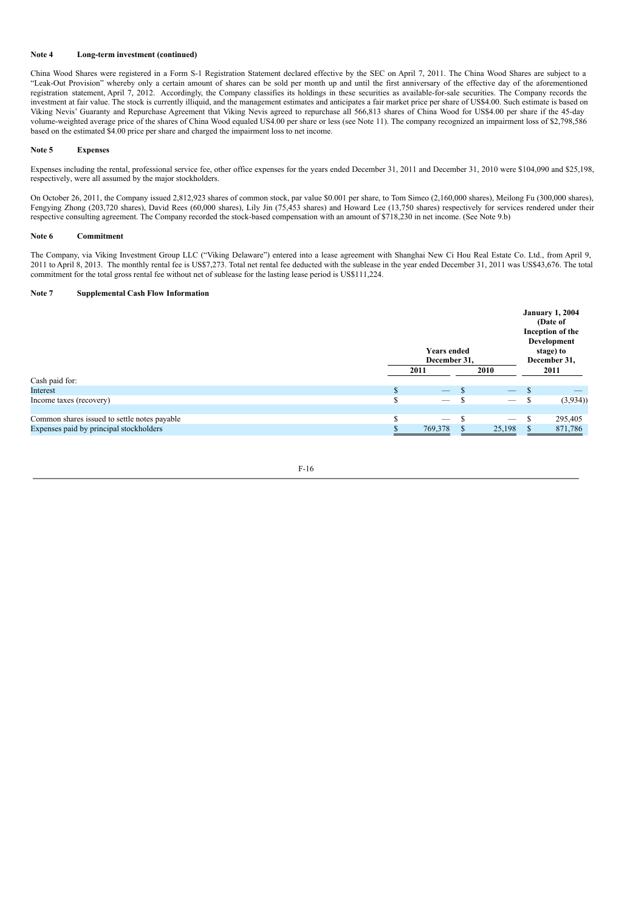## **Note 4 Long-term investment (continued)**

China Wood Shares were registered in a Form S-1 Registration Statement declared effective by the SEC on April 7, 2011. The China Wood Shares are subject to a "Leak-Out Provision" whereby only a certain amount of shares can be sold per month up and until the first anniversary of the effective day of the aforementioned registration statement, April 7, 2012. Accordingly, the Company classifies its holdings in these securities as available-for-sale securities. The Company records the investment at fair value. The stock is currently illiquid, and the management estimates and anticipates a fair market price per share of US\$4.00. Such estimate is based on Viking Nevis' Guaranty and Repurchase Agreement that Viking Nevis agreed to repurchase all 566,813 shares of China Wood for US\$4.00 per share if the 45-day volume-weighted average price of the shares of China Wood equaled US4.00 per share or less (see Note 11). The company recognized an impairment loss of \$2,798,586 based on the estimated \$4.00 price per share and charged the impairment loss to net income.

#### **Note 5 Expenses**

Expenses including the rental, professional service fee, other office expenses for the years ended December 31, 2011 and December 31, 2010 were \$104,090 and \$25,198, respectively, were all assumed by the major stockholders.

On October 26, 2011, the Company issued 2,812,923 shares of common stock, par value \$0.001 per share, to Tom Simeo (2,160,000 shares), Meilong Fu (300,000 shares), Fengying Zhong (203,720 shares), David Rees (60,000 shares), Lily Jin (75,453 shares) and Howard Lee (13,750 shares) respectively for services rendered under their respective consulting agreement. The Company recorded the stock-based compensation with an amount of \$718,230 in net income. (See Note 9.b)

#### **Note 6 Commitment**

The Company, via Viking Investment Group LLC ("Viking Delaware") entered into a lease agreement with Shanghai New Ci Hou Real Estate Co. Ltd., from April 9, 2011 to April 8, 2013. The monthly rental fee is US\$7,273. Total net rental fee deducted with the sublease in the year ended December 31, 2011 was US\$43,676. The total commitment for the total gross rental fee without net of sublease for the lasting lease period is US\$111,224.

### **Note 7 Supplemental Cash Flow Information**

|                                              |  | <b>Years ended</b><br>December 31, |    |                                 |   | <b>January 1, 2004</b><br>(Date of<br>Inception of the<br>Development<br>stage) to<br>December 31, |
|----------------------------------------------|--|------------------------------------|----|---------------------------------|---|----------------------------------------------------------------------------------------------------|
|                                              |  | 2011                               |    | 2010                            |   | 2011                                                                                               |
| Cash paid for:                               |  |                                    |    |                                 |   |                                                                                                    |
| Interest                                     |  | $\overline{\phantom{0}}$           | -S | $\overline{\phantom{m}}$        |   |                                                                                                    |
| Income taxes (recovery)                      |  |                                    | Эħ | $\overbrace{\qquad \qquad }^{}$ | ъ | (3,934)                                                                                            |
|                                              |  |                                    |    |                                 |   |                                                                                                    |
| Common shares issued to settle notes payable |  | $\overline{\phantom{a}}$           |    |                                 |   | 295,405                                                                                            |
| Expenses paid by principal stockholders      |  | 769,378                            |    | 25,198                          |   | 871,786                                                                                            |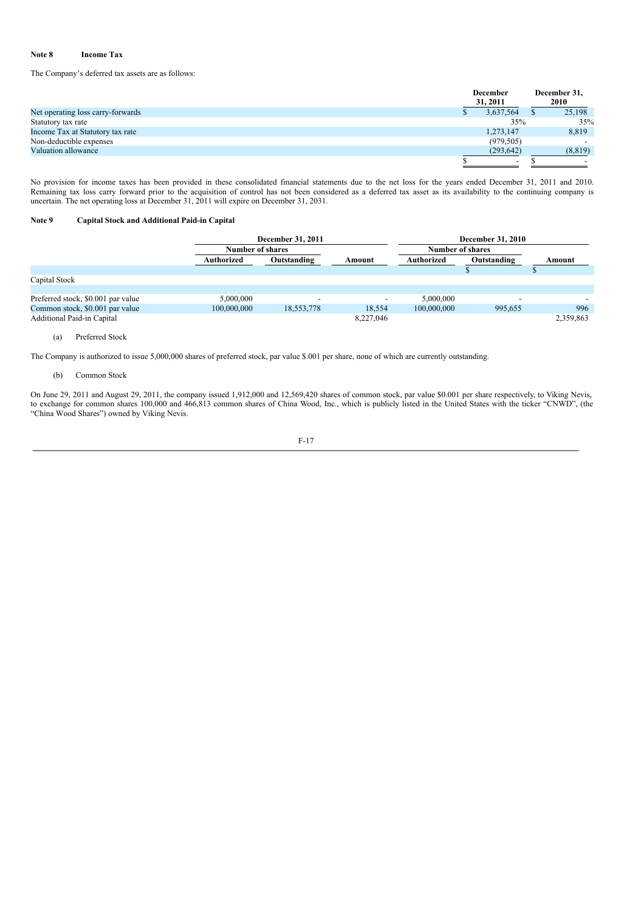## **Note 8 Income Tax**

The Company's deferred tax assets are as follows:

|                                   | <b>December</b>          |  | December 31, |  |
|-----------------------------------|--------------------------|--|--------------|--|
|                                   | 31, 2011                 |  | 2010         |  |
| Net operating loss carry-forwards | 3,637,564                |  | 25,198       |  |
| Statutory tax rate                | 35%                      |  | 35%          |  |
| Income Tax at Statutory tax rate  | 1,273,147                |  | 8,819        |  |
| Non-deductible expenses           | (979, 505)               |  |              |  |
| Valuation allowance               | (293, 642)               |  | (8, 819)     |  |
|                                   | $\overline{\phantom{a}}$ |  |              |  |

No provision for income taxes has been provided in these consolidated financial statements due to the net loss for the years ended December 31, 2011 and 2010. Remaining tax loss carry forward prior to the acquisition of control has not been considered as a deferred tax asset as its availability to the continuing company is uncertain. The net operating loss at December 31, 2011 will expire on December 31, 2031.

## **Note 9 Capital Stock and Additional Paid-in Capital**

|                                    |                           | <b>December 31, 2011</b> |                          | <b>December 31, 2010</b>  |         |           |  |
|------------------------------------|---------------------------|--------------------------|--------------------------|---------------------------|---------|-----------|--|
|                                    | Number of shares          |                          |                          | <b>Number of shares</b>   |         |           |  |
|                                    | Authorized<br>Outstanding |                          | Amount                   | Outstanding<br>Authorized |         | Amount    |  |
|                                    |                           |                          |                          |                           |         |           |  |
| Capital Stock                      |                           |                          |                          |                           |         |           |  |
|                                    |                           |                          |                          |                           |         |           |  |
| Preferred stock, \$0.001 par value | 5,000,000                 | $\overline{\phantom{a}}$ | $\overline{\phantom{a}}$ | 5,000,000                 |         |           |  |
| Common stock, \$0.001 par value    | 100,000,000               | 18,553,778               | 18.554                   | 100,000,000               | 995.655 | 996       |  |
| Additional Paid-in Capital         |                           |                          | 8,227,046                |                           |         | 2,359,863 |  |

## (a) Preferred Stock

The Company is authorized to issue 5,000,000 shares of preferred stock, par value \$.001 per share, none of which are currently outstanding.

## (b) Common Stock

On June 29, 2011 and August 29, 2011, the company issued 1,912,000 and 12,569,420 shares of common stock, par value \$0.001 per share respectively, to Viking Nevis, to exchange for common shares 100,000 and 466,813 common shares of China Wood, Inc., which is publicly listed in the United States with the ticker "CNWD", (the "China Wood Shares") owned by Viking Nevis.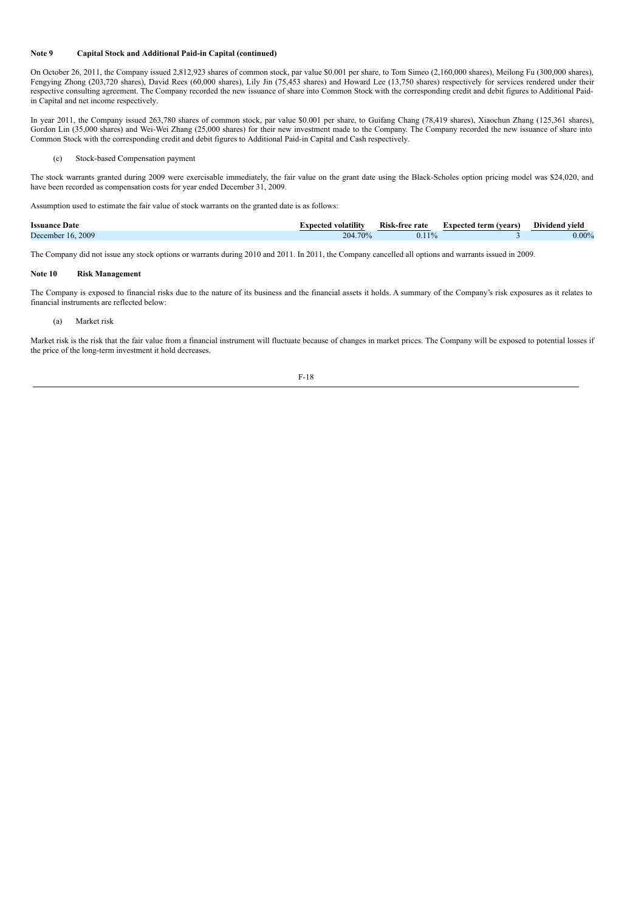### **Note 9 Capital Stock and Additional Paid-in Capital (continued)**

On October 26, 2011, the Company issued 2,812,923 shares of common stock, par value \$0.001 per share, to Tom Simeo (2,160,000 shares), Meilong Fu (300,000 shares), Fengying Zhong (203,720 shares), David Rees (60,000 shares), Lily Jin (75,453 shares) and Howard Lee (13,750 shares) respectively for services rendered under their respective consulting agreement. The Company recorded the new issuance of share into Common Stock with the corresponding credit and debit figures to Additional Paidin Capital and net income respectively.

In year 2011, the Company issued 263,780 shares of common stock, par value \$0.001 per share, to Guifang Chang (78,419 shares), Xiaochun Zhang (125,361 shares), Gordon Lin (35,000 shares) and Wei-Wei Zhang (25,000 shares) for their new investment made to the Company. The Company recorded the new issuance of share into Common Stock with the corresponding credit and debit figures to Additional Paid-in Capital and Cash respectively.

#### (c) Stock-based Compensation payment

The stock warrants granted during 2009 were exercisable immediately, the fair value on the grant date using the Black-Scholes option pricing model was \$24,020, and have been recorded as compensation costs for year ended December 31, 2009.

Assumption used to estimate the fair value of stock warrants on the granted date is as follows:

| Date<br><b>Issuance</b> | volatility<br>rnecter | Dick.<br>-tree rate | term (vears)<br>Oxnected ! | $\sim$<br>vield<br>Dividend |
|-------------------------|-----------------------|---------------------|----------------------------|-----------------------------|
| 2009<br>December<br>16. | 70%<br>204            | 0.11                |                            | $0.00\%$                    |

The Company did not issue any stock options or warrants during 2010 and 2011. In 2011, the Company cancelled all options and warrants issued in 2009.

### **Note 10 Risk Management**

The Company is exposed to financial risks due to the nature of its business and the financial assets it holds. A summary of the Company's risk exposures as it relates to financial instruments are reflected below:

## (a) Market risk

Market risk is the risk that the fair value from a financial instrument will fluctuate because of changes in market prices. The Company will be exposed to potential losses if the price of the long-term investment it hold decreases.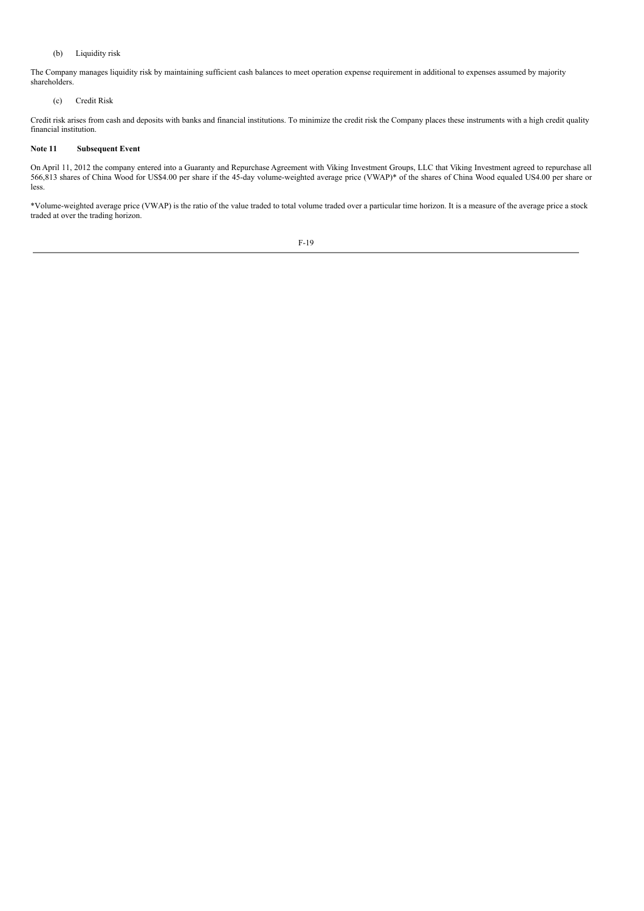## (b) Liquidity risk

The Company manages liquidity risk by maintaining sufficient cash balances to meet operation expense requirement in additional to expenses assumed by majority shareholders.

## (c) Credit Risk

Credit risk arises from cash and deposits with banks and financial institutions. To minimize the credit risk the Company places these instruments with a high credit quality financial institution.

## **Note 11 Subsequent Event**

On April 11, 2012 the company entered into a Guaranty and Repurchase Agreement with Viking Investment Groups, LLC that Viking Investment agreed to repurchase all 566,813 shares of China Wood for US\$4.00 per share if the 45-day volume-weighted average price (VWAP)\* of the shares of China Wood equaled US4.00 per share or less.

\*Volume-weighted average price (VWAP) is the ratio of the value traded to total volume traded over a particular time horizon. It is a measure of the average price a stock traded at over the trading horizon.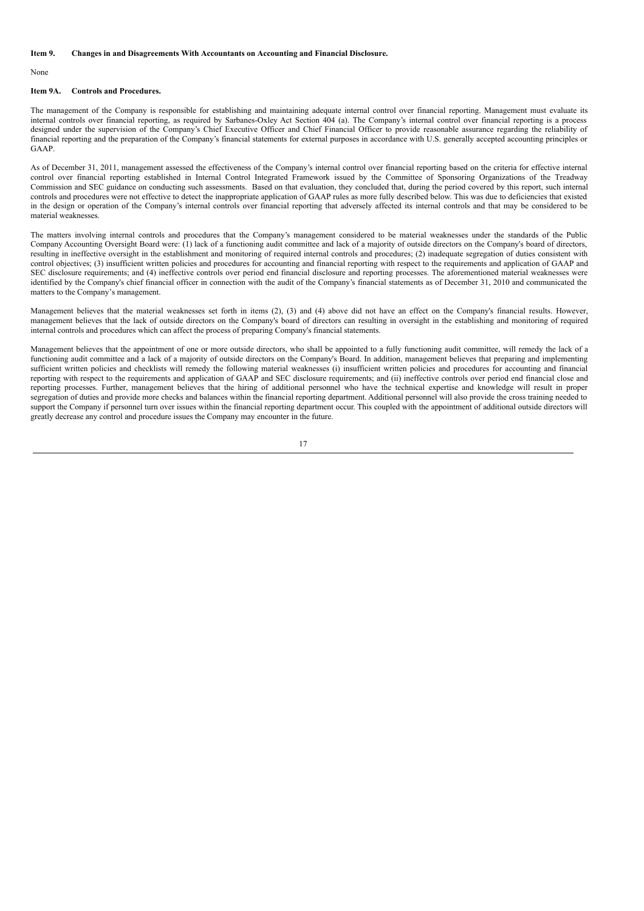#### **Item 9. Changes in and Disagreements With Accountants on Accounting and Financial Disclosure.**

### None

#### **Item 9A. Controls and Procedures.**

The management of the Company is responsible for establishing and maintaining adequate internal control over financial reporting. Management must evaluate its internal controls over financial reporting, as required by Sarbanes-Oxley Act Section 404 (a). The Company's internal control over financial reporting is a process designed under the supervision of the Company's Chief Executive Officer and Chief Financial Officer to provide reasonable assurance regarding the reliability of financial reporting and the preparation of the Company's financial statements for external purposes in accordance with U.S. generally accepted accounting principles or GAAP.

As of December 31, 2011, management assessed the effectiveness of the Company's internal control over financial reporting based on the criteria for effective internal control over financial reporting established in Internal Control Integrated Framework issued by the Committee of Sponsoring Organizations of the Treadway Commission and SEC guidance on conducting such assessments. Based on that evaluation, they concluded that, during the period covered by this report, such internal controls and procedures were not effective to detect the inappropriate application of GAAP rules as more fully described below. This was due to deficiencies that existed in the design or operation of the Company's internal controls over financial reporting that adversely affected its internal controls and that may be considered to be material weaknesses.

The matters involving internal controls and procedures that the Company's management considered to be material weaknesses under the standards of the Public Company Accounting Oversight Board were: (1) lack of a functioning audit committee and lack of a majority of outside directors on the Company's board of directors, resulting in ineffective oversight in the establishment and monitoring of required internal controls and procedures; (2) inadequate segregation of duties consistent with control objectives; (3) insufficient written policies and procedures for accounting and financial reporting with respect to the requirements and application of GAAP and SEC disclosure requirements; and (4) ineffective controls over period end financial disclosure and reporting processes. The aforementioned material weaknesses were identified by the Company's chief financial officer in connection with the audit of the Company's financial statements as of December 31, 2010 and communicated the matters to the Company's management.

Management believes that the material weaknesses set forth in items (2), (3) and (4) above did not have an effect on the Company's financial results. However, management believes that the lack of outside directors on the Company's board of directors can resulting in oversight in the establishing and monitoring of required internal controls and procedures which can affect the process of preparing Company's financial statements.

Management believes that the appointment of one or more outside directors, who shall be appointed to a fully functioning audit committee, will remedy the lack of a functioning audit committee and a lack of a majority of outside directors on the Company's Board. In addition, management believes that preparing and implementing sufficient written policies and checklists will remedy the following material weaknesses (i) insufficient written policies and procedures for accounting and financial reporting with respect to the requirements and application of GAAP and SEC disclosure requirements; and (ii) ineffective controls over period end financial close and reporting processes. Further, management believes that the hiring of additional personnel who have the technical expertise and knowledge will result in proper segregation of duties and provide more checks and balances within the financial reporting department. Additional personnel will also provide the cross training needed to support the Company if personnel turn over issues within the financial reporting department occur. This coupled with the appointment of additional outside directors will greatly decrease any control and procedure issues the Company may encounter in the future.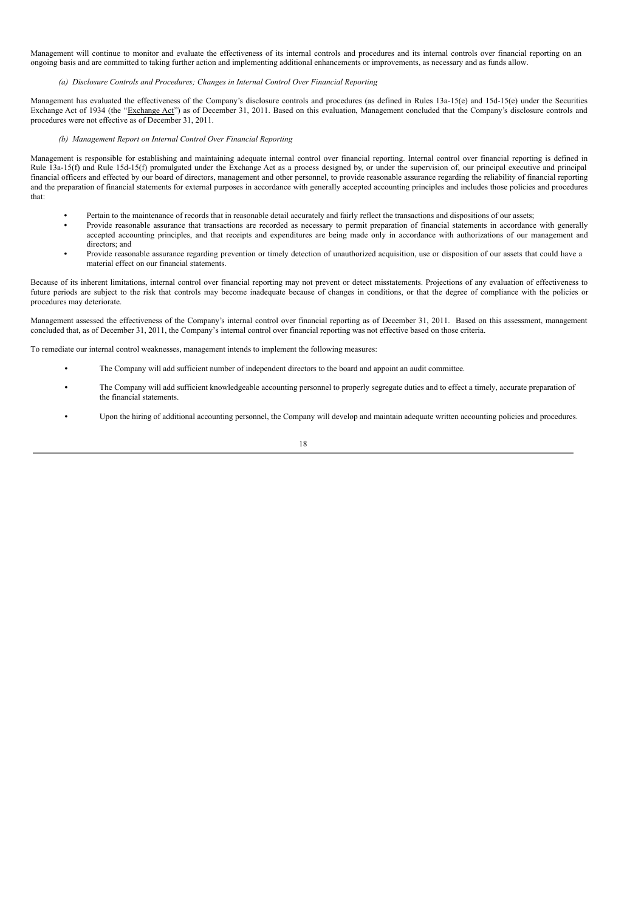Management will continue to monitor and evaluate the effectiveness of its internal controls and procedures and its internal controls over financial reporting on an ongoing basis and are committed to taking further action and implementing additional enhancements or improvements, as necessary and as funds allow.

## *(a) Disclosure Controls and Procedures; Changes in Internal Control Over Financial Reporting*

Management has evaluated the effectiveness of the Company's disclosure controls and procedures (as defined in Rules 13a-15(e) and 15d-15(e) under the Securities Exchange Act of 1934 (the "Exchange Act") as of December 31, 2011. Based on this evaluation, Management concluded that the Company's disclosure controls and procedures were not effective as of December 31, 2011.

## *(b) Management Report on Internal Control Over Financial Reporting*

Management is responsible for establishing and maintaining adequate internal control over financial reporting. Internal control over financial reporting is defined in Rule 13a-15(f) and Rule 15d-15(f) promulgated under the Exchange Act as a process designed by, or under the supervision of, our principal executive and principal financial officers and effected by our board of directors, management and other personnel, to provide reasonable assurance regarding the reliability of financial reporting and the preparation of financial statements for external purposes in accordance with generally accepted accounting principles and includes those policies and procedures that:

- **•** Pertain to the maintenance of records that in reasonable detail accurately and fairly reflect the transactions and dispositions of our assets;
- **•** Provide reasonable assurance that transactions are recorded as necessary to permit preparation of financial statements in accordance with generally accepted accounting principles, and that receipts and expenditures are being made only in accordance with authorizations of our management and directors; and
- **•** Provide reasonable assurance regarding prevention or timely detection of unauthorized acquisition, use or disposition of our assets that could have a material effect on our financial statements.

Because of its inherent limitations, internal control over financial reporting may not prevent or detect misstatements. Projections of any evaluation of effectiveness to future periods are subject to the risk that controls may become inadequate because of changes in conditions, or that the degree of compliance with the policies or procedures may deteriorate.

Management assessed the effectiveness of the Company's internal control over financial reporting as of December 31, 2011. Based on this assessment, management concluded that, as of December 31, 2011, the Company's internal control over financial reporting was not effective based on those criteria.

To remediate our internal control weaknesses, management intends to implement the following measures:

- **•** The Company will add sufficient number of independent directors to the board and appoint an audit committee.
- **•** The Company will add sufficient knowledgeable accounting personnel to properly segregate duties and to effect a timely, accurate preparation of the financial statements.
- **•** Upon the hiring of additional accounting personnel, the Company will develop and maintain adequate written accounting policies and procedures.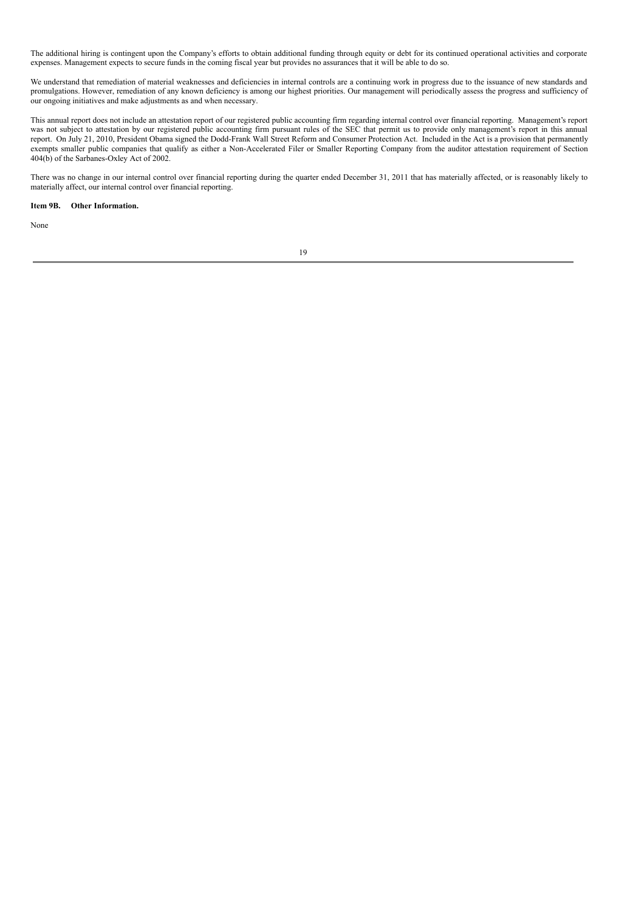The additional hiring is contingent upon the Company's efforts to obtain additional funding through equity or debt for its continued operational activities and corporate expenses. Management expects to secure funds in the coming fiscal year but provides no assurances that it will be able to do so.

We understand that remediation of material weaknesses and deficiencies in internal controls are a continuing work in progress due to the issuance of new standards and promulgations. However, remediation of any known deficiency is among our highest priorities. Our management will periodically assess the progress and sufficiency of our ongoing initiatives and make adjustments as and when necessary.

This annual report does not include an attestation report of our registered public accounting firm regarding internal control over financial reporting. Management's report was not subject to attestation by our registered public accounting firm pursuant rules of the SEC that permit us to provide only management's report in this annual report. On July 21, 2010, President Obama signed the Dodd-Frank Wall Street Reform and Consumer Protection Act. Included in the Act is a provision that permanently exempts smaller public companies that qualify as either a Non-Accelerated Filer or Smaller Reporting Company from the auditor attestation requirement of Section 404(b) of the Sarbanes-Oxley Act of 2002.

There was no change in our internal control over financial reporting during the quarter ended December 31, 2011 that has materially affected, or is reasonably likely to materially affect, our internal control over financial reporting.

## **Item 9B. Other Information.**

None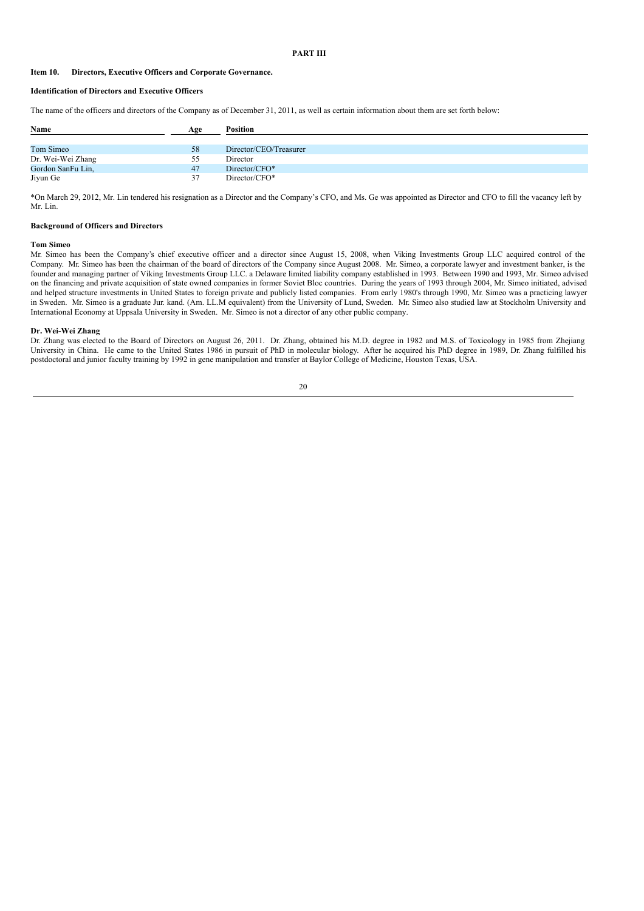## **PART III**

## **Item 10. Directors, Executive Officers and Corporate Governance.**

## **Identification of Directors and Executive Officers**

The name of the officers and directors of the Company as of December 31, 2011, as well as certain information about them are set forth below:

| Name              | Age | <b>Position</b>        |
|-------------------|-----|------------------------|
|                   |     |                        |
| Tom Simeo         | 58  | Director/CEO/Treasurer |
| Dr. Wei-Wei Zhang | 55  | Director               |
| Gordon SanFu Lin, | 47  | Director/CFO*          |
| Jiyun Ge          | 37  | Director/CFO*          |

\*On March 29, 2012, Mr. Lin tendered his resignation as a Director and the Company's CFO, and Ms. Ge was appointed as Director and CFO to fill the vacancy left by Mr. Lin.

## **Background of Officers and Directors**

#### **Tom Simeo**

Mr. Simeo has been the Company's chief executive officer and a director since August 15, 2008, when Viking Investments Group LLC acquired control of the Company. Mr. Simeo has been the chairman of the board of directors of the Company since August 2008. Mr. Simeo, a corporate lawyer and investment banker, is the founder and managing partner of Viking Investments Group LLC. a Delaware limited liability company established in 1993. Between 1990 and 1993, Mr. Simeo advised on the financing and private acquisition of state owned companies in former Soviet Bloc countries. During the years of 1993 through 2004, Mr. Simeo initiated, advised and helped structure investments in United States to foreign private and publicly listed companies. From early 1980's through 1990, Mr. Simeo was a practicing lawyer in Sweden. Mr. Simeo is a graduate Jur. kand. (Am. LL.M equivalent) from the University of Lund, Sweden. Mr. Simeo also studied law at Stockholm University and International Economy at Uppsala University in Sweden. Mr. Simeo is not a director of any other public company.

#### **Dr. Wei-Wei Zhang**

Dr. Zhang was elected to the Board of Directors on August 26, 2011. Dr. Zhang, obtained his M.D. degree in 1982 and M.S. of Toxicology in 1985 from Zhejiang University in China. He came to the United States 1986 in pursuit of PhD in molecular biology. After he acquired his PhD degree in 1989, Dr. Zhang fulfilled his postdoctoral and junior faculty training by 1992 in gene manipulation and transfer at Baylor College of Medicine, Houston Texas, USA.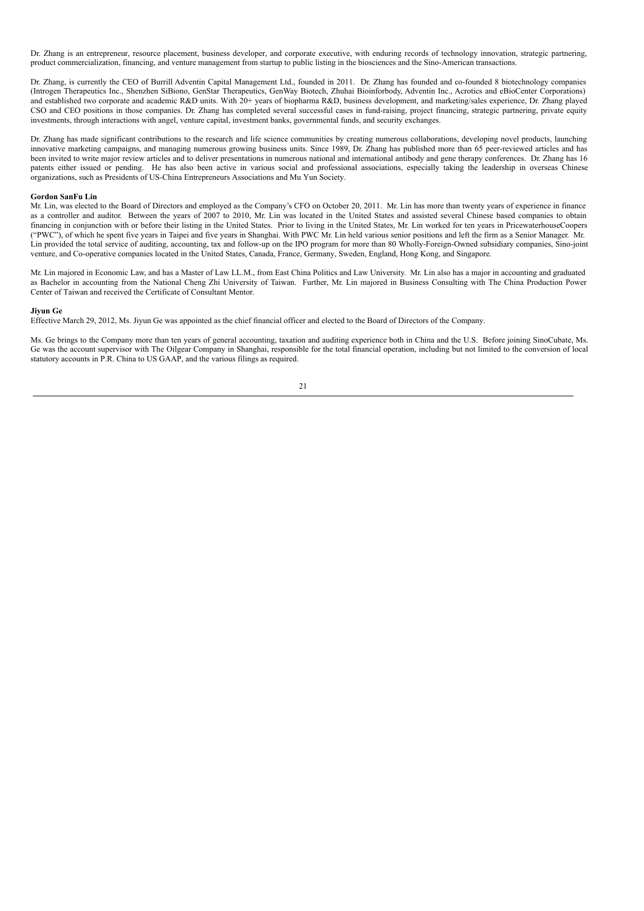Dr. Zhang is an entrepreneur, resource placement, business developer, and corporate executive, with enduring records of technology innovation, strategic partnering, product commercialization, financing, and venture management from startup to public listing in the biosciences and the Sino-American transactions.

Dr. Zhang, is currently the CEO of Burrill Adventin Capital Management Ltd., founded in 2011. Dr. Zhang has founded and co-founded 8 biotechnology companies (Introgen Therapeutics Inc., Shenzhen SiBiono, GenStar Therapeutics, GenWay Biotech, Zhuhai Bioinforbody, Adventin Inc., Acrotics and eBioCenter Corporations) and established two corporate and academic R&D units. With 20+ years of biopharma R&D, business development, and marketing/sales experience, Dr. Zhang played CSO and CEO positions in those companies. Dr. Zhang has completed several successful cases in fund-raising, project financing, strategic partnering, private equity investments, through interactions with angel, venture capital, investment banks, governmental funds, and security exchanges.

Dr. Zhang has made significant contributions to the research and life science communities by creating numerous collaborations, developing novel products, launching innovative marketing campaigns, and managing numerous growing business units. Since 1989, Dr. Zhang has published more than 65 peer-reviewed articles and has been invited to write major review articles and to deliver presentations in numerous national and international antibody and gene therapy conferences. Dr. Zhang has 16 patents either issued or pending. He has also been active in various social and professional associations, especially taking the leadership in overseas Chinese organizations, such as Presidents of US-China Entrepreneurs Associations and Mu Yun Society.

#### **Gordon SanFu Lin**

Mr. Lin, was elected to the Board of Directors and employed as the Company's CFO on October 20, 2011. Mr. Lin has more than twenty years of experience in finance as a controller and auditor. Between the years of 2007 to 2010, Mr. Lin was located in the United States and assisted several Chinese based companies to obtain financing in conjunction with or before their listing in the United States. Prior to living in the United States, Mr. Lin worked for ten years in PricewaterhouseCoopers ("PWC"), of which he spent five years in Taipei and five years in Shanghai. With PWC Mr. Lin held various senior positions and left the firm as a Senior Manager. Mr. Lin provided the total service of auditing, accounting, tax and follow-up on the IPO program for more than 80 Wholly-Foreign-Owned subsidiary companies, Sino-joint venture, and Co-operative companies located in the United States, Canada, France, Germany, Sweden, England, Hong Kong, and Singapore.

Mr. Lin majored in Economic Law, and has a Master of Law LL.M., from East China Politics and Law University. Mr. Lin also has a major in accounting and graduated as Bachelor in accounting from the National Cheng Zhi University of Taiwan. Further, Mr. Lin majored in Business Consulting with The China Production Power Center of Taiwan and received the Certificate of Consultant Mentor.

#### **Jiyun Ge**

Effective March 29, 2012, Ms. Jiyun Ge was appointed as the chief financial officer and elected to the Board of Directors of the Company.

Ms. Ge brings to the Company more than ten years of general accounting, taxation and auditing experience both in China and the U.S. Before joining SinoCubate, Ms. Ge was the account supervisor with The Oilgear Company in Shanghai, responsible for the total financial operation, including but not limited to the conversion of local statutory accounts in P.R. China to US GAAP, and the various filings as required.

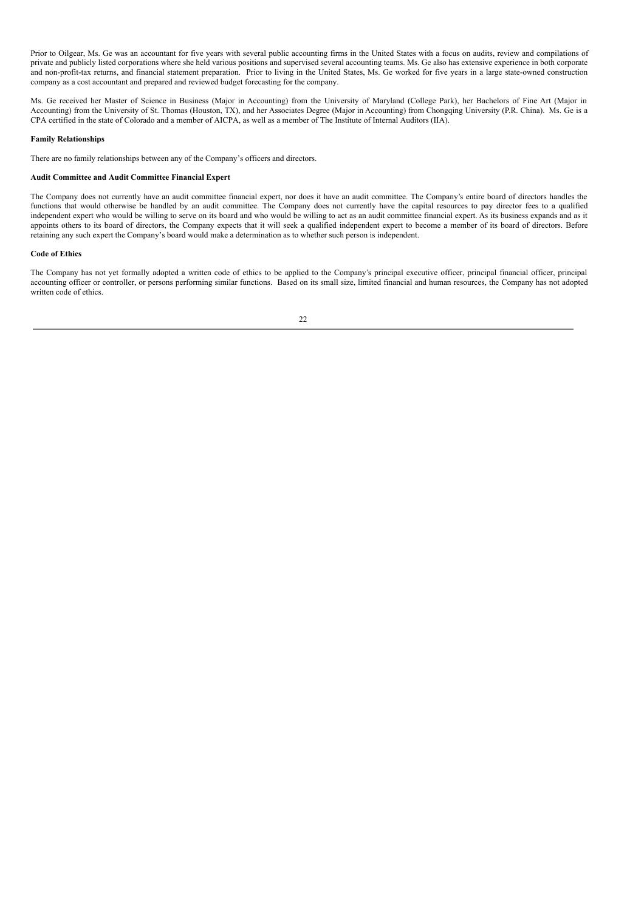Prior to Oilgear, Ms. Ge was an accountant for five years with several public accounting firms in the United States with a focus on audits, review and compilations of private and publicly listed corporations where she held various positions and supervised several accounting teams. Ms. Ge also has extensive experience in both corporate and non-profit-tax returns, and financial statement preparation. Prior to living in the United States, Ms. Ge worked for five years in a large state-owned construction company as a cost accountant and prepared and reviewed budget forecasting for the company.

Ms. Ge received her Master of Science in Business (Major in Accounting) from the University of Maryland (College Park), her Bachelors of Fine Art (Major in Accounting) from the University of St. Thomas (Houston, TX), and her Associates Degree (Major in Accounting) from Chongqing University (P.R. China). Ms. Ge is a CPA certified in the state of Colorado and a member of AICPA, as well as a member of The Institute of Internal Auditors (IIA).

## **Family Relationships**

There are no family relationships between any of the Company's officers and directors.

## **Audit Committee and Audit Committee Financial Expert**

The Company does not currently have an audit committee financial expert, nor does it have an audit committee. The Company's entire board of directors handles the functions that would otherwise be handled by an audit committee. The Company does not currently have the capital resources to pay director fees to a qualified independent expert who would be willing to serve on its board and who would be willing to act as an audit committee financial expert. As its business expands and as it appoints others to its board of directors, the Company expects that it will seek a qualified independent expert to become a member of its board of directors. Before retaining any such expert the Company's board would make a determination as to whether such person is independent.

## **Code of Ethics**

The Company has not yet formally adopted a written code of ethics to be applied to the Company's principal executive officer, principal financial officer, principal accounting officer or controller, or persons performing similar functions. Based on its small size, limited financial and human resources, the Company has not adopted written code of ethics.

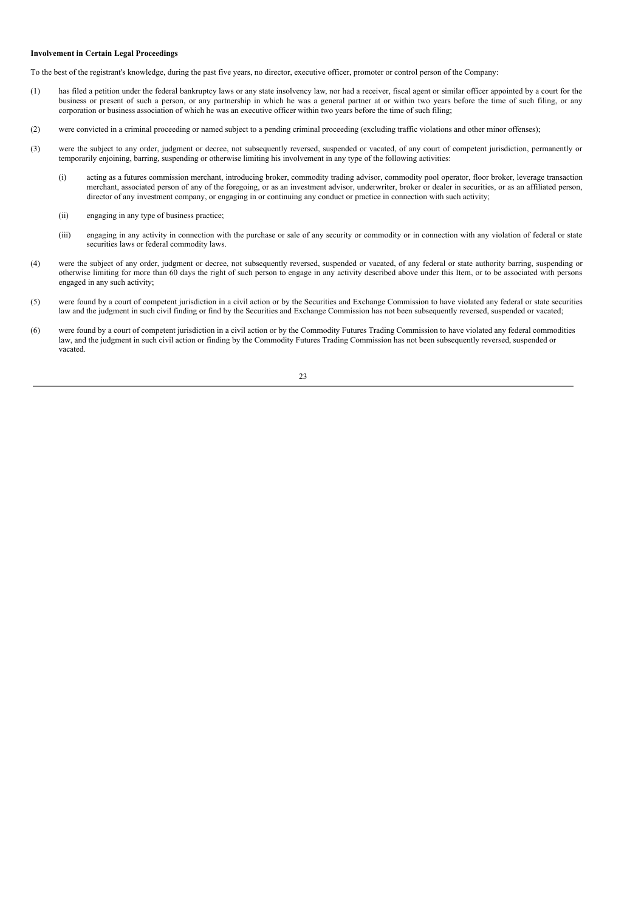## **Involvement in Certain Legal Proceedings**

To the best of the registrant's knowledge, during the past five years, no director, executive officer, promoter or control person of the Company:

- (1) has filed a petition under the federal bankruptcy laws or any state insolvency law, nor had a receiver, fiscal agent or similar officer appointed by a court for the business or present of such a person, or any partnership in which he was a general partner at or within two years before the time of such filing, or any corporation or business association of which he was an executive officer within two years before the time of such filing;
- (2) were convicted in a criminal proceeding or named subject to a pending criminal proceeding (excluding traffic violations and other minor offenses);
- (3) were the subject to any order, judgment or decree, not subsequently reversed, suspended or vacated, of any court of competent jurisdiction, permanently or temporarily enjoining, barring, suspending or otherwise limiting his involvement in any type of the following activities:
	- (i) acting as a futures commission merchant, introducing broker, commodity trading advisor, commodity pool operator, floor broker, leverage transaction merchant, associated person of any of the foregoing, or as an investment advisor, underwriter, broker or dealer in securities, or as an affiliated person, director of any investment company, or engaging in or continuing any conduct or practice in connection with such activity;
	- (ii) engaging in any type of business practice;
	- (iii) engaging in any activity in connection with the purchase or sale of any security or commodity or in connection with any violation of federal or state securities laws or federal commodity laws.
- (4) were the subject of any order, judgment or decree, not subsequently reversed, suspended or vacated, of any federal or state authority barring, suspending or otherwise limiting for more than 60 days the right of such person to engage in any activity described above under this Item, or to be associated with persons engaged in any such activity;
- (5) were found by a court of competent jurisdiction in a civil action or by the Securities and Exchange Commission to have violated any federal or state securities law and the judgment in such civil finding or find by the Securities and Exchange Commission has not been subsequently reversed, suspended or vacated;
- (6) were found by a court of competent jurisdiction in a civil action or by the Commodity Futures Trading Commission to have violated any federal commodities law, and the judgment in such civil action or finding by the Commodity Futures Trading Commission has not been subsequently reversed, suspended or vacated.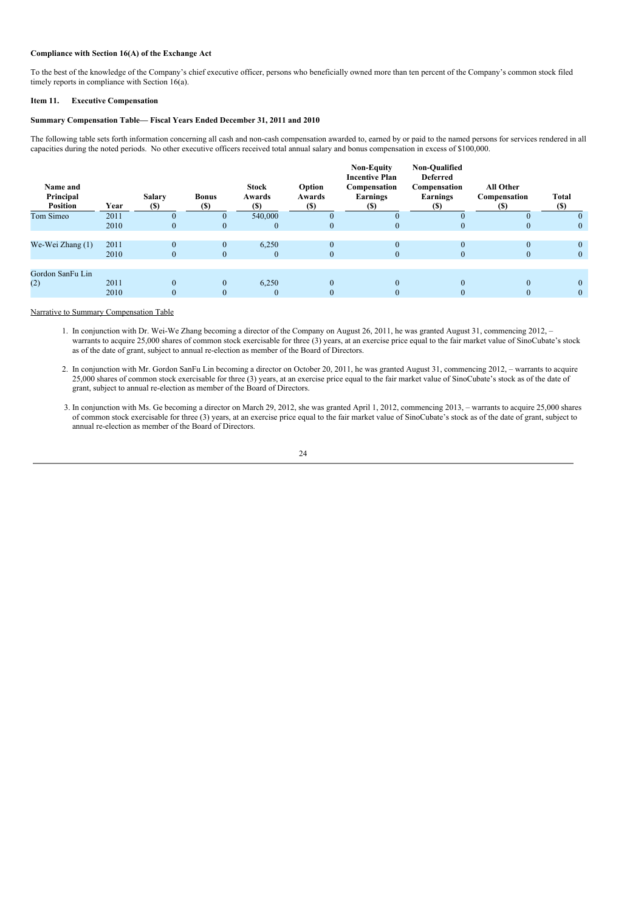## **Compliance with Section 16(A) of the Exchange Act**

To the best of the knowledge of the Company's chief executive officer, persons who beneficially owned more than ten percent of the Company's common stock filed timely reports in compliance with Section 16(a).

## **Item 11. Executive Compensation**

## **Summary Compensation Table— Fiscal Years Ended December 31, 2011 and 2010**

The following table sets forth information concerning all cash and non-cash compensation awarded to, earned by or paid to the named persons for services rendered in all capacities during the noted periods. No other executive officers received total annual salary and bonus compensation in excess of \$100,000.

| Name and<br>Principal<br><b>Position</b> | Year | Salary<br><b>(\$)</b> | <b>Bonus</b><br><b>(\$)</b> | <b>Stock</b><br>Awards<br><b>(\$)</b> | Option<br>Awards<br><b>(S)</b> | <b>Non-Equity</b><br><b>Incentive Plan</b><br>Compensation<br>Earnings<br>$(s)$ | Non-Qualified<br><b>Deferred</b><br>Compensation<br>Earnings<br>(S) | All Other<br>Compensation<br>$(s)$ | Total<br><b>(\$)</b> |
|------------------------------------------|------|-----------------------|-----------------------------|---------------------------------------|--------------------------------|---------------------------------------------------------------------------------|---------------------------------------------------------------------|------------------------------------|----------------------|
| Tom Simeo                                | 2011 |                       | $\overline{0}$              | 540,000                               | $\Omega$                       |                                                                                 | $\Omega$                                                            |                                    | $\Omega$             |
|                                          | 2010 | $\theta$              | $\overline{0}$              | $\mathbf{0}$                          | $\theta$                       | $\theta$                                                                        | $\mathbf{0}$                                                        |                                    | $\theta$             |
|                                          |      |                       |                             |                                       |                                |                                                                                 |                                                                     |                                    |                      |
| We-Wei Zhang (1)                         | 2011 | $\Omega$              | $\mathbf{0}$                | 6,250                                 | $\Omega$                       | $\Omega$                                                                        | $\Omega$                                                            |                                    | $\Omega$             |
|                                          | 2010 | $\theta$              | $\mathbf{0}$                | $\theta$                              | $\Omega$                       | $\theta$                                                                        | $\Omega$                                                            | $\Omega$                           | $\theta$             |
|                                          |      |                       |                             |                                       |                                |                                                                                 |                                                                     |                                    |                      |
| Gordon SanFu Lin                         |      |                       |                             |                                       |                                |                                                                                 |                                                                     |                                    |                      |
| (2)                                      | 2011 | $\Omega$              | $\mathbf{0}$                | 6.250                                 | $\theta$                       | $\Omega$                                                                        | $\Omega$                                                            |                                    | $\theta$             |
|                                          | 2010 | $\Omega$              | $\mathbf{0}$                | $\theta$                              | $\Omega$                       | $\theta$                                                                        | $\mathbf{0}$                                                        | $\Omega$                           | $\theta$             |
|                                          |      |                       |                             |                                       |                                |                                                                                 |                                                                     |                                    |                      |

## Narrative to Summary Compensation Table

1. In conjunction with Dr. Wei-We Zhang becoming a director of the Company on August 26, 2011, he was granted August 31, commencing 2012, – warrants to acquire 25,000 shares of common stock exercisable for three (3) years, at an exercise price equal to the fair market value of SinoCubate's stock as of the date of grant, subject to annual re-election as member of the Board of Directors.

- 2. In conjunction with Mr. Gordon SanFu Lin becoming a director on October 20, 2011, he was granted August 31, commencing 2012, warrants to acquire 25,000 shares of common stock exercisable for three (3) years, at an exercise price equal to the fair market value of SinoCubate's stock as of the date of grant, subject to annual re-election as member of the Board of Directors.
- 3. In conjunction with Ms. Ge becoming a director on March 29, 2012, she was granted April 1, 2012, commencing 2013, warrants to acquire 25,000 shares of common stock exercisable for three (3) years, at an exercise price equal to the fair market value of SinoCubate's stock as of the date of grant, subject to annual re-election as member of the Board of Directors.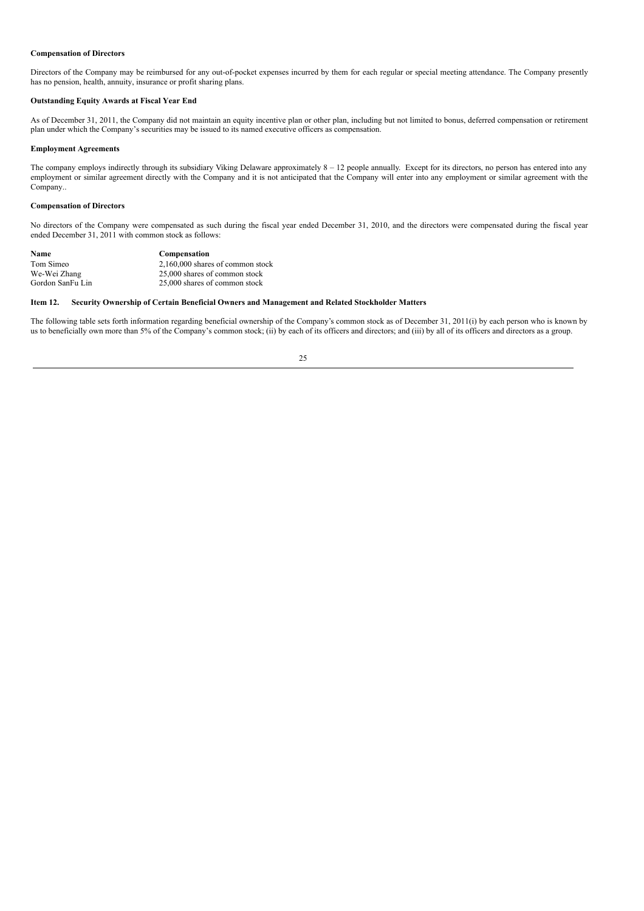## **Compensation of Directors**

Directors of the Company may be reimbursed for any out-of-pocket expenses incurred by them for each regular or special meeting attendance. The Company presently has no pension, health, annuity, insurance or profit sharing plans.

## **Outstanding Equity Awards at Fiscal Year End**

As of December 31, 2011, the Company did not maintain an equity incentive plan or other plan, including but not limited to bonus, deferred compensation or retirement plan under which the Company's securities may be issued to its named executive officers as compensation.

### **Employment Agreements**

The company employs indirectly through its subsidiary Viking Delaware approximately  $8 - 12$  people annually. Except for its directors, no person has entered into any employment or similar agreement directly with the Company and it is not anticipated that the Company will enter into any employment or similar agreement with the Company..

## **Compensation of Directors**

No directors of the Company were compensated as such during the fiscal year ended December 31, 2010, and the directors were compensated during the fiscal year ended December 31, 2011 with common stock as follows:

| Name             | Compensation                       |
|------------------|------------------------------------|
| Tom Simeo        | $2,160,000$ shares of common stock |
| We-Wei Zhang     | 25,000 shares of common stock      |
| Gordon SanFu Lin | 25,000 shares of common stock      |

## **Item 12. Security Ownership of Certain Beneficial Owners and Management and Related Stockholder Matters**

The following table sets forth information regarding beneficial ownership of the Company's common stock as of December 31, 2011(i) by each person who is known by us to beneficially own more than 5% of the Company's common stock; (ii) by each of its officers and directors; and (iii) by all of its officers and directors as a group.

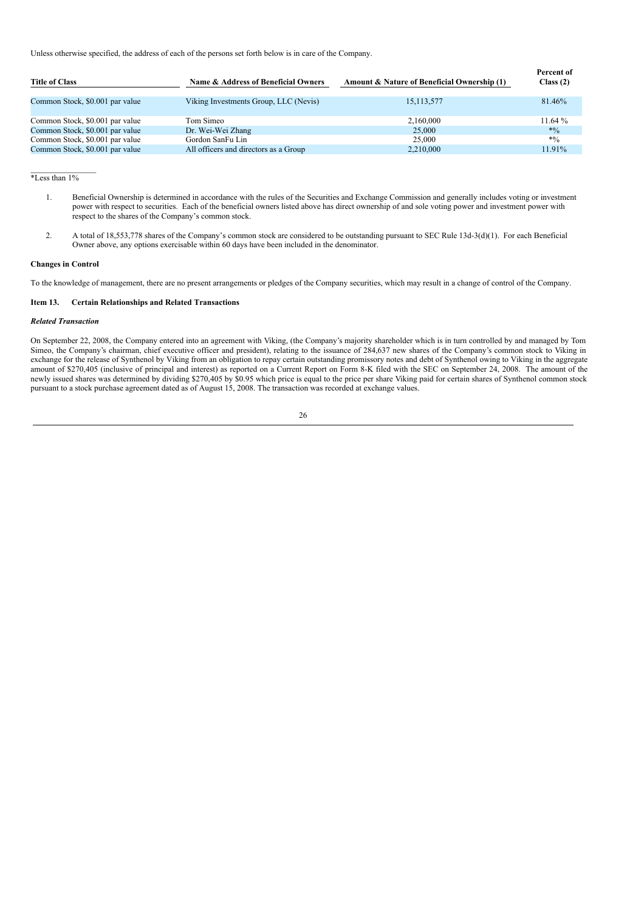Unless otherwise specified, the address of each of the persons set forth below is in care of the Company.

| <b>Title of Class</b>           | Name & Address of Beneficial Owners   | Amount & Nature of Beneficial Ownership (1) | Percent of<br>Class $(2)$ |
|---------------------------------|---------------------------------------|---------------------------------------------|---------------------------|
| Common Stock, \$0.001 par value | Viking Investments Group, LLC (Nevis) | 15, 113, 577                                | 81.46%                    |
| Common Stock, \$0.001 par value | Tom Simeo                             | 2,160,000                                   | 11.64%                    |
| Common Stock, \$0.001 par value | Dr. Wei-Wei Zhang                     | 25,000                                      | $*0/0$                    |
| Common Stock, \$0.001 par value | Gordon SanFu Lin                      | 25,000                                      | $*0/0$                    |
| Common Stock, \$0.001 par value | All officers and directors as a Group | 2,210,000                                   | 11.91%                    |

 $\mathcal{L}=\mathcal{L}=\mathcal{L}=\mathcal{L}=\mathcal{L}=\mathcal{L}=\mathcal{L}$  $*$ Less than  $1\%$ 

- 1. Beneficial Ownership is determined in accordance with the rules of the Securities and Exchange Commission and generally includes voting or investment power with respect to securities. Each of the beneficial owners listed above has direct ownership of and sole voting power and investment power with respect to the shares of the Company's common stock.
- 2. A total of 18,553,778 shares of the Company's common stock are considered to be outstanding pursuant to SEC Rule 13d-3(d)(1). For each Beneficial Owner above, any options exercisable within 60 days have been included in the denominator.

#### **Changes in Control**

To the knowledge of management, there are no present arrangements or pledges of the Company securities, which may result in a change of control of the Company.

## **Item 13. Certain Relationships and Related Transactions**

### *Related Transaction*

On September 22, 2008, the Company entered into an agreement with Viking, (the Company's majority shareholder which is in turn controlled by and managed by Tom Simeo, the Company's chairman, chief executive officer and president), relating to the issuance of 284,637 new shares of the Company's common stock to Viking in exchange for the release of Synthenol by Viking from an obligation to repay certain outstanding promissory notes and debt of Synthenol owing to Viking in the aggregate amount of \$270,405 (inclusive of principal and interest) as reported on a Current Report on Form 8-K filed with the SEC on September 24, 2008. The amount of the newly issued shares was determined by dividing \$270,405 by \$0.95 which price is equal to the price per share Viking paid for certain shares of Synthenol common stock pursuant to a stock purchase agreement dated as of August 15, 2008. The transaction was recorded at exchange values.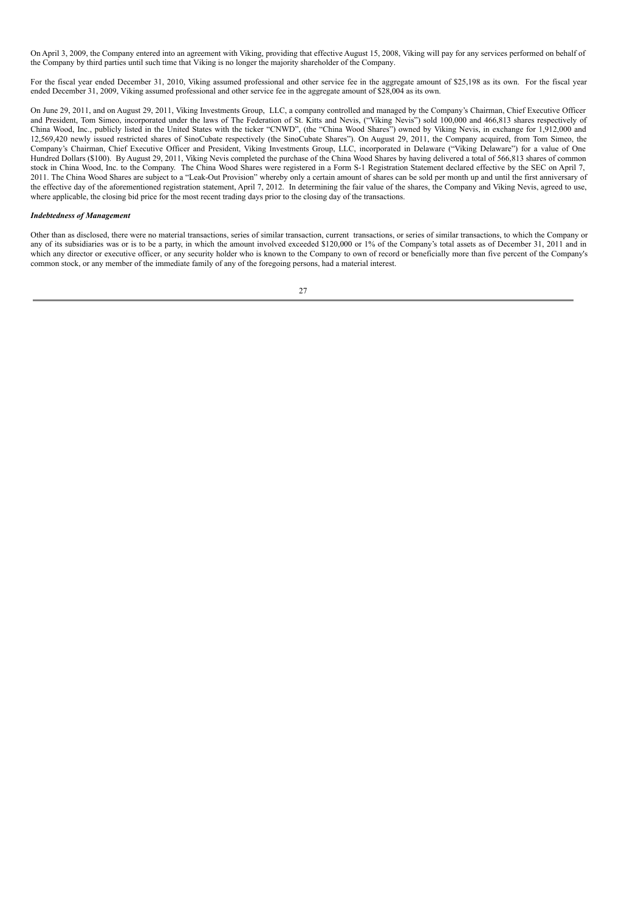On April 3, 2009, the Company entered into an agreement with Viking, providing that effective August 15, 2008, Viking will pay for any services performed on behalf of the Company by third parties until such time that Viking is no longer the majority shareholder of the Company.

For the fiscal year ended December 31, 2010, Viking assumed professional and other service fee in the aggregate amount of \$25,198 as its own. For the fiscal year ended December 31, 2009, Viking assumed professional and other service fee in the aggregate amount of \$28,004 as its own.

On June 29, 2011, and on August 29, 2011, Viking Investments Group, LLC, a company controlled and managed by the Company's Chairman, Chief Executive Officer and President, Tom Simeo, incorporated under the laws of The Federation of St. Kitts and Nevis, ("Viking Nevis") sold 100,000 and 466,813 shares respectively of China Wood, Inc., publicly listed in the United States with the ticker "CNWD", (the "China Wood Shares") owned by Viking Nevis, in exchange for 1,912,000 and 12,569,420 newly issued restricted shares of SinoCubate respectively (the SinoCubate Shares"). On August 29, 2011, the Company acquired, from Tom Simeo, the Company's Chairman, Chief Executive Officer and President, Viking Investments Group, LLC, incorporated in Delaware ("Viking Delaware") for a value of One Hundred Dollars (\$100). By August 29, 2011, Viking Nevis completed the purchase of the China Wood Shares by having delivered a total of 566,813 shares of common stock in China Wood, Inc. to the Company. The China Wood Shares were registered in a Form S-1 Registration Statement declared effective by the SEC on April 7, 2011. The China Wood Shares are subject to a "Leak-Out Provision" whereby only a certain amount of shares can be sold per month up and until the first anniversary of the effective day of the aforementioned registration statement, April 7, 2012. In determining the fair value of the shares, the Company and Viking Nevis, agreed to use, where applicable, the closing bid price for the most recent trading days prior to the closing day of the transactions.

### *Indebtedness of Management*

Other than as disclosed, there were no material transactions, series of similar transaction, current transactions, or series of similar transactions, to which the Company or any of its subsidiaries was or is to be a party, in which the amount involved exceeded \$120,000 or 1% of the Company's total assets as of December 31, 2011 and in which any director or executive officer, or any security holder who is known to the Company to own of record or beneficially more than five percent of the Company's common stock, or any member of the immediate family of any of the foregoing persons, had a material interest.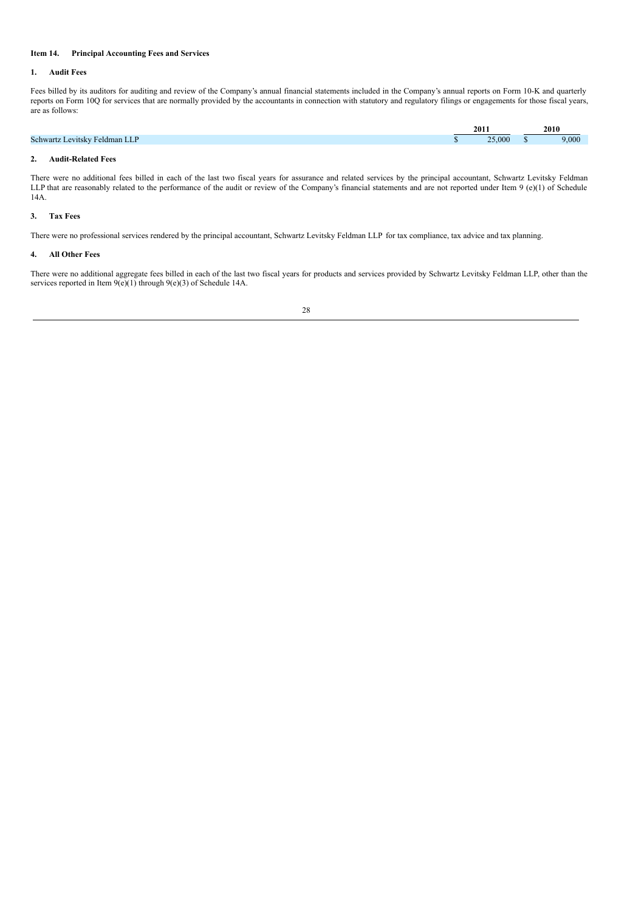## **Item 14. Principal Accounting Fees and Services**

#### **1. Audit Fees**

Fees billed by its auditors for auditing and review of the Company's annual financial statements included in the Company's annual reports on Form 10-K and quarterly reports on Form 10Q for services that are normally provided by the accountants in connection with statutory and regulatory filings or engagements for those fiscal years, are as follows:

|                                                                    | 2011   | 2010  |
|--------------------------------------------------------------------|--------|-------|
| <b>Schwartz</b><br>D<br>Levitsky Feldman<br><b>Service Service</b> | 25,000 | 9,000 |
|                                                                    |        |       |

## **2. Audit-Related Fees**

There were no additional fees billed in each of the last two fiscal years for assurance and related services by the principal accountant, Schwartz Levitsky Feldman LLP that are reasonably related to the performance of the audit or review of the Company's financial statements and are not reported under Item 9 (e)(1) of Schedule 14A.

## **3. Tax Fees**

There were no professional services rendered by the principal accountant, Schwartz Levitsky Feldman LLP for tax compliance, tax advice and tax planning.

### **4. All Other Fees**

There were no additional aggregate fees billed in each of the last two fiscal years for products and services provided by Schwartz Levitsky Feldman LLP, other than the services reported in Item  $9(e)(1)$  through  $9(e)(3)$  of Schedule 14A.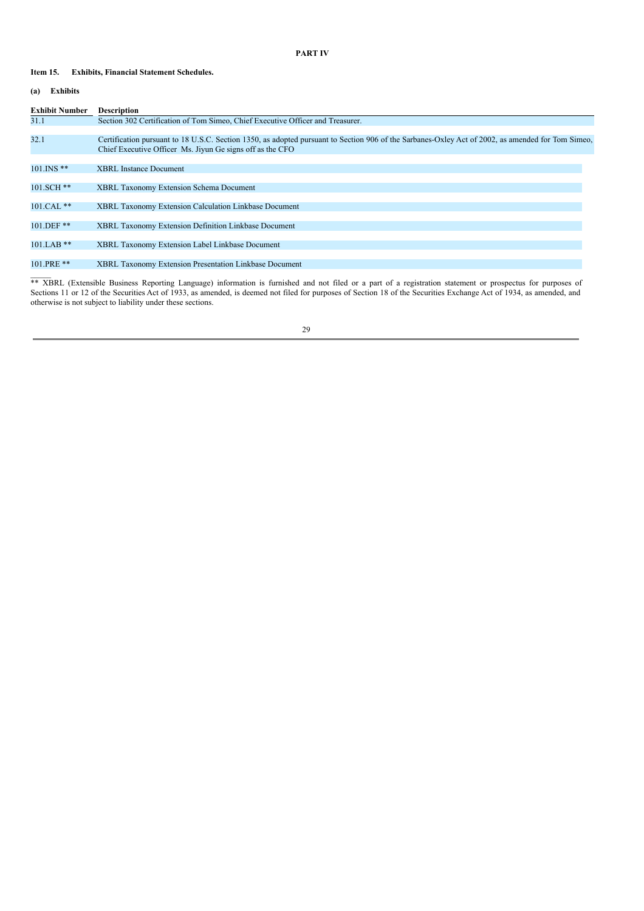## **PART IV**

## **Item 15. Exhibits, Financial Statement Schedules.**

## **(a) Exhibits**

 $\overline{\phantom{a}}$ 

| <b>Exhibit Number</b> | <b>Description</b>                                                                                                                                                                                             |
|-----------------------|----------------------------------------------------------------------------------------------------------------------------------------------------------------------------------------------------------------|
| 31.1                  | Section 302 Certification of Tom Simeo, Chief Executive Officer and Treasurer.                                                                                                                                 |
|                       |                                                                                                                                                                                                                |
| 32.1                  | Certification pursuant to 18 U.S.C. Section 1350, as adopted pursuant to Section 906 of the Sarbanes-Oxley Act of 2002, as amended for Tom Simeo,<br>Chief Executive Officer Ms. Jiyun Ge signs off as the CFO |
|                       |                                                                                                                                                                                                                |
| $101$ . INS **        | <b>XBRL</b> Instance Document                                                                                                                                                                                  |
| $101.SCH$ **          | <b>XBRL Taxonomy Extension Schema Document</b>                                                                                                                                                                 |
|                       |                                                                                                                                                                                                                |
| 101.CAL **            | <b>XBRL Taxonomy Extension Calculation Linkbase Document</b>                                                                                                                                                   |
|                       |                                                                                                                                                                                                                |
| 101.DEF **            | <b>XBRL Taxonomy Extension Definition Linkbase Document</b>                                                                                                                                                    |
|                       |                                                                                                                                                                                                                |
| $101.LAB$ **          | XBRL Taxonomy Extension Label Linkbase Document                                                                                                                                                                |
|                       |                                                                                                                                                                                                                |
| 101.PRE **            | XBRL Taxonomy Extension Presentation Linkbase Document                                                                                                                                                         |

\*\* XBRL (Extensible Business Reporting Language) information is furnished and not filed or a part of a registration statement or prospectus for purposes of Sections 11 or 12 of the Securities Act of 1933, as amended, is deemed not filed for purposes of Section 18 of the Securities Exchange Act of 1934, as amended, and otherwise is not subject to liability under these sections.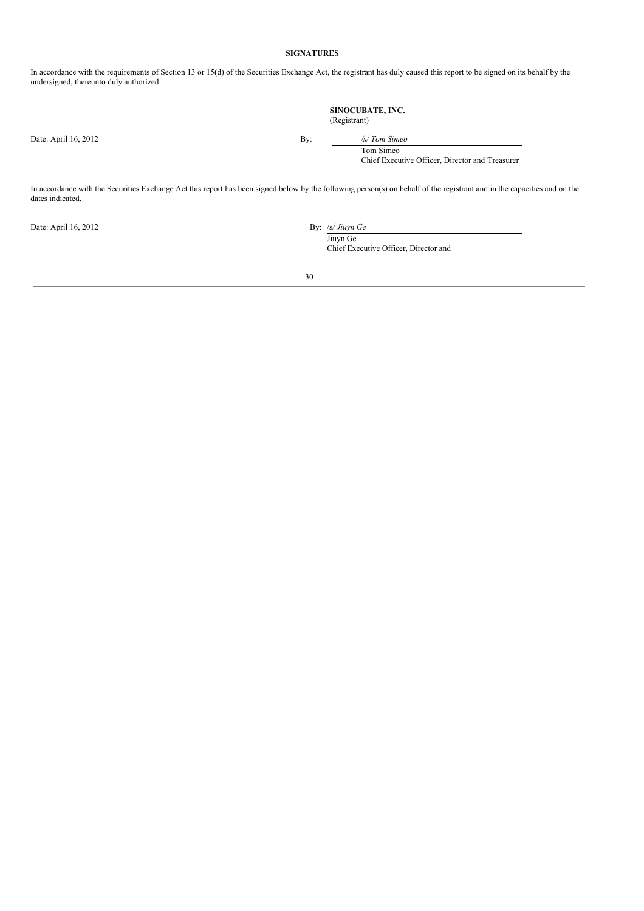## **SIGNATURES**

In accordance with the requirements of Section 13 or 15(d) of the Securities Exchange Act, the registrant has duly caused this report to be signed on its behalf by the undersigned, thereunto duly authorized.

> **SINOCUBATE, INC.** (Registrant)

Date: April 16, 2012 By: */s/ Tom Simeo*

Tom Simeo Chief Executive Officer, Director and Treasurer

In accordance with the Securities Exchange Act this report has been signed below by the following person(s) on behalf of the registrant and in the capacities and on the dates indicated.

Date: April 16, 2012 By: /s*/ Jiuyn Ge*

Jiuyn Ge

Chief Executive Officer, Director and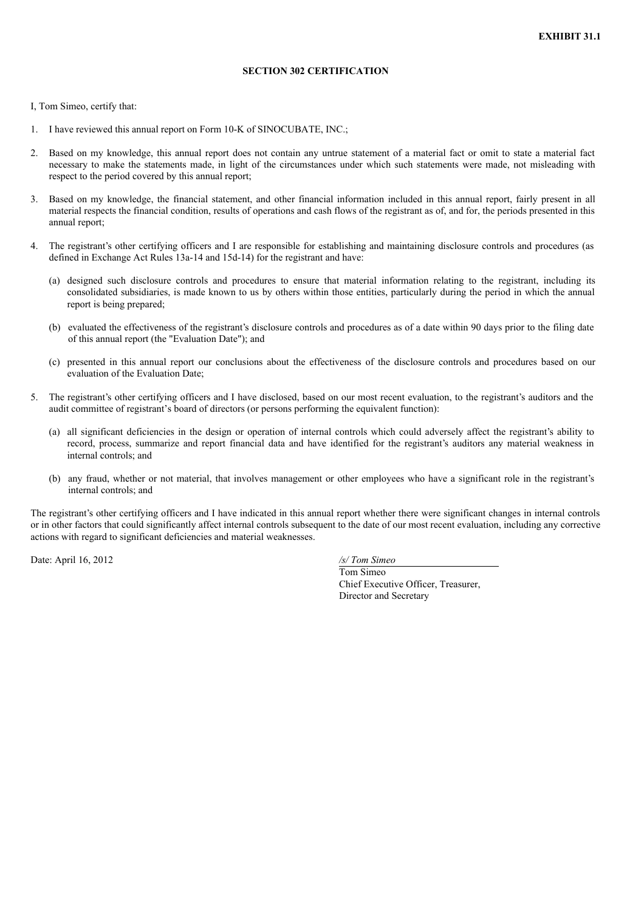# **SECTION 302 CERTIFICATION**

I, Tom Simeo, certify that:

- 1. I have reviewed this annual report on Form 10-K of SINOCUBATE, INC.;
- 2. Based on my knowledge, this annual report does not contain any untrue statement of a material fact or omit to state a material fact necessary to make the statements made, in light of the circumstances under which such statements were made, not misleading with respect to the period covered by this annual report;
- 3. Based on my knowledge, the financial statement, and other financial information included in this annual report, fairly present in all material respects the financial condition, results of operations and cash flows of the registrant as of, and for, the periods presented in this annual report;
- 4. The registrant's other certifying officers and I are responsible for establishing and maintaining disclosure controls and procedures (as defined in Exchange Act Rules 13a-14 and 15d-14) for the registrant and have:
	- (a) designed such disclosure controls and procedures to ensure that material information relating to the registrant, including its consolidated subsidiaries, is made known to us by others within those entities, particularly during the period in which the annual report is being prepared;
	- (b) evaluated the effectiveness of the registrant's disclosure controls and procedures as of a date within 90 days prior to the filing date of this annual report (the "Evaluation Date"); and
	- (c) presented in this annual report our conclusions about the effectiveness of the disclosure controls and procedures based on our evaluation of the Evaluation Date;
- 5. The registrant's other certifying officers and I have disclosed, based on our most recent evaluation, to the registrant's auditors and the audit committee of registrant's board of directors (or persons performing the equivalent function):
	- (a) all significant deficiencies in the design or operation of internal controls which could adversely affect the registrant's ability to record, process, summarize and report financial data and have identified for the registrant's auditors any material weakness in internal controls; and
	- (b) any fraud, whether or not material, that involves management or other employees who have a significant role in the registrant's internal controls; and

The registrant's other certifying officers and I have indicated in this annual report whether there were significant changes in internal controls or in other factors that could significantly affect internal controls subsequent to the date of our most recent evaluation, including any corrective actions with regard to significant deficiencies and material weaknesses.

Date: April 16, 2012 */s/ Tom Simeo*

Tom Simeo Chief Executive Officer, Treasurer, Director and Secretary